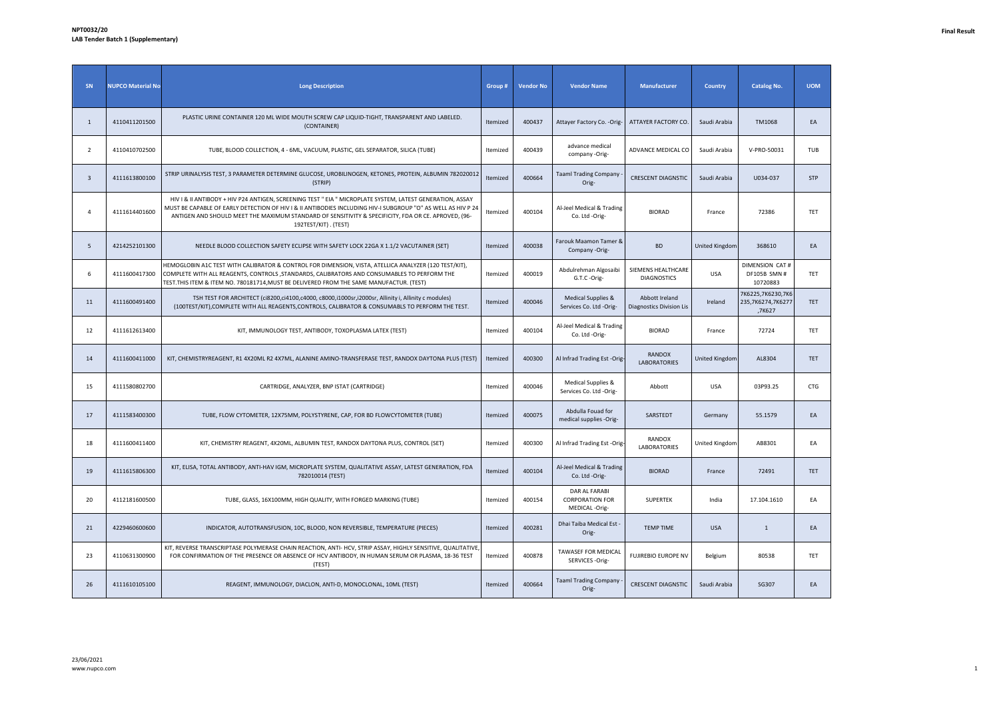| SN | <b>NUPCO Material No</b> | <b>Long Description</b>                                                                                                                                                                                                                                                                                                                                  | Group #  | <b>Vendor No</b> | <b>Vendor Name</b>                                       | <b>Manufacturer</b>                               | <b>Country</b>        | <b>Catalog No.</b>                               | <b>UOM</b> |
|----|--------------------------|----------------------------------------------------------------------------------------------------------------------------------------------------------------------------------------------------------------------------------------------------------------------------------------------------------------------------------------------------------|----------|------------------|----------------------------------------------------------|---------------------------------------------------|-----------------------|--------------------------------------------------|------------|
| 1  | 4110411201500            | PLASTIC URINE CONTAINER 120 ML WIDE MOUTH SCREW CAP LIQUID-TIGHT, TRANSPARENT AND LABELED.<br>(CONTAINER)                                                                                                                                                                                                                                                | Itemized | 400437           | Attayer Factory Co. - Orig-                              | ATTAYER FACTORY CO.                               | Saudi Arabia          | <b>TM1068</b>                                    | EA         |
| 2  | 4110410702500            | TUBE, BLOOD COLLECTION, 4 - 6ML, VACUUM, PLASTIC, GEL SEPARATOR, SILICA (TUBE)                                                                                                                                                                                                                                                                           | Itemized | 400439           | advance medical<br>company -Orig-                        | ADVANCE MEDICAL CO                                | Saudi Arabia          | V-PRO-50031                                      | <b>TUB</b> |
| 3  | 4111613800100            | STRIP URINALYSIS TEST, 3 PARAMETER DETERMINE GLUCOSE, UROBILINOGEN, KETONES, PROTEIN, ALBUMIN 782020012<br>(STRIP)                                                                                                                                                                                                                                       | Itemized | 400664           | <b>Taaml Trading Company</b><br>Orig-                    | <b>CRESCENT DIAGNSTIC</b>                         | Saudi Arabia          | U034-037                                         | <b>STP</b> |
| 4  | 4111614401600            | HIV I & II ANTIBODY + HIV P24 ANTIGEN, SCREENING TEST " EIA " MICROPLATE SYSTEM, LATEST GENERATION, ASSAY<br>MUST BE CAPABLE OF EARLY DETECTION OF HIV I & II ANTIBODIES INCLUDING HIV-I SUBGROUP "O" AS WELL AS HIV P 24<br>ANTIGEN AND SHOULD MEET THE MAXIMUM STANDARD OF SENSITIVITY & SPECIFICITY, FDA OR CE. APROVED, (96-<br>192TEST/KIT). (TEST) | Itemized | 400104           | Al-Jeel Medical & Trading<br>Co. Ltd -Orig-              | <b>BIORAD</b>                                     | France                | 72386                                            | TET        |
| 5  | 4214252101300            | NEEDLE BLOOD COLLECTION SAFETY ECLIPSE WITH SAFETY LOCK 22GA X 1.1/2 VACUTAINER (SET)                                                                                                                                                                                                                                                                    | Itemized | 400038           | Farouk Maamon Tamer &<br>Company -Orig-                  | <b>BD</b>                                         | <b>United Kingdom</b> | 368610                                           | EA         |
| 6  | 4111600417300            | HEMOGLOBIN A1C TEST WITH CALIBRATOR & CONTROL FOR DIMENSION, VISTA, ATELLICA ANALYZER (120 TEST/KIT),<br>COMPLETE WITH ALL REAGENTS, CONTROLS , STANDARDS, CALIBRATORS AND CONSUMABLES TO PERFORM THE<br>TEST.THIS ITEM & ITEM NO. 780181714,MUST BE DELIVERED FROM THE SAME MANUFACTUR. (TEST)                                                          | Itemized | 400019           | Abdulrehman Algosaibi<br>G.T.C -Orig-                    | SIEMENS HEALTHCARE<br><b>DIAGNOSTICS</b>          | USA                   | DIMENSION CAT #<br>DF105B SMN #<br>10720883      | TET        |
| 11 | 4111600491400            | TSH TEST FOR ARCHITECT (ci8200,ci4100,c4000, c8000,i1000sr,i2000sr, Allinity i, Allinity c modules)<br>(100TEST/KIT), COMPLETE WITH ALL REAGENTS, CONTROLS, CALIBRATOR & CONSUMABLS TO PERFORM THE TEST.                                                                                                                                                 | Itemized | 400046           | Medical Supplies &<br>Services Co. Ltd -Orig-            | Abbott Ireland<br><b>Diagnostics Division Lis</b> | Ireland               | 7K6225,7K6230,7K6<br>235,7K6274,7K6277<br>,7K627 | <b>TET</b> |
| 12 | 4111612613400            | KIT, IMMUNOLOGY TEST, ANTIBODY, TOXOPLASMA LATEX (TEST)                                                                                                                                                                                                                                                                                                  | Itemized | 400104           | Al-Jeel Medical & Trading<br>Co. Ltd -Orig-              | <b>BIORAD</b>                                     | France                | 72724                                            | TET        |
| 14 | 4111600411000            | KIT, CHEMISTRYREAGENT, R1 4X20ML R2 4X7ML, ALANINE AMINO-TRANSFERASE TEST, RANDOX DAYTONA PLUS (TEST)                                                                                                                                                                                                                                                    | Itemized | 400300           | Al Infrad Trading Est -Orig-                             | RANDOX<br>LABORATORIES                            | United Kingdom        | AL8304                                           | TET        |
| 15 | 4111580802700            | CARTRIDGE, ANALYZER, BNP ISTAT (CARTRIDGE)                                                                                                                                                                                                                                                                                                               | Itemized | 400046           | Medical Supplies &<br>Services Co. Ltd -Orig-            | Abbott                                            | <b>USA</b>            | 03P93.25                                         | CTG        |
| 17 | 4111583400300            | TUBE, FLOW CYTOMETER, 12X75MM, POLYSTYRENE, CAP, FOR BD FLOWCYTOMETER (TUBE)                                                                                                                                                                                                                                                                             | Itemized | 400075           | Abdulla Fouad for<br>medical supplies -Orig-             | SARSTEDT                                          | Germany               | 55.1579                                          | EA         |
| 18 | 4111600411400            | KIT, CHEMISTRY REAGENT, 4X20ML, ALBUMIN TEST, RANDOX DAYTONA PLUS, CONTROL (SET)                                                                                                                                                                                                                                                                         | Itemized | 400300           | Al Infrad Trading Est -Orig-                             | RANDOX<br><b>LABORATORIES</b>                     | United Kingdom        | AB8301                                           | EA         |
| 19 | 4111615806300            | KIT, ELISA, TOTAL ANTIBODY, ANTI-HAV IGM, MICROPLATE SYSTEM, QUALITATIVE ASSAY, LATEST GENERATION, FDA<br>782010014 (TEST)                                                                                                                                                                                                                               | Itemized | 400104           | Al-Jeel Medical & Trading<br>Co. Ltd -Orig-              | <b>BIORAD</b>                                     | France                | 72491                                            | TET        |
| 20 | 4112181600500            | TUBE, GLASS, 16X100MM, HIGH QUALITY, WITH FORGED MARKING (TUBE)                                                                                                                                                                                                                                                                                          | Itemized | 400154           | DAR AL FARABI<br><b>CORPORATION FOR</b><br>MEDICAL-Orig- | <b>SUPERTEK</b>                                   | India                 | 17.104.1610                                      | EA         |
| 21 | 4229460600600            | INDICATOR, AUTOTRANSFUSION, 10C, BLOOD, NON REVERSIBLE, TEMPERATURE (PIECES)                                                                                                                                                                                                                                                                             | Itemized | 400281           | Dhai Taiba Medical Est<br>Orig-                          | <b>TEMP TIME</b>                                  | <b>USA</b>            | $\mathbf{1}$                                     | EA         |
| 23 | 4110631300900            | KIT, REVERSE TRANSCRIPTASE POLYMERASE CHAIN REACTION, ANTI- HCV, STRIP ASSAY, HIGHLY SENSITIVE, QUALITATIVE<br>FOR CONFIRMATION OF THE PRESENCE OR ABSENCE OF HCV ANTIBODY, IN HUMAN SERUM OR PLASMA, 18-36 TEST<br>(TEST)                                                                                                                               | Itemized | 400878           | TAWASEF FOR MEDICAL<br>SERVICES-Orig-                    | FUJIREBIO EUROPE NV                               | Belgium               | 80538                                            | TET        |
| 26 | 4111610105100            | REAGENT, IMMUNOLOGY, DIACLON, ANTI-D, MONOCLONAL, 10ML (TEST)                                                                                                                                                                                                                                                                                            | Itemized | 400664           | Taaml Trading Company<br>Orig-                           | <b>CRESCENT DIAGNSTIC</b>                         | Saudi Arabia          | SG307                                            | EA         |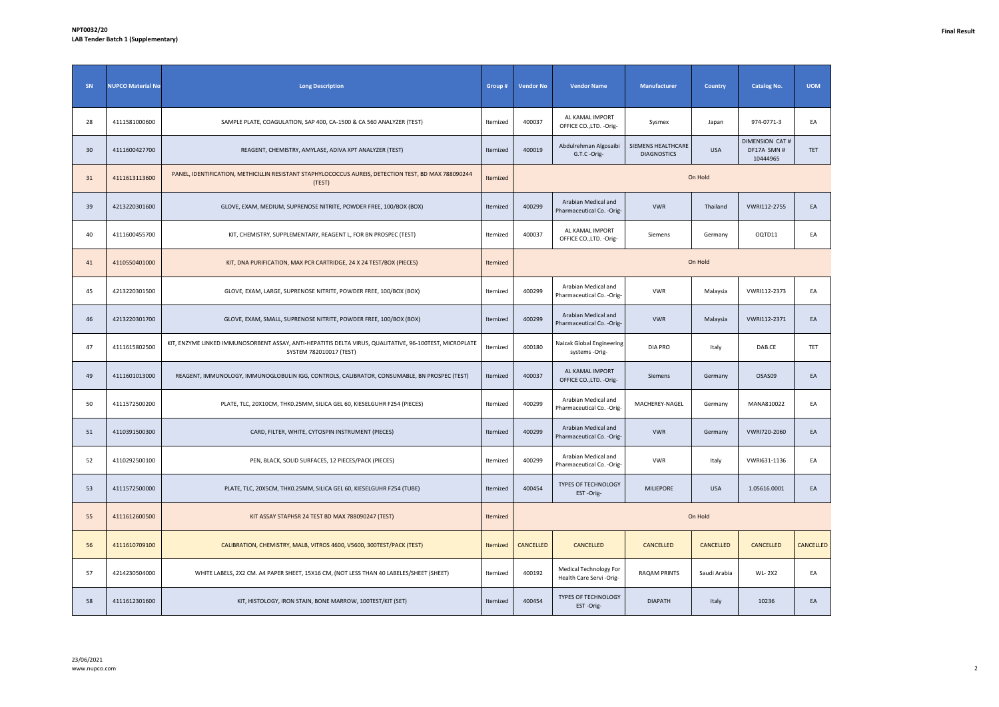| SN | <b>NUPCO Material No</b> | <b>Long Description</b>                                                                                                            | Group #  | <b>Vendor No</b> | <b>Vendor Name</b>                                         | Manufacturer                             | <b>Country</b> | <b>Catalog No.</b>                                | <b>UOM</b> |
|----|--------------------------|------------------------------------------------------------------------------------------------------------------------------------|----------|------------------|------------------------------------------------------------|------------------------------------------|----------------|---------------------------------------------------|------------|
| 28 | 4111581000600            | SAMPLE PLATE, COAGULATION, SAP 400, CA-1500 & CA 560 ANALYZER (TEST)                                                               | Itemized | 400037           | AL KAMAL IMPORT<br>OFFICE CO., LTD. - Orig-                | Sysmex                                   | Japan          | 974-0771-3                                        | EA         |
| 30 | 4111600427700            | REAGENT, CHEMISTRY, AMYLASE, ADIVA XPT ANALYZER (TEST)                                                                             | Itemized | 400019           | Abdulrehman Algosaibi<br>G.T.C -Orig-                      | SIEMENS HEALTHCARE<br><b>DIAGNOSTICS</b> | <b>USA</b>     | <b>DIMENSION CAT #</b><br>DF17A SMN #<br>10444965 | TET        |
| 31 | 4111613113600            | PANEL, IDENTIFICATION, METHICILLIN RESISTANT STAPHYLOCOCCUS AUREIS, DETECTION TEST, BD MAX 788090244<br>(TEST)                     | Itemized |                  |                                                            |                                          | On Hold        |                                                   |            |
| 39 | 4213220301600            | GLOVE, EXAM, MEDIUM, SUPRENOSE NITRITE, POWDER FREE, 100/BOX (BOX)                                                                 | Itemized | 400299           | Arabian Medical and<br>Pharmaceutical Co. - Orig-          | <b>VWR</b>                               | Thailand       | VWRI112-2755                                      | EA         |
| 40 | 4111600455700            | KIT, CHEMISTRY, SUPPLEMENTARY, REAGENT L, FOR BN PROSPEC (TEST)                                                                    | Itemized | 400037           | AL KAMAL IMPORT<br>OFFICE CO., LTD. - Orig-                | Siemens                                  | Germany        | OQTD11                                            | EA         |
| 41 | 4110550401000            | KIT, DNA PURIFICATION, MAX PCR CARTRIDGE, 24 X 24 TEST/BOX (PIECES)                                                                | Itemized |                  |                                                            |                                          | On Hold        |                                                   |            |
| 45 | 4213220301500            | GLOVE, EXAM, LARGE, SUPRENOSE NITRITE, POWDER FREE, 100/BOX (BOX)                                                                  | Itemized | 400299           | Arabian Medical and<br>Pharmaceutical Co. - Orig-          | <b>VWR</b>                               | Malaysia       | VWRI112-2373                                      | EA         |
| 46 | 4213220301700            | GLOVE, EXAM, SMALL, SUPRENOSE NITRITE, POWDER FREE, 100/BOX (BOX)                                                                  | Itemized | 400299           | Arabian Medical and<br>Pharmaceutical Co. - Orig-          | <b>VWR</b>                               | Malaysia       | VWRI112-2371                                      | EA         |
| 47 | 4111615802500            | KIT, ENZYME LINKED IMMUNOSORBENT ASSAY, ANTI-HEPATITIS DELTA VIRUS, QUALITATIVE, 96-100TEST, MICROPLATE<br>SYSTEM 782010017 (TEST) | Itemized | 400180           | Naizak Global Engineering<br>systems -Orig-                | <b>DIA PRO</b>                           | Italy          | DAB.CE                                            | <b>TET</b> |
| 49 | 4111601013000            | REAGENT, IMMUNOLOGY, IMMUNOGLOBULIN IGG, CONTROLS, CALIBRATOR, CONSUMABLE, BN PROSPEC (TEST)                                       | Itemized | 400037           | AL KAMAL IMPORT<br>OFFICE CO., LTD. - Orig-                | Siemens                                  | Germany        | OSAS09                                            | EA         |
| 50 | 4111572500200            | PLATE, TLC, 20X10CM, THK0.25MM, SILICA GEL 60, KIESELGUHR F254 (PIECES)                                                            | Itemized | 400299           | Arabian Medical and<br>Pharmaceutical Co. - Orig-          | MACHEREY-NAGEL                           | Germany        | MANA810022                                        | EA         |
| 51 | 4110391500300            | CARD, FILTER, WHITE, CYTOSPIN INSTRUMENT (PIECES)                                                                                  | Itemized | 400299           | Arabian Medical and<br>Pharmaceutical Co. - Orig-          | <b>VWR</b>                               | Germany        | VWRI720-2060                                      | EA         |
| 52 | 4110292500100            | PEN, BLACK, SOLID SURFACES, 12 PIECES/PACK (PIECES)                                                                                | Itemized | 400299           | Arabian Medical and<br>Pharmaceutical Co. - Orig-          | <b>VWR</b>                               | Italy          | VWRI631-1136                                      | EA         |
| 53 | 4111572500000            | PLATE, TLC, 20X5CM, THK0.25MM, SILICA GEL 60, KIESELGUHR F254 (TUBE)                                                               | Itemized | 400454           | TYPES OF TECHNOLOGY<br>EST-Orig-                           | <b>MILIEPORE</b>                         | <b>USA</b>     | 1.05616.0001                                      | EA         |
| 55 | 4111612600500            | KIT ASSAY STAPHSR 24 TEST BD MAX 788090247 (TEST)                                                                                  | Itemized |                  |                                                            |                                          | On Hold        |                                                   |            |
| 56 | 4111610709100            | CALIBRATION, CHEMISTRY, MALB, VITROS 4600, V5600, 300TEST/PACK (TEST)                                                              | Itemized | CANCELLED        | CANCELLED                                                  | CANCELLED                                | CANCELLED      | CANCELLED                                         | CANCELLED  |
| 57 | 4214230504000            | WHITE LABELS, 2X2 CM. A4 PAPER SHEET, 15X16 CM, (NOT LESS THAN 40 LABELES/SHEET (SHEET)                                            | Itemized | 400192           | <b>Medical Technology For</b><br>Health Care Servi - Orig- | RAQAM PRINTS                             | Saudi Arabia   | <b>WL-2X2</b>                                     | EA         |
| 58 | 4111612301600            | KIT, HISTOLOGY, IRON STAIN, BONE MARROW, 100TEST/KIT (SET)                                                                         | Itemized | 400454           | <b>TYPES OF TECHNOLOGY</b><br>EST-Orig-                    | <b>DIAPATH</b>                           | Italy          | 10236                                             | EA         |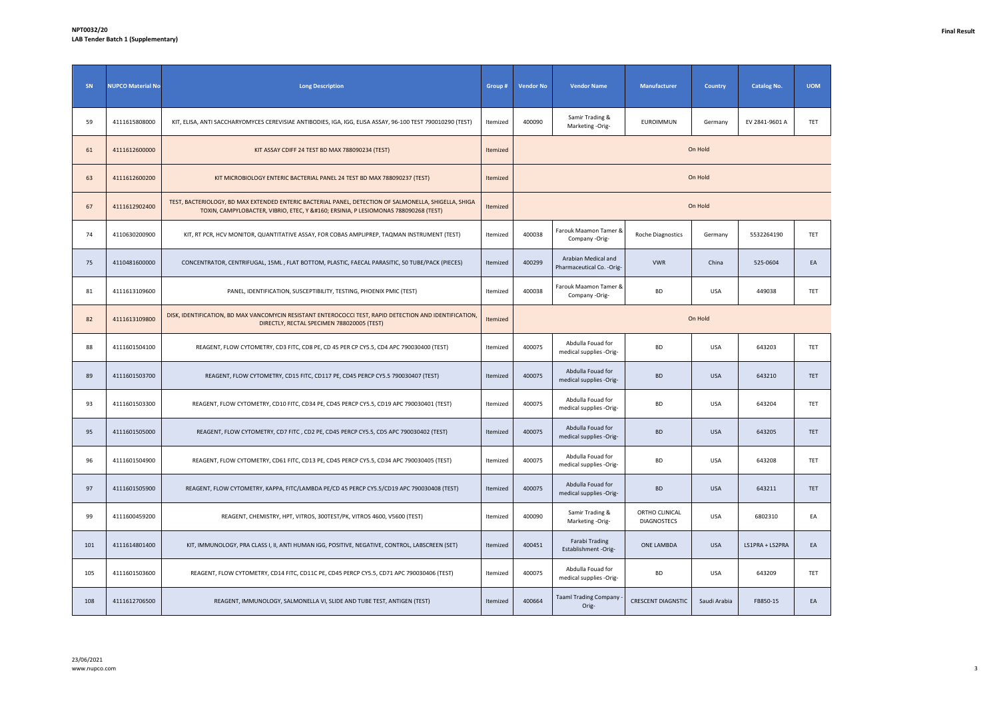| SN  | <b>NUPCO Material No</b> | <b>Long Description</b>                                                                                                                                                                 | Group #  | <b>Vendor No</b> | <b>Vendor Name</b>                                | Manufacturer                         | <b>Country</b> | <b>Catalog No.</b> | <b>UOM</b> |
|-----|--------------------------|-----------------------------------------------------------------------------------------------------------------------------------------------------------------------------------------|----------|------------------|---------------------------------------------------|--------------------------------------|----------------|--------------------|------------|
| 59  | 4111615808000            | KIT, ELISA, ANTI SACCHARYOMYCES CEREVISIAE ANTIBODIES, IGA, IGG, ELISA ASSAY, 96-100 TEST 790010290 (TEST)                                                                              | Itemized | 400090           | Samir Trading &<br>Marketing -Orig-               | <b>EUROIMMUN</b>                     | Germany        | EV 2841-9601 A     | TET        |
| 61  | 4111612600000            | KIT ASSAY CDIFF 24 TEST BD MAX 788090234 (TEST)                                                                                                                                         | Itemized |                  |                                                   |                                      | On Hold        |                    |            |
| 63  | 4111612600200            | KIT MICROBIOLOGY ENTERIC BACTERIAL PANEL 24 TEST BD MAX 788090237 (TEST)                                                                                                                | Itemized | On Hold          |                                                   |                                      |                |                    |            |
| 67  | 4111612902400            | TEST, BACTERIOLOGY, BD MAX EXTENDED ENTERIC BACTERIAL PANEL, DETECTION OF SALMONELLA, SHIGELLA, SHIGA<br>TOXIN, CAMPYLOBACTER, VIBRIO, ETEC, Y   ERSINIA, P LESIOMONAS 788090268 (TEST) | Itemized | On Hold          |                                                   |                                      |                |                    |            |
| 74  | 4110630200900            | KIT, RT PCR, HCV MONITOR, QUANTITATIVE ASSAY, FOR COBAS AMPLIPREP, TAQMAN INSTRUMENT (TEST)                                                                                             | Itemized | 400038           | Farouk Maamon Tamer 8<br>Company -Orig-           | <b>Roche Diagnostics</b>             | Germany        | 5532264190         | TET        |
| 75  | 4110481600000            | CONCENTRATOR, CENTRIFUGAL, 15ML, FLAT BOTTOM, PLASTIC, FAECAL PARASITIC, 50 TUBE/PACK (PIECES)                                                                                          | Itemized | 400299           | Arabian Medical and<br>Pharmaceutical Co. - Orig- | <b>VWR</b>                           | China          | 525-0604           | EA         |
| 81  | 4111613109600            | PANEL, IDENTIFICATION, SUSCEPTIBILITY, TESTING, PHOENIX PMIC (TEST)                                                                                                                     | Itemized | 400038           | Farouk Maamon Tamer &<br>Company -Orig-           | BD                                   | <b>USA</b>     | 449038             | TET        |
| 82  | 4111613109800            | DISK, IDENTIFICATION, BD MAX VANCOMYCIN RESISTANT ENTEROCOCCI TEST, RAPID DETECTION AND IDENTIFICATION,<br>DIRECTLY, RECTAL SPECIMEN 788020005 (TEST)                                   | Itemized |                  |                                                   |                                      | On Hold        |                    |            |
| 88  | 4111601504100            | REAGENT, FLOW CYTOMETRY, CD3 FITC, CD8 PE, CD 45 PER CP CY5.5, CD4 APC 790030400 (TEST)                                                                                                 | Itemized | 400075           | Abdulla Fouad for<br>medical supplies -Orig-      | <b>BD</b>                            | <b>USA</b>     | 643203             | TET        |
| 89  | 4111601503700            | REAGENT, FLOW CYTOMETRY, CD15 FITC, CD117 PE, CD45 PERCP CY5.5 790030407 (TEST)                                                                                                         | Itemized | 400075           | Abdulla Fouad for<br>medical supplies -Orig-      | <b>BD</b>                            | <b>USA</b>     | 643210             | TET        |
| 93  | 4111601503300            | REAGENT, FLOW CYTOMETRY, CD10 FITC, CD34 PE, CD45 PERCP CY5.5, CD19 APC 790030401 (TEST)                                                                                                | Itemized | 400075           | Abdulla Fouad for<br>medical supplies -Orig-      | <b>BD</b>                            | <b>USA</b>     | 643204             | TET        |
| 95  | 4111601505000            | REAGENT, FLOW CYTOMETRY, CD7 FITC, CD2 PE, CD45 PERCP CY5.5, CD5 APC 790030402 (TEST)                                                                                                   | Itemized | 400075           | Abdulla Fouad for<br>medical supplies -Orig-      | <b>BD</b>                            | <b>USA</b>     | 643205             | TET        |
| 96  | 4111601504900            | REAGENT, FLOW CYTOMETRY, CD61 FITC, CD13 PE, CD45 PERCP CY5.5, CD34 APC 790030405 (TEST)                                                                                                | Itemized | 400075           | Abdulla Fouad for<br>medical supplies -Orig-      | BD                                   | <b>USA</b>     | 643208             | TET        |
| 97  | 4111601505900            | REAGENT, FLOW CYTOMETRY, KAPPA, FITC/LAMBDA PE/CD 45 PERCP CY5.5/CD19 APC 790030408 (TEST)                                                                                              | Itemized | 400075           | Abdulla Fouad for<br>medical supplies -Orig-      | <b>BD</b>                            | <b>USA</b>     | 643211             | TET        |
| 99  | 4111600459200            | REAGENT, CHEMISTRY, HPT, VITROS, 300TEST/PK, VITROS 4600, V5600 (TEST)                                                                                                                  | Itemized | 400090           | Samir Trading &<br>Marketing -Orig-               | ORTHO CLINICAL<br><b>DIAGNOSTECS</b> | <b>USA</b>     | 6802310            | EA         |
| 101 | 4111614801400            | KIT, IMMUNOLOGY, PRA CLASS I, II, ANTI HUMAN IGG, POSITIVE, NEGATIVE, CONTROL, LABSCREEN (SET)                                                                                          | Itemized | 400451           | Farabi Trading<br>Establishment -Orig-            | ONE LAMBDA                           | <b>USA</b>     | LS1PRA + LS2PRA    | EA         |
| 105 | 4111601503600            | REAGENT, FLOW CYTOMETRY, CD14 FITC, CD11C PE, CD45 PERCP CY5.5, CD71 APC 790030406 (TEST)                                                                                               | Itemized | 400075           | Abdulla Fouad for<br>medical supplies -Orig-      | <b>BD</b>                            | <b>USA</b>     | 643209             | TET        |
| 108 | 4111612706500            | REAGENT, IMMUNOLOGY, SALMONELLA VI, SLIDE AND TUBE TEST, ANTIGEN (TEST)                                                                                                                 | Itemized | 400664           | <b>Taaml Trading Company</b><br>Orig-             | <b>CRESCENT DIAGNSTIC</b>            | Saudi Arabia   | FB850-15           | EA         |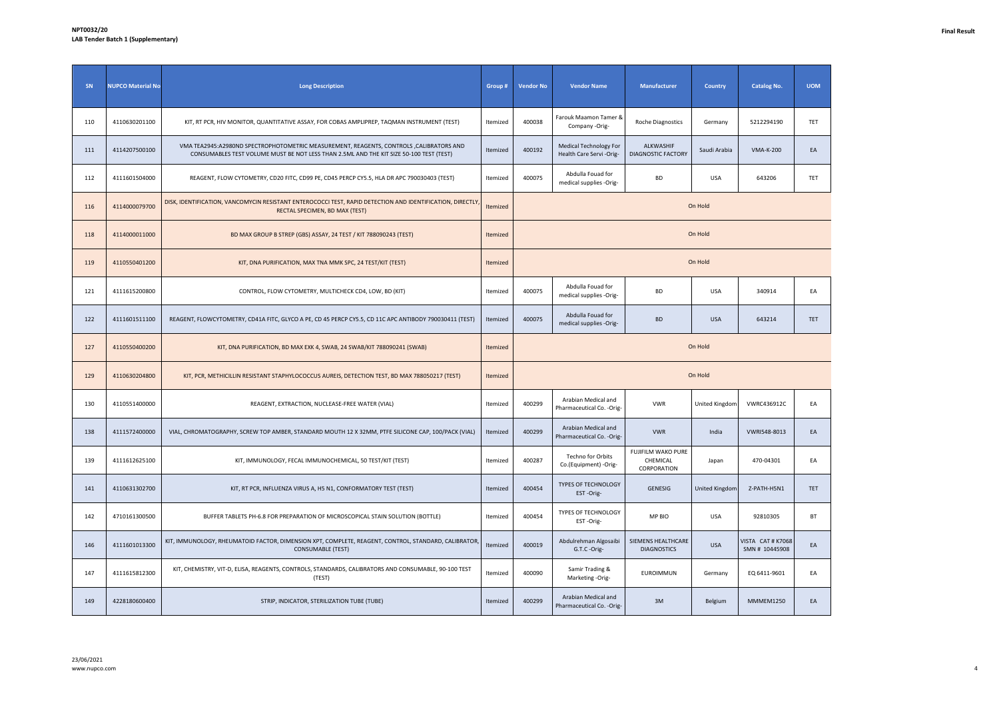| SN  | <b>NUPCO Material No</b> | <b>Long Description</b>                                                                                                                                                            | Group #  | <b>Vendor No</b> | <b>Vendor Name</b>                                | Manufacturer                                  | <b>Country</b> | <b>Catalog No.</b>                  | <b>UOM</b> |
|-----|--------------------------|------------------------------------------------------------------------------------------------------------------------------------------------------------------------------------|----------|------------------|---------------------------------------------------|-----------------------------------------------|----------------|-------------------------------------|------------|
| 110 | 4110630201100            | KIT, RT PCR, HIV MONITOR, QUANTITATIVE ASSAY, FOR COBAS AMPLIPREP, TAQMAN INSTRUMENT (TEST)                                                                                        | Itemized | 400038           | Farouk Maamon Tamer &<br>Company -Orig-           | Roche Diagnostics                             | Germany        | 5212294190                          | TET        |
| 111 | 4114207500100            | VMA TEA2945:A2980ND SPECTROPHOTOMETRIC MEASUREMENT, REAGENTS, CONTROLS ,CALIBRATORS AND<br>CONSUMABLES TEST VOLUME MUST BE NOT LESS THAN 2.5ML AND THE KIT SIZE 50-100 TEST (TEST) | Itemized | 400192           | Medical Technology For<br>Health Care Servi-Orig- | ALKWASHIF<br><b>DIAGNOSTIC FACTORY</b>        | Saudi Arabia   | <b>VMA-K-200</b>                    | EA         |
| 112 | 4111601504000            | REAGENT, FLOW CYTOMETRY, CD20 FITC, CD99 PE, CD45 PERCP CY5.5, HLA DR APC 790030403 (TEST)                                                                                         | Itemized | 400075           | Abdulla Fouad for<br>medical supplies -Orig-      | BD                                            | <b>USA</b>     | 643206                              | TET        |
| 116 | 4114000079700            | DISK, IDENTIFICATION, VANCOMYCIN RESISTANT ENTEROCOCCI TEST, RAPID DETECTION AND IDENTIFICATION, DIRECTLY<br>RECTAL SPECIMEN, BD MAX (TEST)                                        | Itemized |                  |                                                   |                                               | On Hold        |                                     |            |
| 118 | 4114000011000            | BD MAX GROUP B STREP (GBS) ASSAY, 24 TEST / KIT 788090243 (TEST)                                                                                                                   | Itemized |                  |                                                   |                                               | On Hold        |                                     |            |
| 119 | 4110550401200            | KIT, DNA PURIFICATION, MAX TNA MMK SPC, 24 TEST/KIT (TEST)                                                                                                                         | Itemized |                  |                                                   |                                               | On Hold        |                                     |            |
| 121 | 4111615200800            | CONTROL, FLOW CYTOMETRY, MULTICHECK CD4, LOW, BD (KIT)                                                                                                                             | Itemized | 400075           | Abdulla Fouad for<br>medical supplies -Orig-      | BD                                            | <b>USA</b>     | 340914                              | EA         |
| 122 | 4111601511100            | REAGENT, FLOWCYTOMETRY, CD41A FITC, GLYCO A PE, CD 45 PERCP CY5.5, CD 11C APC ANTIBODY 790030411 (TEST)                                                                            | Itemized | 400075           | Abdulla Fouad for<br>medical supplies -Orig-      | <b>BD</b>                                     | <b>USA</b>     | 643214                              | TET        |
| 127 | 4110550400200            | KIT, DNA PURIFICATION, BD MAX EXK 4, SWAB, 24 SWAB/KIT 788090241 (SWAB)                                                                                                            | Itemized |                  |                                                   |                                               | On Hold        |                                     |            |
| 129 | 4110630204800            | KIT, PCR, METHICILLIN RESISTANT STAPHYLOCOCCUS AUREIS, DETECTION TEST, BD MAX 788050217 (TEST)                                                                                     | Itemized |                  |                                                   |                                               | On Hold        |                                     |            |
| 130 | 4110551400000            | REAGENT, EXTRACTION, NUCLEASE-FREE WATER (VIAL)                                                                                                                                    | Itemized | 400299           | Arabian Medical and<br>Pharmaceutical Co. - Orig- | <b>VWR</b>                                    | United Kingdom | VWRC436912C                         | EA         |
| 138 | 4111572400000            | VIAL, CHROMATOGRAPHY, SCREW TOP AMBER, STANDARD MOUTH 12 X 32MM, PTFE SILICONE CAP, 100/PACK (VIAL)                                                                                | Itemized | 400299           | Arabian Medical and<br>Pharmaceutical Co. - Orig- | <b>VWR</b>                                    | India          | VWRI548-8013                        | EA         |
| 139 | 4111612625100            | KIT, IMMUNOLOGY, FECAL IMMUNOCHEMICAL, 50 TEST/KIT (TEST)                                                                                                                          | Itemized | 400287           | Techno for Orbits<br>Co.(Equipment) -Orig-        | FUJIFILM WAKO PURE<br>CHEMICAL<br>CORPORATION | Japan          | 470-04301                           | EA         |
| 141 | 4110631302700            | KIT, RT PCR, INFLUENZA VIRUS A, H5 N1, CONFORMATORY TEST (TEST)                                                                                                                    | Itemized | 400454           | TYPES OF TECHNOLOGY<br>EST-Orig-                  | GENESIG                                       | United Kingdom | Z-PATH-H5N1                         | TET        |
| 142 | 4710161300500            | BUFFER TABLETS PH-6.8 FOR PREPARATION OF MICROSCOPICAL STAIN SOLUTION (BOTTLE)                                                                                                     | Itemized | 400454           | TYPES OF TECHNOLOGY<br>EST-Orig-                  | MP BIO                                        | <b>USA</b>     | 92810305                            | BT         |
| 146 | 4111601013300            | KIT, IMMUNOLOGY, RHEUMATOID FACTOR, DIMENSION XPT, COMPLETE, REAGENT, CONTROL, STANDARD, CALIBRATOR<br><b>CONSUMABLE (TEST)</b>                                                    | Itemized | 400019           | Abdulrehman Algosaibi<br>G.T.C -Orig-             | SIEMENS HEALTHCARE<br><b>DIAGNOSTICS</b>      | <b>USA</b>     | VISTA CAT # K7068<br>SMN # 10445908 | EA         |
| 147 | 4111615812300            | KIT, CHEMISTRY, VIT-D, ELISA, REAGENTS, CONTROLS, STANDARDS, CALIBRATORS AND CONSUMABLE, 90-100 TEST<br>(TEST)                                                                     | Itemized | 400090           | Samir Trading &<br>Marketing -Orig-               | EUROIMMUN                                     | Germany        | EQ 6411-9601                        | EA         |
| 149 | 4228180600400            | STRIP, INDICATOR, STERILIZATION TUBE (TUBE)                                                                                                                                        | Itemized | 400299           | Arabian Medical and<br>Pharmaceutical Co. - Orig- | 3M                                            | Belgium        | MMMEM1250                           | EA         |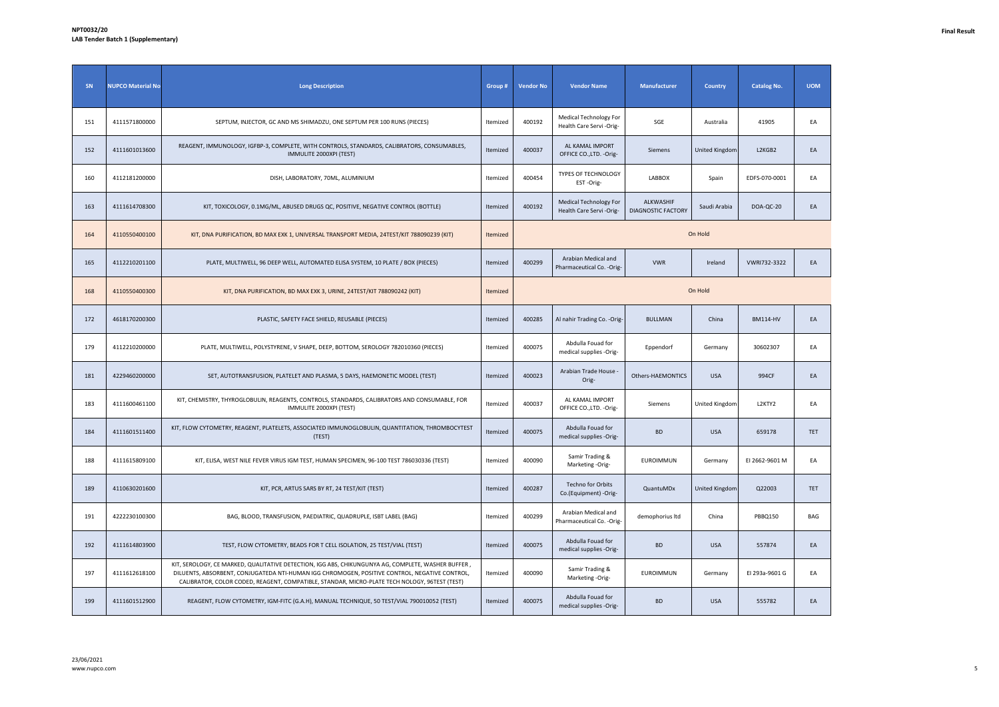| SN  | <b>NUPCO Material No</b> | <b>Long Description</b>                                                                                                                                                                                                                                                                              | Group #  | <b>Vendor No</b> | <b>Vendor Name</b>                                  | Manufacturer                           | Country               | <b>Catalog No.</b> | <b>UOM</b> |
|-----|--------------------------|------------------------------------------------------------------------------------------------------------------------------------------------------------------------------------------------------------------------------------------------------------------------------------------------------|----------|------------------|-----------------------------------------------------|----------------------------------------|-----------------------|--------------------|------------|
| 151 | 4111571800000            | SEPTUM, INJECTOR, GC AND MS SHIMADZU, ONE SEPTUM PER 100 RUNS (PIECES)                                                                                                                                                                                                                               | Itemized | 400192           | Medical Technology For<br>Health Care Servi -Orig-  | SGE                                    | Australia             | 41905              | EA         |
| 152 | 4111601013600            | REAGENT, IMMUNOLOGY, IGFBP-3, COMPLETE, WITH CONTROLS, STANDARDS, CALIBRATORS, CONSUMABLES,<br>IMMULITE 2000XPI (TEST)                                                                                                                                                                               | Itemized | 400037           | AL KAMAL IMPORT<br>OFFICE CO., LTD. - Orig-         | Siemens                                | <b>United Kingdom</b> | L2KGB2             | EA         |
| 160 | 4112181200000            | DISH, LABORATORY, 70ML, ALUMINIUM                                                                                                                                                                                                                                                                    | Itemized | 400454           | TYPES OF TECHNOLOGY<br>EST-Orig-                    | LABBOX                                 | Spain                 | EDFS-070-0001      | EA         |
| 163 | 4111614708300            | KIT, TOXICOLOGY, 0.1MG/ML, ABUSED DRUGS QC, POSITIVE, NEGATIVE CONTROL (BOTTLE)                                                                                                                                                                                                                      | Itemized | 400192           | Medical Technology For<br>Health Care Servi - Orig- | ALKWASHIF<br><b>DIAGNOSTIC FACTORY</b> | Saudi Arabia          | DOA-QC-20          | EA         |
| 164 | 4110550400100            | KIT, DNA PURIFICATION, BD MAX EXK 1, UNIVERSAL TRANSPORT MEDIA, 24TEST/KIT 788090239 (KIT)                                                                                                                                                                                                           | Itemized |                  |                                                     |                                        | On Hold               |                    |            |
| 165 | 4112210201100            | PLATE, MULTIWELL, 96 DEEP WELL, AUTOMATED ELISA SYSTEM, 10 PLATE / BOX (PIECES)                                                                                                                                                                                                                      | Itemized | 400299           | Arabian Medical and<br>Pharmaceutical Co. - Orig-   | <b>VWR</b>                             | Ireland               | VWRI732-3322       | EA         |
| 168 | 4110550400300            | KIT, DNA PURIFICATION, BD MAX EXK 3, URINE, 24TEST/KIT 788090242 (KIT)                                                                                                                                                                                                                               | Itemized |                  |                                                     |                                        | On Hold               |                    |            |
| 172 | 4618170200300            | PLASTIC, SAFETY FACE SHIELD, REUSABLE (PIECES)                                                                                                                                                                                                                                                       | Itemized | 400285           | Al nahir Trading Co. - Orig-                        | <b>BULLMAN</b>                         | China                 | <b>BM114-HV</b>    | EA         |
| 179 | 4112210200000            | PLATE, MULTIWELL, POLYSTYRENE, V SHAPE, DEEP, BOTTOM, SEROLOGY 782010360 (PIECES)                                                                                                                                                                                                                    | Itemized | 400075           | Abdulla Fouad for<br>medical supplies -Orig-        | Eppendorf                              | Germany               | 30602307           | EA         |
| 181 | 4229460200000            | SET, AUTOTRANSFUSION, PLATELET AND PLASMA, 5 DAYS, HAEMONETIC MODEL (TEST)                                                                                                                                                                                                                           | Itemized | 400023           | Arabian Trade House<br>Orig-                        | Others-HAEMONTICS                      | <b>USA</b>            | 994CF              | EA         |
| 183 | 4111600461100            | KIT, CHEMISTRY, THYROGLOBULIN, REAGENTS, CONTROLS, STANDARDS, CALIBRATORS AND CONSUMABLE, FOR<br>IMMULITE 2000XPI (TEST)                                                                                                                                                                             | Itemized | 400037           | AL KAMAL IMPORT<br>OFFICE CO., LTD. - Orig-         | Siemens                                | United Kingdom        | L2KTY2             | EA         |
| 184 | 4111601511400            | KIT, FLOW CYTOMETRY, REAGENT, PLATELETS, ASSOCIATED IMMUNOGLOBULIN, QUANTITATION, THROMBOCYTEST<br>(TEST)                                                                                                                                                                                            | Itemized | 400075           | Abdulla Fouad for<br>medical supplies -Orig-        | <b>BD</b>                              | <b>USA</b>            | 659178             | <b>TET</b> |
| 188 | 4111615809100            | KIT, ELISA, WEST NILE FEVER VIRUS IGM TEST, HUMAN SPECIMEN, 96-100 TEST 786030336 (TEST)                                                                                                                                                                                                             | Itemized | 400090           | Samir Trading &<br>Marketing -Orig-                 | <b>EUROIMMUN</b>                       | Germany               | EI 2662-9601 M     | EA         |
| 189 | 4110630201600            | KIT, PCR, ARTUS SARS BY RT, 24 TEST/KIT (TEST)                                                                                                                                                                                                                                                       | Itemized | 400287           | Techno for Orbits<br>Co.(Equipment) -Orig-          | QuantuMDx                              | United Kingdom        | Q22003             | <b>TET</b> |
| 191 | 4222230100300            | BAG, BLOOD, TRANSFUSION, PAEDIATRIC, QUADRUPLE, ISBT LABEL (BAG)                                                                                                                                                                                                                                     | Itemized | 400299           | Arabian Medical and<br>Pharmaceutical Co. - Orig-   | demophorius Itd                        | China                 | PBBQ150            | BAG        |
| 192 | 4111614803900            | TEST, FLOW CYTOMETRY, BEADS FOR T CELL ISOLATION, 25 TEST/VIAL (TEST)                                                                                                                                                                                                                                | Itemized | 400075           | Abdulla Fouad for<br>medical supplies -Orig-        | <b>BD</b>                              | <b>USA</b>            | 557874             | EA         |
| 197 | 4111612618100            | KIT, SEROLOGY, CE MARKED, QUALITATIVE DETECTION, IGG ABS, CHIKUNGUNYA AG, COMPLETE, WASHER BUFFER,<br>DILUENTS, ABSORBENT, CONJUGATEDA NTI-HUMAN IGG CHROMOGEN, POSITIVE CONTROL, NEGATIVE CONTROL,<br>CALIBRATOR, COLOR CODED, REAGENT, COMPATIBLE, STANDAR, MICRO-PLATE TECH NOLOGY, 96TEST (TEST) | Itemized | 400090           | Samir Trading &<br>Marketing -Orig-                 | EUROIMMUN                              | Germany               | El 293a-9601 G     | EA         |
| 199 | 4111601512900            | REAGENT, FLOW CYTOMETRY, IGM-FITC (G.A.H), MANUAL TECHNIQUE, 50 TEST/VIAL 790010052 (TEST)                                                                                                                                                                                                           | Itemized | 400075           | Abdulla Fouad for<br>medical supplies -Orig-        | <b>BD</b>                              | <b>USA</b>            | 555782             | EA         |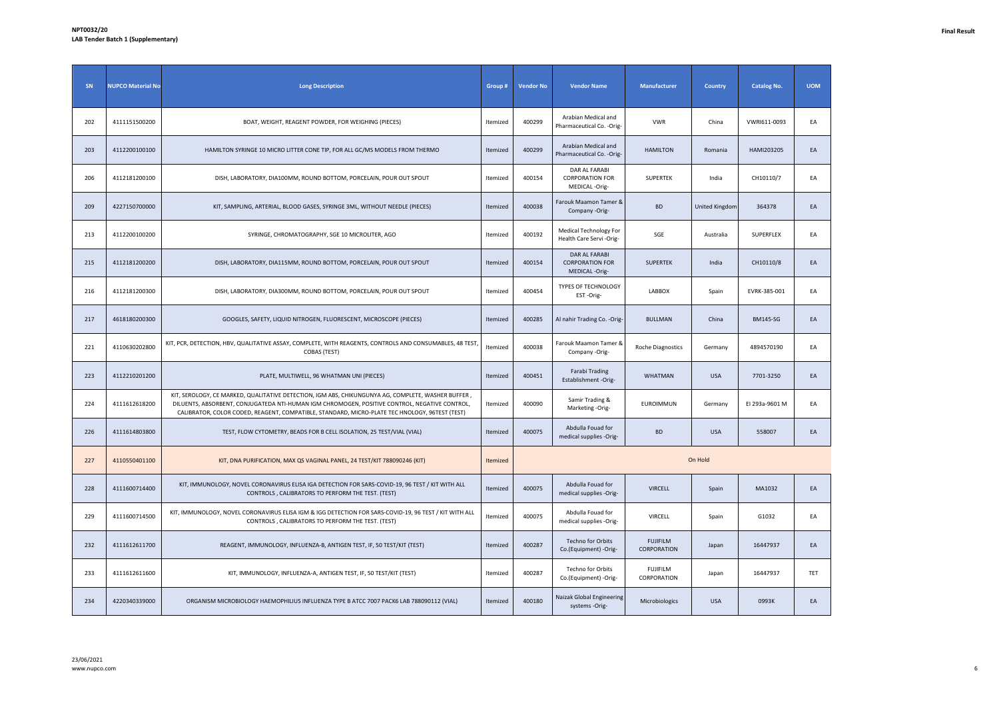| SN  | <b>NUPCO Material No</b> | <b>Long Description</b>                                                                                                                                                                                                                                                                               | Group #  | <b>Vendor No</b> | <b>Vendor Name</b>                                       | Manufacturer                   | <b>Country</b> | <b>Catalog No.</b> | <b>UOM</b> |
|-----|--------------------------|-------------------------------------------------------------------------------------------------------------------------------------------------------------------------------------------------------------------------------------------------------------------------------------------------------|----------|------------------|----------------------------------------------------------|--------------------------------|----------------|--------------------|------------|
| 202 | 4111151500200            | BOAT, WEIGHT, REAGENT POWDER, FOR WEIGHING (PIECES)                                                                                                                                                                                                                                                   | Itemized | 400299           | Arabian Medical and<br>Pharmaceutical Co. - Orig-        | <b>VWR</b>                     | China          | VWRI611-0093       | EA         |
| 203 | 4112200100100            | HAMILTON SYRINGE 10 MICRO LITTER CONE TIP, FOR ALL GC/MS MODELS FROM THERMO                                                                                                                                                                                                                           | Itemized | 400299           | Arabian Medical and<br>Pharmaceutical Co. - Orig-        | <b>HAMILTON</b>                | Romania        | HAMI203205         | EA         |
| 206 | 4112181200100            | DISH, LABORATORY, DIA100MM, ROUND BOTTOM, PORCELAIN, POUR OUT SPOUT                                                                                                                                                                                                                                   | Itemized | 400154           | DAR AL FARABI<br><b>CORPORATION FOR</b><br>MEDICAL-Orig- | SUPERTEK                       | India          | CH10110/7          | EA         |
| 209 | 4227150700000            | KIT, SAMPLING, ARTERIAL, BLOOD GASES, SYRINGE 3ML, WITHOUT NEEDLE (PIECES)                                                                                                                                                                                                                            | Itemized | 400038           | Farouk Maamon Tamer &<br>Company -Orig-                  | <b>BD</b>                      | United Kingdom | 364378             | EA         |
| 213 | 4112200100200            | SYRINGE, CHROMATOGRAPHY, SGE 10 MICROLITER, AGO                                                                                                                                                                                                                                                       | Itemized | 400192           | Medical Technology For<br>Health Care Servi - Orig-      | SGE                            | Australia      | SUPERFLEX          | EA         |
| 215 | 4112181200200            | DISH, LABORATORY, DIA115MM, ROUND BOTTOM, PORCELAIN, POUR OUT SPOUT                                                                                                                                                                                                                                   | Itemized | 400154           | DAR AL FARABI<br><b>CORPORATION FOR</b><br>MEDICAL-Orig- | SUPERTEK                       | India          | CH10110/8          | EA         |
| 216 | 4112181200300            | DISH, LABORATORY, DIA300MM, ROUND BOTTOM, PORCELAIN, POUR OUT SPOUT                                                                                                                                                                                                                                   | Itemized | 400454           | TYPES OF TECHNOLOGY<br>EST-Orig-                         | <b>LABBOX</b>                  | Spain          | EVRK-385-001       | EA         |
| 217 | 4618180200300            | GOOGLES, SAFETY, LIQUID NITROGEN, FLUORESCENT, MICROSCOPE (PIECES)                                                                                                                                                                                                                                    | Itemized | 400285           | Al nahir Trading Co. - Orig-                             | <b>BULLMAN</b>                 | China          | <b>BM145-SG</b>    | EA         |
| 221 | 4110630202800            | KIT, PCR, DETECTION, HBV, QUALITATIVE ASSAY, COMPLETE, WITH REAGENTS, CONTROLS AND CONSUMABLES, 48 TEST<br>COBAS (TEST)                                                                                                                                                                               | Itemized | 400038           | Farouk Maamon Tamer &<br>Company -Orig-                  | Roche Diagnostics              | Germany        | 4894570190         | EA         |
| 223 | 4112210201200            | PLATE, MULTIWELL, 96 WHATMAN UNI (PIECES)                                                                                                                                                                                                                                                             | Itemized | 400451           | <b>Farabi Trading</b><br>Establishment -Orig-            | <b>WHATMAN</b>                 | <b>USA</b>     | 7701-3250          | EA         |
| 224 | 4111612618200            | KIT, SEROLOGY, CE MARKED, QUALITATIVE DETECTION, IGM ABS, CHIKUNGUNYA AG, COMPLETE, WASHER BUFFER,<br>DILUENTS, ABSORBENT, CONJUGATEDA NTI-HUMAN IGM CHROMOGEN, POSITIVE CONTROL, NEGATIVE CONTROL,<br>CALIBRATOR, COLOR CODED, REAGENT, COMPATIBLE, STANDARD, MICRO-PLATE TEC HNOLOGY, 96TEST (TEST) | Itemized | 400090           | Samir Trading &<br>Marketing -Orig-                      | EUROIMMUN                      | Germany        | El 293a-9601 M     | EA         |
| 226 | 4111614803800            | TEST, FLOW CYTOMETRY, BEADS FOR B CELL ISOLATION, 25 TEST/VIAL (VIAL)                                                                                                                                                                                                                                 | Itemized | 400075           | Abdulla Fouad for<br>medical supplies -Orig-             | <b>BD</b>                      | <b>USA</b>     | 558007             | EA         |
| 227 | 4110550401100            | KIT, DNA PURIFICATION, MAX QS VAGINAL PANEL, 24 TEST/KIT 788090246 (KIT)                                                                                                                                                                                                                              | Itemized |                  |                                                          |                                | On Hold        |                    |            |
| 228 | 4111600714400            | KIT, IMMUNOLOGY, NOVEL CORONAVIRUS ELISA IGA DETECTION FOR SARS-COVID-19, 96 TEST / KIT WITH ALL<br>CONTROLS, CALIBRATORS TO PERFORM THE TEST. (TEST)                                                                                                                                                 | Itemized | 400075           | Abdulla Fouad for<br>medical supplies -Orig-             | <b>VIRCELL</b>                 | Spain          | MA1032             | EA         |
| 229 | 4111600714500            | KIT, IMMUNOLOGY, NOVEL CORONAVIRUS ELISA IGM & IGG DETECTION FOR SARS-COVID-19, 96 TEST / KIT WITH ALL<br>CONTROLS, CALIBRATORS TO PERFORM THE TEST. (TEST)                                                                                                                                           | Itemized | 400075           | Abdulla Fouad for<br>medical supplies -Orig-             | VIRCELL                        | Spain          | G1032              | EA         |
| 232 | 4111612611700            | REAGENT, IMMUNOLOGY, INFLUENZA-B, ANTIGEN TEST, IF, 50 TEST/KIT (TEST)                                                                                                                                                                                                                                | Itemized | 400287           | Techno for Orbits<br>Co.(Equipment) -Orig-               | <b>FUJIFILM</b><br>CORPORATION | Japan          | 16447937           | EA         |
| 233 | 4111612611600            | KIT, IMMUNOLOGY, INFLUENZA-A, ANTIGEN TEST, IF, 50 TEST/KIT (TEST)                                                                                                                                                                                                                                    | Itemized | 400287           | Techno for Orbits<br>Co.(Equipment) -Orig-               | <b>FUJIFILM</b><br>CORPORATION | Japan          | 16447937           | TET        |
| 234 | 4220340339000            | ORGANISM MICROBIOLOGY HAEMOPHILIUS INFLUENZA TYPE B ATCC 7007 PACK6 LAB 788090112 (VIAL)                                                                                                                                                                                                              | Itemized | 400180           | Naizak Global Engineering<br>systems -Orig-              | Microbiologics                 | <b>USA</b>     | 0993K              | EA         |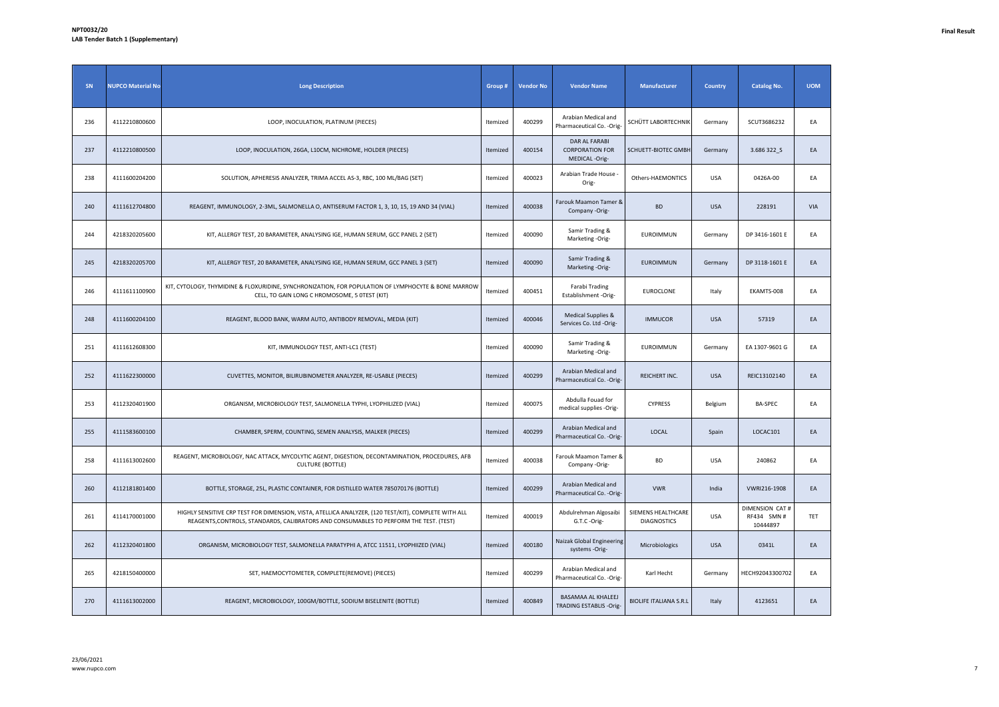| SN  | <b>NUPCO Material No</b> | <b>Long Description</b>                                                                                                                                                                        | Group #  | <b>Vendor No</b> | <b>Vendor Name</b>                                        | Manufacturer                             | <b>Country</b> | <b>Catalog No.</b>                               | <b>UOM</b> |
|-----|--------------------------|------------------------------------------------------------------------------------------------------------------------------------------------------------------------------------------------|----------|------------------|-----------------------------------------------------------|------------------------------------------|----------------|--------------------------------------------------|------------|
| 236 | 4112210800600            | LOOP, INOCULATION, PLATINUM (PIECES)                                                                                                                                                           | Itemized | 400299           | Arabian Medical and<br>Pharmaceutical Co. - Orig-         | SCHÜTT LABORTECHNIK                      | Germany        | SCUT3686232                                      | EA         |
| 237 | 4112210800500            | LOOP, INOCULATION, 26GA, L10CM, NICHROME, HOLDER (PIECES)                                                                                                                                      | Itemized | 400154           | DAR AL FARABI<br><b>CORPORATION FOR</b><br>MEDICAL -Orig- | SCHUETT-BIOTEC GMBH                      | Germany        | 3.686 322 S                                      | EA         |
| 238 | 4111600204200            | SOLUTION, APHERESIS ANALYZER, TRIMA ACCEL AS-3, RBC, 100 ML/BAG (SET)                                                                                                                          | Itemized | 400023           | Arabian Trade House -<br>Orig-                            | Others-HAEMONTICS                        | <b>USA</b>     | 0426A-00                                         | EA         |
| 240 | 4111612704800            | REAGENT, IMMUNOLOGY, 2-3ML, SALMONELLA O, ANTISERUM FACTOR 1, 3, 10, 15, 19 AND 34 (VIAL)                                                                                                      | Itemized | 400038           | Farouk Maamon Tamer &<br>Company -Orig-                   | <b>BD</b>                                | <b>USA</b>     | 228191                                           | VIA        |
| 244 | 4218320205600            | KIT, ALLERGY TEST, 20 BARAMETER, ANALYSING IGE, HUMAN SERUM, GCC PANEL 2 (SET)                                                                                                                 | Itemized | 400090           | Samir Trading &<br>Marketing -Orig-                       | <b>EUROIMMUN</b>                         | Germany        | DP 3416-1601 E                                   | EA         |
| 245 | 4218320205700            | KIT, ALLERGY TEST, 20 BARAMETER, ANALYSING IGE, HUMAN SERUM, GCC PANEL 3 (SET)                                                                                                                 | Itemized | 400090           | Samir Trading &<br>Marketing -Orig-                       | <b>EUROIMMUN</b>                         | Germany        | DP 3118-1601 E                                   | EA         |
| 246 | 4111611100900            | KIT, CYTOLOGY, THYMIDINE & FLOXURIDINE, SYNCHRONIZATION, FOR POPULATION OF LYMPHOCYTE & BONE MARROW<br>CELL, TO GAIN LONG C HROMOSOME, 5 OTEST (KIT)                                           | Itemized | 400451           | Farabi Trading<br>Establishment -Orig-                    | EUROCLONE                                | Italy          | EKAMTS-008                                       | EA         |
| 248 | 4111600204100            | REAGENT, BLOOD BANK, WARM AUTO, ANTIBODY REMOVAL, MEDIA (KIT)                                                                                                                                  | Itemized | 400046           | Medical Supplies &<br>Services Co. Ltd -Orig-             | <b>IMMUCOR</b>                           | <b>USA</b>     | 57319                                            | EA         |
| 251 | 4111612608300            | KIT, IMMUNOLOGY TEST, ANTI-LC1 (TEST)                                                                                                                                                          | Itemized | 400090           | Samir Trading &<br>Marketing -Orig-                       | EUROIMMUN                                | Germany        | EA 1307-9601 G                                   | EA         |
| 252 | 4111622300000            | CUVETTES, MONITOR, BILIRUBINOMETER ANALYZER, RE-USABLE (PIECES)                                                                                                                                | Itemized | 400299           | Arabian Medical and<br>Pharmaceutical Co. - Orig-         | REICHERT INC.                            | <b>USA</b>     | REIC13102140                                     | EA         |
| 253 | 4112320401900            | ORGANISM, MICROBIOLOGY TEST, SALMONELLA TYPHI, LYOPHILIZED (VIAL)                                                                                                                              | Itemized | 400075           | Abdulla Fouad for<br>medical supplies -Orig-              | <b>CYPRESS</b>                           | Belgium        | BA-SPEC                                          | EA         |
| 255 | 4111583600100            | CHAMBER, SPERM, COUNTING, SEMEN ANALYSIS, MALKER (PIECES)                                                                                                                                      | Itemized | 400299           | Arabian Medical and<br>Pharmaceutical Co. - Orig-         | LOCAL                                    | Spain          | LOCAC101                                         | EA         |
| 258 | 4111613002600            | REAGENT, MICROBIOLOGY, NAC ATTACK, MYCOLYTIC AGENT, DIGESTION, DECONTAMINATION, PROCEDURES, AFB<br><b>CULTURE (BOTTLE)</b>                                                                     | Itemized | 400038           | Farouk Maamon Tamer &<br>Company -Orig-                   | <b>BD</b>                                | <b>USA</b>     | 240862                                           | EA         |
| 260 | 4112181801400            | BOTTLE, STORAGE, 25L, PLASTIC CONTAINER, FOR DISTILLED WATER 785070176 (BOTTLE)                                                                                                                | Itemized | 400299           | Arabian Medical and<br>Pharmaceutical Co. - Orig-         | <b>VWR</b>                               | India          | VWRI216-1908                                     | EA         |
| 261 | 4114170001000            | HIGHLY SENSITIVE CRP TEST FOR DIMENSION, VISTA, ATELLICA ANALYZER, (120 TEST/KIT), COMPLETE WITH ALL<br>REAGENTS, CONTROLS, STANDARDS, CALIBRATORS AND CONSUMABLES TO PERFORM THE TEST. (TEST) | Itemized | 400019           | Abdulrehman Algosaibi<br>G.T.C -Orig-                     | SIEMENS HEALTHCARE<br><b>DIAGNOSTICS</b> | <b>USA</b>     | <b>DIMENSION CAT#</b><br>RF434 SMN #<br>10444897 | TET        |
| 262 | 4112320401800            | ORGANISM, MICROBIOLOGY TEST, SALMONELLA PARATYPHI A, ATCC 11511, LYOPHIIZED (VIAL)                                                                                                             | Itemized | 400180           | Naizak Global Engineering<br>systems -Orig-               | Microbiologics                           | <b>USA</b>     | 0341L                                            | EA         |
| 265 | 4218150400000            | SET, HAEMOCYTOMETER, COMPLETE(REMOVE) (PIECES)                                                                                                                                                 | Itemized | 400299           | Arabian Medical and<br>Pharmaceutical Co. - Orig-         | Karl Hecht                               | Germany        | HECH92043300702                                  | EA         |
| 270 | 4111613002000            | REAGENT, MICROBIOLOGY, 100GM/BOTTLE, SODIUM BISELENITE (BOTTLE)                                                                                                                                | Itemized | 400849           | <b>BASAMAA AL KHALEEJ</b><br>TRADING ESTABLIS -Orig-      | <b>BIOLIFE ITALIANA S.R.L</b>            | Italy          | 4123651                                          | EA         |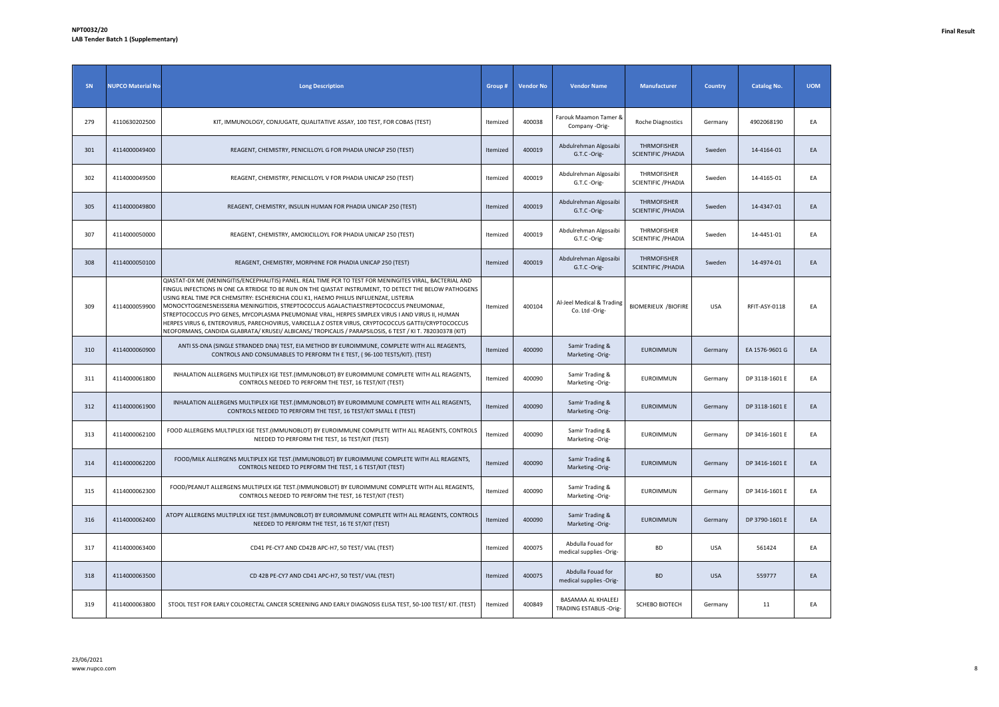| SN  | <b>NUPCO Material No</b> | <b>Long Description</b>                                                                                                                                                                                                                                                                                                                                                                                                                                                                                                                                                                                                                                                                                                       | Group #  | <b>Vendor No</b> | <b>Vendor Name</b>                             | <b>Manufacturer</b>                       | <b>Country</b> | <b>Catalog No.</b> | <b>UOM</b> |
|-----|--------------------------|-------------------------------------------------------------------------------------------------------------------------------------------------------------------------------------------------------------------------------------------------------------------------------------------------------------------------------------------------------------------------------------------------------------------------------------------------------------------------------------------------------------------------------------------------------------------------------------------------------------------------------------------------------------------------------------------------------------------------------|----------|------------------|------------------------------------------------|-------------------------------------------|----------------|--------------------|------------|
| 279 | 4110630202500            | KIT, IMMUNOLOGY, CONJUGATE, QUALITATIVE ASSAY, 100 TEST, FOR COBAS (TEST)                                                                                                                                                                                                                                                                                                                                                                                                                                                                                                                                                                                                                                                     | Itemized | 400038           | Farouk Maamon Tamer &<br>Company -Orig-        | Roche Diagnostics                         | Germany        | 4902068190         | EA         |
| 301 | 4114000049400            | REAGENT, CHEMISTRY, PENICILLOYL G FOR PHADIA UNICAP 250 (TEST)                                                                                                                                                                                                                                                                                                                                                                                                                                                                                                                                                                                                                                                                | Itemized | 400019           | Abdulrehman Algosaibi<br>G.T.C -Orig-          | THRMOFISHER<br><b>SCIENTIFIC / PHADIA</b> | Sweden         | 14-4164-01         | EA         |
| 302 | 4114000049500            | REAGENT, CHEMISTRY, PENICILLOYL V FOR PHADIA UNICAP 250 (TEST)                                                                                                                                                                                                                                                                                                                                                                                                                                                                                                                                                                                                                                                                | Itemized | 400019           | Abdulrehman Algosaibi<br>G.T.C -Orig-          | THRMOFISHER<br><b>SCIENTIFIC / PHADIA</b> | Sweden         | 14-4165-01         | EA         |
| 305 | 4114000049800            | REAGENT, CHEMISTRY, INSULIN HUMAN FOR PHADIA UNICAP 250 (TEST)                                                                                                                                                                                                                                                                                                                                                                                                                                                                                                                                                                                                                                                                | Itemized | 400019           | Abdulrehman Algosaibi<br>G.T.C -Orig-          | THRMOFISHER<br>SCIENTIFIC / PHADIA        | Sweden         | 14-4347-01         | EA         |
| 307 | 4114000050000            | REAGENT, CHEMISTRY, AMOXICILLOYL FOR PHADIA UNICAP 250 (TEST)                                                                                                                                                                                                                                                                                                                                                                                                                                                                                                                                                                                                                                                                 | Itemized | 400019           | Abdulrehman Algosaibi<br>G.T.C -Orig-          | THRMOFISHER<br>SCIENTIFIC / PHADIA        | Sweden         | 14-4451-01         | EA         |
| 308 | 4114000050100            | REAGENT, CHEMISTRY, MORPHINE FOR PHADIA UNICAP 250 (TEST)                                                                                                                                                                                                                                                                                                                                                                                                                                                                                                                                                                                                                                                                     | Itemized | 400019           | Abdulrehman Algosaibi<br>G.T.C -Orig-          | THRMOFISHER<br><b>SCIENTIFIC / PHADIA</b> | Sweden         | 14-4974-01         | EA         |
| 309 | 4114000059900            | QIASTAT-DX ME (MENINGITIS/ENCEPHALITIS) PANEL. REAL TIME PCR TO TEST FOR MENINGITES VIRAL, BACTERIAL AND<br>FINGUL INFECTIONS IN ONE CA RTRIDGE TO BE RUN ON THE QIASTAT INSTRUMENT, TO DETECT THE BELOW PATHOGENS<br>USING REAL TIME PCR CHEMSITRY: ESCHERICHIA COLI K1, HAEMO PHILUS INFLUENZAE, LISTERIA<br>MONOCYTOGENESNEISSERIA MENINGITIDIS, STREPTOCOCCUS AGALACTIAESTREPTOCOCCUS PNEUMONIAE,<br>STREPTOCOCCUS PYO GENES, MYCOPLASMA PNEUMONIAE VRAL, HERPES SIMPLEX VIRUS I AND VIRUS II, HUMAN<br>HERPES VIRUS 6, ENTEROVIRUS, PARECHOVIRUS, VARICELLA Z OSTER VIRUS, CRYPTOCOCCUS GATTII/CRYPTOCOCCUS<br>NEOFORMANS, CANDIDA GLABRATA/ KRUSEI/ ALBICANS/ TROPICALIS / PARAPSILOSIS, 6 TEST / KI T. 782030378 (KIT) | Itemized | 400104           | Al-Jeel Medical & Trading<br>Co. Ltd -Orig-    | <b>BIOMERIEUX /BIOFIRE</b>                | USA            | RFIT-ASY-0118      | EA         |
| 310 | 4114000060900            | ANTI SS-DNA (SINGLE STRANDED DNA) TEST, EIA METHOD BY EUROIMMUNE, COMPLETE WITH ALL REAGENTS,<br>CONTROLS AND CONSUMABLES TO PERFORM TH E TEST, (96-100 TESTS/KIT). (TEST)                                                                                                                                                                                                                                                                                                                                                                                                                                                                                                                                                    | Itemized | 400090           | Samir Trading &<br>Marketing -Orig-            | EUROIMMUN                                 | Germany        | EA 1576-9601 G     | EA         |
| 311 | 4114000061800            | INHALATION ALLERGENS MULTIPLEX IGE TEST. (IMMUNOBLOT) BY EUROIMMUNE COMPLETE WITH ALL REAGENTS,<br>CONTROLS NEEDED TO PERFORM THE TEST, 16 TEST/KIT (TEST)                                                                                                                                                                                                                                                                                                                                                                                                                                                                                                                                                                    | Itemized | 400090           | Samir Trading &<br>Marketing -Orig-            | EUROIMMUN                                 | Germany        | DP 3118-1601 E     | EA         |
| 312 | 4114000061900            | INHALATION ALLERGENS MULTIPLEX IGE TEST.(IMMUNOBLOT) BY EUROIMMUNE COMPLETE WITH ALL REAGENTS,<br>CONTROLS NEEDED TO PERFORM THE TEST, 16 TEST/KIT SMALL E (TEST)                                                                                                                                                                                                                                                                                                                                                                                                                                                                                                                                                             | Itemized | 400090           | Samir Trading &<br>Marketing -Orig-            | EUROIMMUN                                 | Germany        | DP 3118-1601 E     | EA         |
| 313 | 4114000062100            | FOOD ALLERGENS MULTIPLEX IGE TEST.(IMMUNOBLOT) BY EUROIMMUNE COMPLETE WITH ALL REAGENTS, CONTROLS<br>NEEDED TO PERFORM THE TEST, 16 TEST/KIT (TEST)                                                                                                                                                                                                                                                                                                                                                                                                                                                                                                                                                                           | Itemized | 400090           | Samir Trading &<br>Marketing -Orig-            | <b>EUROIMMUN</b>                          | Germany        | DP 3416-1601 E     | EA         |
| 314 | 4114000062200            | FOOD/MILK ALLERGENS MULTIPLEX IGE TEST.(IMMUNOBLOT) BY EUROIMMUNE COMPLETE WITH ALL REAGENTS,<br>CONTROLS NEEDED TO PERFORM THE TEST, 1 6 TEST/KIT (TEST)                                                                                                                                                                                                                                                                                                                                                                                                                                                                                                                                                                     | Itemized | 400090           | Samir Trading &<br>Marketing -Orig-            | <b>EUROIMMUN</b>                          | Germany        | DP 3416-1601 E     | EA         |
| 315 | 4114000062300            | FOOD/PEANUT ALLERGENS MULTIPLEX IGE TEST.(IMMUNOBLOT) BY EUROIMMUNE COMPLETE WITH ALL REAGENTS,<br>CONTROLS NEEDED TO PERFORM THE TEST, 16 TEST/KIT (TEST)                                                                                                                                                                                                                                                                                                                                                                                                                                                                                                                                                                    | Itemized | 400090           | Samir Trading &<br>Marketing -Orig-            | EUROIMMUN                                 | Germany        | DP 3416-1601 E     | EA         |
| 316 | 4114000062400            | ATOPY ALLERGENS MULTIPLEX IGE TEST.(IMMUNOBLOT) BY EUROIMMUNE COMPLETE WITH ALL REAGENTS, CONTROLS<br>NEEDED TO PERFORM THE TEST, 16 TE ST/KIT (TEST)                                                                                                                                                                                                                                                                                                                                                                                                                                                                                                                                                                         | Itemized | 400090           | Samir Trading &<br>Marketing -Orig-            | <b>EUROIMMUN</b>                          | Germany        | DP 3790-1601 E     | EA         |
| 317 | 4114000063400            | CD41 PE-CY7 AND CD42B APC-H7, 50 TEST/ VIAL (TEST)                                                                                                                                                                                                                                                                                                                                                                                                                                                                                                                                                                                                                                                                            | Itemized | 400075           | Abdulla Fouad for<br>medical supplies -Orig-   | <b>BD</b>                                 | <b>USA</b>     | 561424             | EA         |
| 318 | 4114000063500            | CD 42B PE-CY7 AND CD41 APC-H7, 50 TEST/ VIAL (TEST)                                                                                                                                                                                                                                                                                                                                                                                                                                                                                                                                                                                                                                                                           | Itemized | 400075           | Abdulla Fouad for<br>medical supplies -Orig-   | <b>BD</b>                                 | <b>USA</b>     | 559777             | EA         |
| 319 | 4114000063800            | STOOL TEST FOR EARLY COLORECTAL CANCER SCREENING AND EARLY DIAGNOSIS ELISA TEST, 50-100 TEST/ KIT. (TEST)                                                                                                                                                                                                                                                                                                                                                                                                                                                                                                                                                                                                                     | Itemized | 400849           | BASAMAA AL KHALEEJ<br>TRADING ESTABLIS - Orig- | SCHEBO BIOTECH                            | Germany        | 11                 | EA         |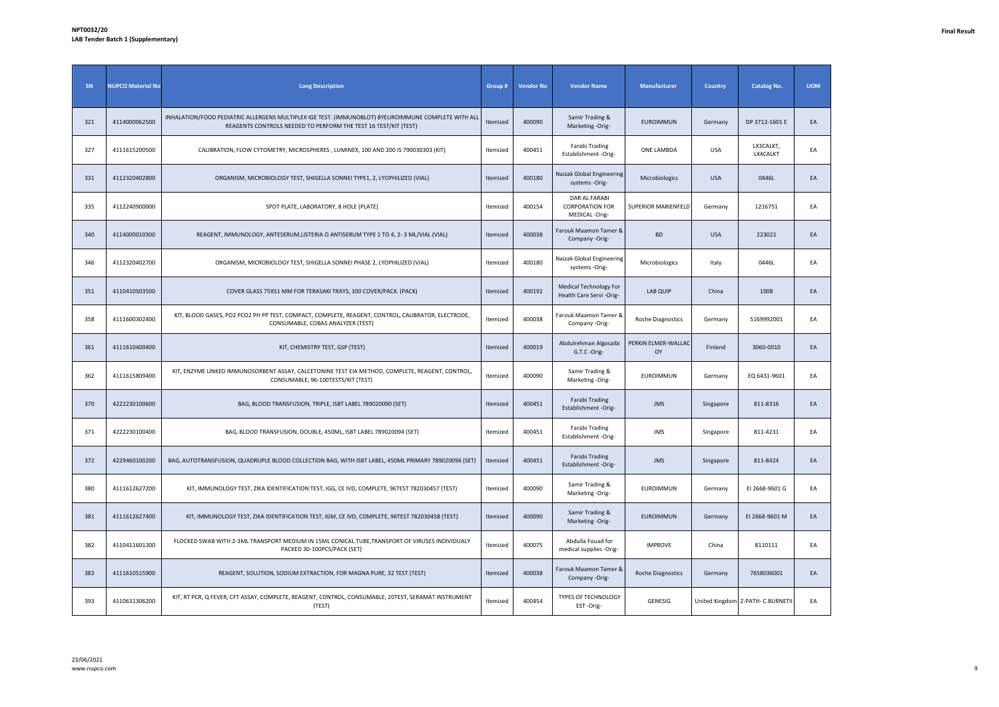| SN  | <b>NUPCO Material No</b> | <b>Long Description</b>                                                                                                                                                | Group#   | <b>Vendor No</b> | <b>Vendor Name</b>                                       | Manufacturer               | <b>Country</b> | <b>Catalog No.</b>                | <b>UOM</b> |
|-----|--------------------------|------------------------------------------------------------------------------------------------------------------------------------------------------------------------|----------|------------------|----------------------------------------------------------|----------------------------|----------------|-----------------------------------|------------|
| 321 | 4114000062500            | INHALATION/FOOD PEDIATRIC ALLERGENS MULTIPLEX IGE TEST. (IMMUNOBLOT) BYEUROIMMUNE COMPLETE WITH ALL<br>REAGENTS CONTROLS NEEDED TO PERFORM THE TEST 16 TEST/KIT (TEST) | Itemized | 400090           | Samir Trading &<br>Marketing -Orig-                      | <b>EUROIMMUN</b>           | Germany        | DP 3712-1601 E                    | EA         |
| 327 | 4111615200500            | CALIBRATION, FLOW CYTOMETRY, MICROSPHERES, LUMINEX, 100 AND 200 IS 790030303 (KIT)                                                                                     | Itemized | 400451           | Farabi Trading<br>Establishment -Orig-                   | ONE LAMBDA                 | <b>USA</b>     | LX3CALKT,<br>LX4CALKT             | EA         |
| 331 | 4112320402800            | ORGANISM, MICROBIOLOGY TEST, SHIGELLA SONNEI TYPE1, 2, LYOPHILIZED (VIAL)                                                                                              | Itemized | 400180           | Naizak Global Engineering<br>systems -Orig-              | Microbiologics             | <b>USA</b>     | 0446L                             | EA         |
| 335 | 4112240900000            | SPOT PLATE, LABORATORY, 8 HOLE (PLATE)                                                                                                                                 | Itemized | 400154           | DAR AL FARABI<br><b>CORPORATION FOR</b><br>MEDICAL-Orig- | <b>SUPERIOR MARIENFELD</b> | Germany        | 1216751                           | EA         |
| 340 | 4114000010300            | REAGENT, IMMUNOLOGY, ANTESERUM, LISTERIA O ANTISERUM TYPE 1 TO 4, 2-3 ML/VIAL (VIAL)                                                                                   | Itemized | 400038           | Farouk Maamon Tamer &<br>Company -Orig-                  | <b>BD</b>                  | <b>USA</b>     | 223021                            | EA         |
| 346 | 4112320402700            | ORGANISM, MICROBIOLOGY TEST, SHIGELLA SONNEI PHASE 2, LYOPHILIZED (VIAL)                                                                                               | Itemized | 400180           | Naizak Global Engineering<br>systems -Orig-              | Microbiologics             | Italy          | 0446L                             | EA         |
| 351 | 4110410503500            | COVER GLASS 75X51 MM FOR TERASAKI TRAYS, 100 COVER/PACK. (PACK)                                                                                                        | Itemized | 400192           | Medical Technology For<br>Health Care Servi-Orig-        | LAB QUIP                   | China          | 1008                              | EA         |
| 358 | 4111600302400            | KIT, BLOOD GASES, PO2 PCO2 PH PP TEST, COMPACT, COMPLETE, REAGENT, CONTROL, CALIBRATOR, ELECTRODE,<br>CONSUMABLE, COBAS ANALYZER (TEST)                                | Itemized | 400038           | Farouk Maamon Tamer &<br>Company -Orig-                  | Roche Diagnostics          | Germany        | 5169992001                        | EA         |
| 361 | 4111610400400            | KIT, CHEMISTRY TEST, GSP (TEST)                                                                                                                                        | Itemized | 400019           | Abdulrehman Algosaibi<br>G.T.C -Orig-                    | PERKIN ELMER-WALLAC<br>OY  | Finland        | 3060-0010                         | EA         |
| 362 | 4111615809400            | KIT, ENZYME LINKED IMMUNOSORBENT ASSAY, CALCETONINE TEST EIA METHOD, COMPLETE, REAGENT, CONTROL,<br>CONSUMABLE, 96-100TESTS/KIT (TEST)                                 | Itemized | 400090           | Samir Trading &<br>Marketing -Orig-                      | EUROIMMUN                  | Germany        | EQ 6431-9601                      | EA         |
| 370 | 4222230100600            | BAG, BLOOD TRANSFUSION, TRIPLE, ISBT LABEL 789020090 (SET)                                                                                                             | Itemized | 400451           | Farabi Trading<br>Establishment -Orig-                   | <b>JMS</b>                 | Singapore      | 811-8316                          | EA         |
| 371 | 4222230100400            | BAG, BLOOD TRANSFUSION, DOUBLE, 450ML, ISBT LABEL 789020094 (SET)                                                                                                      | Itemized | 400451           | Farabi Trading<br>Establishment -Orig-                   | <b>JMS</b>                 | Singapore      | 811-4231                          | EA         |
| 372 | 4229460100200            | BAG, AUTOTRANSFUSION, QUADRUPLE BLOOD COLLECTION BAG, WITH ISBT LABEL, 450ML PRIMARY 789020096 (SET)                                                                   | Itemized | 400451           | Farabi Trading<br>Establishment -Orig-                   | <b>JMS</b>                 | Singapore      | 811-8424                          | EA         |
| 380 | 4111612627200            | KIT, IMMUNOLOGY TEST, ZIKA IDENTIFICATION TEST, IGG, CE IVD, COMPLETE, 96TEST 782030457 (TEST)                                                                         | Itemized | 400090           | Samir Trading &<br>Marketing -Orig-                      | EUROIMMUN                  | Germany        | EI 2668-9601 G                    | EA         |
| 381 | 4111612627400            | KIT, IMMUNOLOGY TEST, ZIKA IDENTIFICATION TEST, IGM, CE IVD, COMPLETE, 96TEST 782030458 (TEST)                                                                         | Itemized | 400090           | Samir Trading &<br>Marketing -Orig-                      | <b>EUROIMMUN</b>           | Germany        | EI 2668-9601 M                    | EA         |
| 382 | 4110411601300            | FLOCKED SWAB WITH 2-3ML TRANSPORT MEDIUM IN 15ML CONICAL TUBE, TRANSPORT OF VIRUSES INDIVIDUALY<br>PACKED 30-100PCS/PACK (SET)                                         | Itemized | 400075           | Abdulla Fouad for<br>medical supplies -Orig-             | <b>IMPROVE</b>             | China          | 8110111                           | EA         |
| 383 | 4111610515900            | REAGENT, SOLUTION, SODIUM EXTRACTION, FOR MAGNA PURE, 32 TEST (TEST)                                                                                                   | Itemized | 400038           | Farouk Maamon Tamer &<br>Company -Orig-                  | <b>Roche Diagnostics</b>   | Germany        | 7658036001                        | EA         |
| 393 | 4110631306200            | KIT, RT PCR, Q FEVER, CFT ASSAY, COMPLETE, REAGENT, CONTROL, CONSUMABLE, 20TEST, SERAMAT INSTRUMENT<br>(TEST)                                                          | Itemized | 400454           | TYPES OF TECHNOLOGY<br>EST-Orig-                         | GENESIG                    |                | United Kingdom Z-PATH- C.BURNETII | EA         |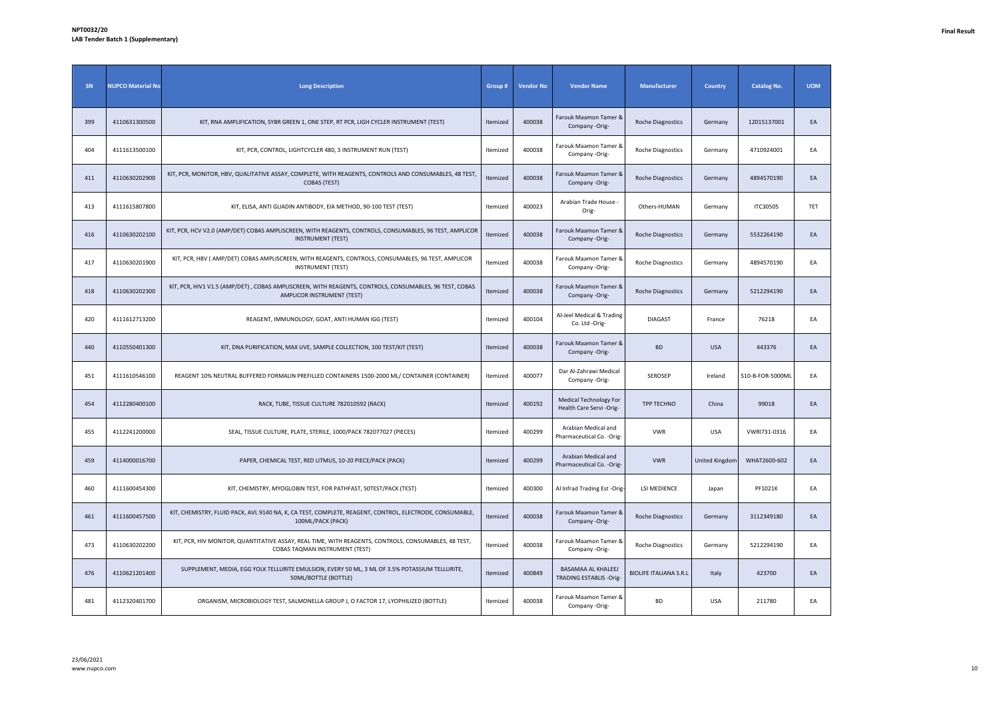| SN  | <b>NUPCO Material No</b> | <b>Long Description</b>                                                                                                                | Group #  | <b>Vendor No</b> | <b>Vendor Name</b>                                        | <b>Manufacturer</b>           | Country        | <b>Catalog No.</b> | <b>UOM</b> |
|-----|--------------------------|----------------------------------------------------------------------------------------------------------------------------------------|----------|------------------|-----------------------------------------------------------|-------------------------------|----------------|--------------------|------------|
| 399 | 4110631300500            | KIT, RNA AMPLIFICATION, SYBR GREEN 1, ONE STEP, RT PCR, LIGH CYCLER INSTRUMENT (TEST)                                                  | Itemized | 400038           | Farouk Maamon Tamer &<br>Company -Orig-                   | <b>Roche Diagnostics</b>      | Germany        | 12015137001        | EA         |
| 404 | 4111613500100            | KIT, PCR, CONTROL, LIGHTCYCLER 480, 3 INSTRUMENT RUN (TEST)                                                                            | Itemized | 400038           | Farouk Maamon Tamer 8<br>Company -Orig-                   | Roche Diagnostics             | Germany        | 4710924001         | EA         |
| 411 | 4110630202900            | KIT, PCR, MONITOR, HBV, QUALITATIVE ASSAY, COMPLETE, WITH REAGENTS, CONTROLS AND CONSUMABLES, 48 TEST,<br>COBAS (TEST)                 | Itemized | 400038           | Farouk Maamon Tamer 8<br>Company -Orig-                   | <b>Roche Diagnostics</b>      | Germany        | 4894570190         | EA         |
| 413 | 4111615807800            | KIT, ELISA, ANTI GLIADIN ANTIBODY, EIA METHOD, 90-100 TEST (TEST)                                                                      | Itemized | 400023           | Arabian Trade House -<br>Orig-                            | Others-HUMAN                  | Germany        | ITC30505           | TET        |
| 416 | 4110630202100            | KIT, PCR, HCV V2.0 (AMP/DET) COBAS AMPLISCREEN, WITH REAGENTS, CONTROLS, CONSUMABLES, 96 TEST, AMPLICOR<br><b>INSTRUMENT (TEST)</b>    | Itemized | 400038           | Farouk Maamon Tamer &<br>Company -Orig-                   | Roche Diagnostics             | Germany        | 5532264190         | EA         |
| 417 | 4110630201900            | KIT, PCR, HBV ( AMP/DET) COBAS AMPLISCREEN, WITH REAGENTS, CONTROLS, CONSUMABLES, 96 TEST, AMPLICOR<br><b>INSTRUMENT (TEST)</b>        | Itemized | 400038           | Farouk Maamon Tamer &<br>Company -Orig-                   | <b>Roche Diagnostics</b>      | Germany        | 4894570190         | EA         |
| 418 | 4110630202300            | KIT, PCR, HIV1 V1.5 (AMP/DET), COBAS AMPLISCREEN, WITH REAGENTS, CONTROLS, CONSUMABLES, 96 TEST, COBAS<br>AMPLICOR INSTRUMENT (TEST)   | Itemized | 400038           | Farouk Maamon Tamer &<br>Company -Orig-                   | <b>Roche Diagnostics</b>      | Germany        | 5212294190         | EA         |
| 420 | 4111612713200            | REAGENT, IMMUNOLOGY, GOAT, ANTI HUMAN IGG (TEST)                                                                                       | Itemized | 400104           | Al-Jeel Medical & Trading<br>Co. Ltd -Orig-               | <b>DIAGAST</b>                | France         | 76218              | EA         |
| 440 | 4110550401300            | KIT, DNA PURIFICATION, MAX UVE, SAMPLE COLLECTION, 100 TEST/KIT (TEST)                                                                 | Itemized | 400038           | Farouk Maamon Tamer &<br>Company -Orig-                   | <b>BD</b>                     | <b>USA</b>     | 443376             | EA         |
| 451 | 4111610546100            | REAGENT 10% NEUTRAL BUFFERED FORMALIN PREFILLED CONTAINERS 1500-2000 ML/ CONTAINER (CONTAINER)                                         | Itemized | 400077           | Dar Al-Zahrawi Medical<br>Company -Orig-                  | <b>SEROSEP</b>                | Ireland        | S10-B-FOR-5000ML   | EA         |
| 454 | 4112280400100            | RACK, TUBE, TISSUE CULTURE 782010592 (RACK)                                                                                            | Itemized | 400192           | <b>Medical Technology For</b><br>Health Care Servi -Orig- | TPP TECHNO                    | China          | 99018              | EA         |
| 455 | 4112241200000            | SEAL, TISSUE CULTURE, PLATE, STERILE, 1000/PACK 782077027 (PIECES)                                                                     | Itemized | 400299           | Arabian Medical and<br>Pharmaceutical Co. - Orig-         | <b>VWR</b>                    | <b>USA</b>     | VWRI731-0316       | EA         |
| 459 | 4114000016700            | PAPER, CHEMICAL TEST, RED LITMUS, 10-20 PIECE/PACK (PACK)                                                                              | Itemized | 400299           | Arabian Medical and<br>Pharmaceutical Co. - Orig-         | <b>VWR</b>                    | United Kingdom | WHAT2600-602       | EA         |
| 460 | 4111600454300            | KIT, CHEMISTRY, MYOGLOBIN TEST, FOR PATHFAST, 50TEST/PACK (TEST)                                                                       | Itemized | 400300           | Al Infrad Trading Est -Orig-                              | <b>LSI MEDIENCE</b>           | Japan          | PF1021K            | EA         |
| 461 | 4111600457500            | KIT, CHEMISTRY, FLUID PACK, AVL 9140 NA, K, CA TEST, COMPLETE, REAGENT, CONTROL, ELECTRODE, CONSUMABLE,<br>100ML/PACK (PACK)           | Itemized | 400038           | Farouk Maamon Tamer &<br>Company -Orig-                   | Roche Diagnostics             | Germany        | 3112349180         | EA         |
| 473 | 4110630202200            | KIT, PCR, HIV MONITOR, QUANTITATIVE ASSAY, REAL TIME, WITH REAGENTS, CONTROLS, CONSUMABLES, 48 TEST,<br>COBAS TAQMAN INSTRUMENT (TEST) | Itemized | 400038           | Farouk Maamon Tamer &<br>Company -Orig-                   | <b>Roche Diagnostics</b>      | Germany        | 5212294190         | EA         |
| 476 | 4110621201400            | SUPPLEMENT, MEDIA, EGG YOLK TELLURITE EMULSION, EVERY 50 ML, 3 ML OF 3.5% POTASSIUM TELLURITE,<br>50ML/BOTTLE (BOTTLE)                 | Itemized | 400849           | BASAMAA AL KHALEEJ<br><b>TRADING ESTABLIS -Orig-</b>      | <b>BIOLIFE ITALIANA S.R.L</b> | Italy          | 423700             | EA         |
| 481 | 4112320401700            | ORGANISM, MICROBIOLOGY TEST, SALMONELLA GROUP J, O FACTOR 17, LYOPHILIZED (BOTTLE)                                                     | Itemized | 400038           | Farouk Maamon Tamer &<br>Company -Orig-                   | <b>BD</b>                     | <b>USA</b>     | 211780             | EA         |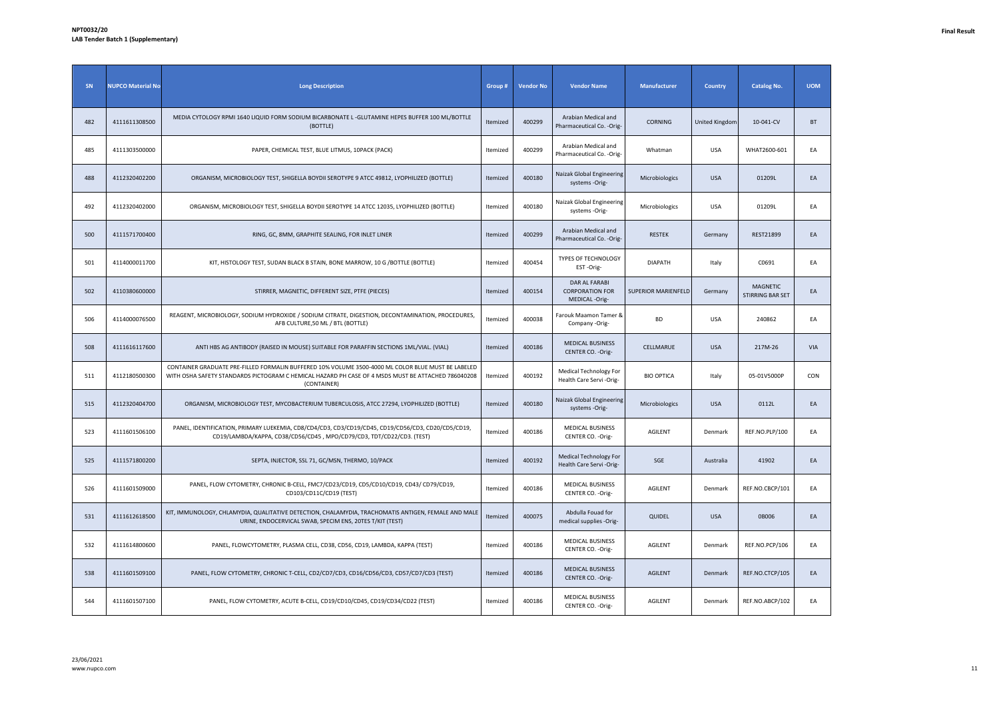| <b>SN</b> | <b>NUPCO Material No</b> | <b>Long Description</b>                                                                                                                                                                                                 | Group #  | <b>Vendor No</b> | <b>Vendor Name</b>                                        | <b>Manufacturer</b>        | <b>Country</b>        | <b>Catalog No.</b>                  | <b>UOM</b> |
|-----------|--------------------------|-------------------------------------------------------------------------------------------------------------------------------------------------------------------------------------------------------------------------|----------|------------------|-----------------------------------------------------------|----------------------------|-----------------------|-------------------------------------|------------|
| 482       | 4111611308500            | MEDIA CYTOLOGY RPMI 1640 LIQUID FORM SODIUM BICARBONATE L -GLUTAMINE HEPES BUFFER 100 ML/BOTTLE<br>(BOTTLE)                                                                                                             | Itemized | 400299           | Arabian Medical and<br>Pharmaceutical Co. - Orig-         | <b>CORNING</b>             | <b>United Kingdom</b> | 10-041-CV                           | <b>BT</b>  |
| 485       | 4111303500000            | PAPER, CHEMICAL TEST, BLUE LITMUS, 10PACK (PACK)                                                                                                                                                                        | Itemized | 400299           | Arabian Medical and<br>Pharmaceutical Co. - Orig-         | Whatman                    | <b>USA</b>            | WHAT2600-601                        | EA         |
| 488       | 4112320402200            | ORGANISM, MICROBIOLOGY TEST, SHIGELLA BOYDII SEROTYPE 9 ATCC 49812, LYOPHILIZED (BOTTLE)                                                                                                                                | Itemized | 400180           | Naizak Global Engineering<br>systems -Orig-               | Microbiologics             | <b>USA</b>            | 01209L                              | EA         |
| 492       | 4112320402000            | ORGANISM, MICROBIOLOGY TEST, SHIGELLA BOYDII SEROTYPE 14 ATCC 12035, LYOPHILIZED (BOTTLE)                                                                                                                               | Itemized | 400180           | Naizak Global Engineering<br>systems -Orig-               | Microbiologics             | USA                   | 01209L                              | EA         |
| 500       | 4111571700400            | RING, GC, 8MM, GRAPHITE SEALING, FOR INLET LINER                                                                                                                                                                        | Itemized | 400299           | Arabian Medical and<br>Pharmaceutical Co. - Orig-         | <b>RESTEK</b>              | Germany               | REST21899                           | EA         |
| 501       | 4114000011700            | KIT, HISTOLOGY TEST, SUDAN BLACK B STAIN, BONE MARROW, 10 G / BOTTLE (BOTTLE)                                                                                                                                           | Itemized | 400454           | TYPES OF TECHNOLOGY<br>EST-Orig-                          | <b>DIAPATH</b>             | Italy                 | C0691                               | EA         |
| 502       | 4110380600000            | STIRRER, MAGNETIC, DIFFERENT SIZE, PTFE (PIECES)                                                                                                                                                                        | Itemized | 400154           | DAR AL FARABI<br><b>CORPORATION FOR</b><br>MEDICAL -Orig- | <b>SUPERIOR MARIENFELD</b> | Germany               | <b>MAGNETIC</b><br>STIRRING BAR SET | EA         |
| 506       | 4114000076500            | REAGENT, MICROBIOLOGY, SODIUM HYDROXIDE / SODIUM CITRATE, DIGESTION, DECONTAMINATION, PROCEDURES,<br>AFB CULTURE, 50 ML / BTL (BOTTLE)                                                                                  | Itemized | 400038           | Farouk Maamon Tamer &<br>Company -Orig-                   | <b>BD</b>                  | USA                   | 240862                              | EA         |
| 508       | 4111616117600            | ANTI HBS AG ANTIBODY (RAISED IN MOUSE) SUITABLE FOR PARAFFIN SECTIONS 1ML/VIAL. (VIAL)                                                                                                                                  | Itemized | 400186           | MEDICAL BUSINESS<br>CENTER CO. - Orig-                    | CELLMARUE                  | <b>USA</b>            | 217M-26                             | VIA        |
| 511       | 4112180500300            | CONTAINER GRADUATE PRE-FILLED FORMALIN BUFFERED 10% VOLUME 3500-4000 ML COLOR BLUE MUST BE LABELED<br>WITH OSHA SAFETY STANDARDS PICTOGRAM C HEMICAL HAZARD PH CASE OF 4 MSDS MUST BE ATTACHED 786040208<br>(CONTAINER) | Itemized | 400192           | Medical Technology For<br>Health Care Servi -Orig-        | <b>BIO OPTICA</b>          | Italy                 | 05-01V5000P                         | CON        |
| 515       | 4112320404700            | ORGANISM, MICROBIOLOGY TEST, MYCOBACTERIUM TUBERCULOSIS, ATCC 27294, LYOPHILIZED (BOTTLE)                                                                                                                               | Itemized | 400180           | Naizak Global Engineering<br>systems -Orig-               | Microbiologics             | <b>USA</b>            | 0112L                               | EA         |
| 523       | 4111601506100            | PANEL, IDENTIFICATION, PRIMARY LUEKEMIA, CD8/CD4/CD3, CD3/CD19/CD45, CD19/CD56/CD3, CD20/CD5/CD19,<br>CD19/LAMBDA/KAPPA, CD38/CD56/CD45, MPO/CD79/CD3, TDT/CD22/CD3. (TEST)                                             | Itemized | 400186           | <b>MEDICAL BUSINESS</b><br>CENTER CO. - Orig-             | <b>AGILENT</b>             | Denmark               | REF.NO.PLP/100                      | EA         |
| 525       | 4111571800200            | SEPTA, INJECTOR, SSL 71, GC/MSN, THERMO, 10/PACK                                                                                                                                                                        | Itemized | 400192           | Medical Technology For<br>Health Care Servi - Orig-       | SGE                        | Australia             | 41902                               | EA         |
| 526       | 4111601509000            | PANEL, FLOW CYTOMETRY, CHRONIC B-CELL, FMC7/CD23/CD19, CD5/CD10/CD19, CD43/ CD79/CD19,<br>CD103/CD11C/CD19 (TEST)                                                                                                       | Itemized | 400186           | <b>MEDICAL BUSINESS</b><br>CENTER CO. - Orig-             | AGILENT                    | Denmark               | REF.NO.CBCP/101                     | EA         |
| 531       | 4111612618500            | KIT, IMMUNOLOGY, CHLAMYDIA, QUALITATIVE DETECTION, CHALAMYDIA, TRACHOMATIS ANTIGEN, FEMALE AND MALE<br>URINE, ENDOCERVICAL SWAB, SPECIM ENS, 20TES T/KIT (TEST)                                                         | Itemized | 400075           | Abdulla Fouad for<br>medical supplies -Orig-              | QUIDEL                     | <b>USA</b>            | 0B006                               | EA         |
| 532       | 4111614800600            | PANEL, FLOWCYTOMETRY, PLASMA CELL, CD38, CD56, CD19, LAMBDA, KAPPA (TEST)                                                                                                                                               | Itemized | 400186           | MEDICAL BUSINESS<br>CENTER CO. - Orig-                    | <b>AGILENT</b>             | Denmark               | REF.NO.PCP/106                      | EA         |
| 538       | 4111601509100            | PANEL, FLOW CYTOMETRY, CHRONIC T-CELL, CD2/CD7/CD3, CD16/CD56/CD3, CD57/CD7/CD3 (TEST)                                                                                                                                  | Itemized | 400186           | <b>MEDICAL BUSINESS</b><br>CENTER CO. - Orig-             | <b>AGILENT</b>             | Denmark               | REF.NO.CTCP/105                     | EA         |
| 544       | 4111601507100            | PANEL, FLOW CYTOMETRY, ACUTE B-CELL, CD19/CD10/CD45, CD19/CD34/CD22 (TEST)                                                                                                                                              | Itemized | 400186           | <b>MEDICAL BUSINESS</b><br>CENTER CO. - Orig-             | AGILENT                    | Denmark               | REF.NO.ABCP/102                     | EA         |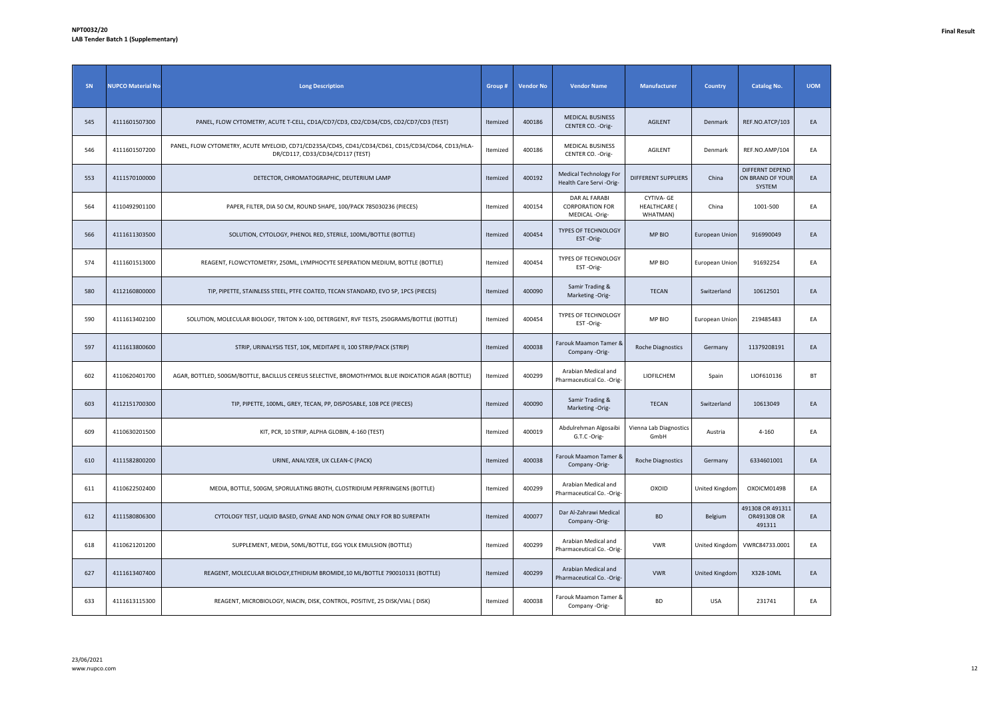| SN  | <b>NUPCO Material No</b> | <b>Long Description</b>                                                                                                               | Group #  | <b>Vendor No</b> | <b>Vendor Name</b>                                       | Manufacturer                                  | <b>Country</b> | <b>Catalog No.</b>                            | <b>UOM</b> |
|-----|--------------------------|---------------------------------------------------------------------------------------------------------------------------------------|----------|------------------|----------------------------------------------------------|-----------------------------------------------|----------------|-----------------------------------------------|------------|
| 545 | 4111601507300            | PANEL, FLOW CYTOMETRY, ACUTE T-CELL, CD1A/CD7/CD3, CD2/CD34/CD5, CD2/CD7/CD3 (TEST)                                                   | Itemized | 400186           | <b>MEDICAL BUSINESS</b><br>CENTER CO. - Orig-            | <b>AGILENT</b>                                | Denmark        | REF.NO.ATCP/103                               | EA         |
| 546 | 4111601507200            | PANEL, FLOW CYTOMETRY, ACUTE MYELOID, CD71/CD235A/CD45, CD41/CD34/CD61, CD15/CD34/CD64, CD13/HLA-<br>DR/CD117, CD33/CD34/CD117 (TEST) | Itemized | 400186           | MEDICAL BUSINESS<br>CENTER CO. - Orig-                   | AGILENT                                       | Denmark        | REF.NO.AMP/104                                | EA         |
| 553 | 4111570100000            | DETECTOR, CHROMATOGRAPHIC, DEUTERIUM LAMP                                                                                             | Itemized | 400192           | Medical Technology For<br>Health Care Servi-Orig-        | DIFFERENT SUPPLIERS                           | China          | DIFFERNT DEPEND<br>ON BRAND OF YOUR<br>SYSTEM | EA         |
| 564 | 4110492901100            | PAPER, FILTER, DIA 50 CM, ROUND SHAPE, 100/PACK 785030236 (PIECES)                                                                    | Itemized | 400154           | DAR AL FARABI<br><b>CORPORATION FOR</b><br>MEDICAL-Orig- | CYTIVA- GE<br><b>HEALTHCARE (</b><br>WHATMAN) | China          | 1001-500                                      | EA         |
| 566 | 4111611303500            | SOLUTION, CYTOLOGY, PHENOL RED, STERILE, 100ML/BOTTLE (BOTTLE)                                                                        | Itemized | 400454           | <b>TYPES OF TECHNOLOGY</b><br>EST-Orig-                  | MP BIO                                        | European Union | 916990049                                     | EA         |
| 574 | 4111601513000            | REAGENT, FLOWCYTOMETRY, 250ML, LYMPHOCYTE SEPERATION MEDIUM, BOTTLE (BOTTLE)                                                          | Itemized | 400454           | TYPES OF TECHNOLOGY<br>EST-Orig-                         | MP BIO                                        | European Union | 91692254                                      | EA         |
| 580 | 4112160800000            | TIP, PIPETTE, STAINLESS STEEL, PTFE COATED, TECAN STANDARD, EVO SP, 1PCS (PIECES)                                                     | Itemized | 400090           | Samir Trading &<br>Marketing -Orig-                      | <b>TECAN</b>                                  | Switzerland    | 10612501                                      | EA         |
| 590 | 4111613402100            | SOLUTION, MOLECULAR BIOLOGY, TRITON X-100, DETERGENT, RVF TESTS, 250GRAMS/BOTTLE (BOTTLE)                                             | Itemized | 400454           | TYPES OF TECHNOLOGY<br>EST-Orig-                         | MP BIO                                        | European Union | 219485483                                     | EA         |
| 597 | 4111613800600            | STRIP, URINALYSIS TEST, 10K, MEDITAPE II, 100 STRIP/PACK (STRIP)                                                                      | Itemized | 400038           | Farouk Maamon Tamer &<br>Company -Orig-                  | Roche Diagnostics                             | Germany        | 11379208191                                   | EA         |
| 602 | 4110620401700            | AGAR, BOTTLED, 500GM/BOTTLE, BACILLUS CEREUS SELECTIVE, BROMOTHYMOL BLUE INDICATIOR AGAR (BOTTLE)                                     | Itemized | 400299           | Arabian Medical and<br>Pharmaceutical Co. - Orig-        | LIOFILCHEM                                    | Spain          | LIOF610136                                    | <b>BT</b>  |
| 603 | 4112151700300            | TIP, PIPETTE, 100ML, GREY, TECAN, PP, DISPOSABLE, 108 PCE (PIECES)                                                                    | Itemized | 400090           | Samir Trading &<br>Marketing -Orig-                      | <b>TECAN</b>                                  | Switzerland    | 10613049                                      | EA         |
| 609 | 4110630201500            | KIT, PCR, 10 STRIP, ALPHA GLOBIN, 4-160 (TEST)                                                                                        | Itemized | 400019           | Abdulrehman Algosaibi<br>G.T.C -Orig-                    | Vienna Lab Diagnostics<br>GmbH                | Austria        | $4 - 160$                                     | EA         |
| 610 | 4111582800200            | URINE, ANALYZER, UX CLEAN-C (PACK)                                                                                                    | Itemized | 400038           | Farouk Maamon Tamer &<br>Company -Orig-                  | <b>Roche Diagnostics</b>                      | Germany        | 6334601001                                    | EA         |
| 611 | 4110622502400            | MEDIA, BOTTLE, 500GM, SPORULATING BROTH, CLOSTRIDIUM PERFRINGENS (BOTTLE)                                                             | Itemized | 400299           | Arabian Medical and<br>Pharmaceutical Co. - Orig-        | OXOID                                         | United Kingdom | OXOICM0149B                                   | EA         |
| 612 | 4111580806300            | CYTOLOGY TEST, LIQUID BASED, GYNAE AND NON GYNAE ONLY FOR BD SUREPATH                                                                 | Itemized | 400077           | Dar Al-Zahrawi Medical<br>Company -Orig-                 | <b>BD</b>                                     | Belgium        | 491308 OR 491311<br>OR491308 OR<br>491311     | EA         |
| 618 | 4110621201200            | SUPPLEMENT, MEDIA, 50ML/BOTTLE, EGG YOLK EMULSION (BOTTLE)                                                                            | Itemized | 400299           | Arabian Medical and<br>Pharmaceutical Co. - Orig-        | <b>VWR</b>                                    | United Kingdom | VWRC84733.0001                                | EA         |
| 627 | 4111613407400            | REAGENT, MOLECULAR BIOLOGY, ETHIDIUM BROMIDE, 10 ML/BOTTLE 790010131 (BOTTLE)                                                         | Itemized | 400299           | Arabian Medical and<br>Pharmaceutical Co. - Orig-        | <b>VWR</b>                                    | United Kingdom | X328-10ML                                     | EA         |
| 633 | 4111613115300            | REAGENT, MICROBIOLOGY, NIACIN, DISK, CONTROL, POSITIVE, 25 DISK/VIAL (DISK)                                                           | Itemized | 400038           | Farouk Maamon Tamer &<br>Company -Orig-                  | <b>BD</b>                                     | <b>USA</b>     | 231741                                        | EA         |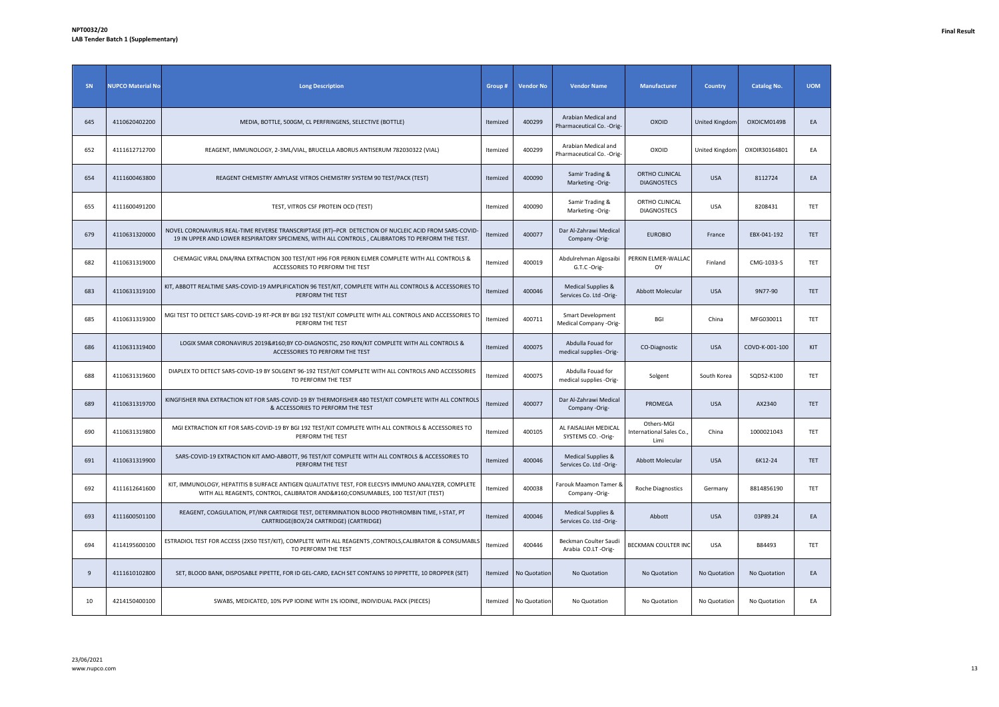| SN  | <b>NUPCO Material No</b> | <b>Long Description</b>                                                                                                                                                                                  | Group #  | <b>Vendor No</b> | <b>Vendor Name</b>                                | <b>Manufacturer</b>                           | <b>Country</b>        | <b>Catalog No.</b> | <b>UOM</b> |
|-----|--------------------------|----------------------------------------------------------------------------------------------------------------------------------------------------------------------------------------------------------|----------|------------------|---------------------------------------------------|-----------------------------------------------|-----------------------|--------------------|------------|
| 645 | 4110620402200            | MEDIA, BOTTLE, 500GM, CL PERFRINGENS, SELECTIVE (BOTTLE)                                                                                                                                                 | Itemized | 400299           | Arabian Medical and<br>Pharmaceutical Co. - Orig- | OXOID                                         | <b>United Kingdom</b> | OXOICM0149B        | EA         |
| 652 | 4111612712700            | REAGENT, IMMUNOLOGY, 2-3ML/VIAL, BRUCELLA ABORUS ANTISERUM 782030322 (VIAL)                                                                                                                              | Itemized | 400299           | Arabian Medical and<br>Pharmaceutical Co. - Orig- | OXOID                                         | United Kingdom        | OXOIR30164801      | EA         |
| 654 | 4111600463800            | REAGENT CHEMISTRY AMYLASE VITROS CHEMISTRY SYSTEM 90 TEST/PACK (TEST)                                                                                                                                    | Itemized | 400090           | Samir Trading &<br>Marketing -Orig-               | ORTHO CLINICAL<br><b>DIAGNOSTECS</b>          | <b>USA</b>            | 8112724            | EA         |
| 655 | 4111600491200            | TEST, VITROS CSF PROTEIN OCD (TEST)                                                                                                                                                                      | Itemized | 400090           | Samir Trading &<br>Marketing -Orig-               | ORTHO CLINICAL<br><b>DIAGNOSTECS</b>          | <b>USA</b>            | 8208431            | TET        |
| 679 | 4110631320000            | NOVEL CORONAVIRUS REAL-TIME REVERSE TRANSCRIPTASE (RT)-PCR DETECTION OF NUCLEIC ACID FROM SARS-COVID<br>19 IN UPPER AND LOWER RESPIRATORY SPECIMENS, WITH ALL CONTROLS, CALIBRATORS TO PERFORM THE TEST. | Itemized | 400077           | Dar Al-Zahrawi Medical<br>Company -Orig-          | <b>EUROBIO</b>                                | France                | EBX-041-192        | TET        |
| 682 | 4110631319000            | CHEMAGIC VIRAL DNA/RNA EXTRACTION 300 TEST/KIT H96 FOR PERKIN ELMER COMPLETE WITH ALL CONTROLS &<br>ACCESSORIES TO PERFORM THE TEST                                                                      | Itemized | 400019           | Abdulrehman Algosaibi<br>G.T.C -Orig-             | PERKIN ELMER-WALLAC<br>OY                     | Finland               | CMG-1033-S         | TET        |
| 683 | 4110631319100            | KIT, ABBOTT REALTIME SARS-COVID-19 AMPLIFICATION 96 TEST/KIT, COMPLETE WITH ALL CONTROLS & ACCESSORIES TO<br>PERFORM THE TEST                                                                            | Itemized | 400046           | Medical Supplies &<br>Services Co. Ltd -Orig-     | Abbott Molecular                              | <b>USA</b>            | 9N77-90            | TET        |
| 685 | 4110631319300            | MGI TEST TO DETECT SARS-COVID-19 RT-PCR BY BGI 192 TEST/KIT COMPLETE WITH ALL CONTROLS AND ACCESSORIES TO<br>PERFORM THE TEST                                                                            | Itemized | 400711           | Smart Development<br>Medical Company -Orig-       | <b>BGI</b>                                    | China                 | MFG030011          | TET        |
| 686 | 4110631319400            | LOGIX SMAR CORONAVIRUS 2019 BY CO-DIAGNOSTIC, 250 RXN/KIT COMPLETE WITH ALL CONTROLS &<br>ACCESSORIES TO PERFORM THE TEST                                                                                | Itemized | 400075           | Abdulla Fouad for<br>medical supplies -Orig-      | CO-Diagnostic                                 | <b>USA</b>            | COVD-K-001-100     | KIT        |
| 688 | 4110631319600            | DIAPLEX TO DETECT SARS-COVID-19 BY SOLGENT 96-192 TEST/KIT COMPLETE WITH ALL CONTROLS AND ACCESSORIES<br>TO PERFORM THE TEST                                                                             | Itemized | 400075           | Abdulla Fouad for<br>medical supplies -Orig-      | Solgent                                       | South Korea           | SQD52-K100         | TET        |
| 689 | 4110631319700            | KINGFISHER RNA EXTRACTION KIT FOR SARS-COVID-19 BY THERMOFISHER 480 TEST/KIT COMPLETE WITH ALL CONTROLS<br>& ACCESSORIES TO PERFORM THE TEST                                                             | Itemized | 400077           | Dar Al-Zahrawi Medical<br>Company -Orig-          | PROMEGA                                       | <b>USA</b>            | AX2340             | TET        |
| 690 | 4110631319800            | MGI EXTRACTION KIT FOR SARS-COVID-19 BY BGI 192 TEST/KIT COMPLETE WITH ALL CONTROLS & ACCESSORIES TO<br>PERFORM THE TEST                                                                                 | Itemized | 400105           | AL FAISALIAH MEDICAL<br>SYSTEMS CO. - Orig-       | Others-MGI<br>International Sales Co.<br>Limi | China                 | 1000021043         | TET        |
| 691 | 4110631319900            | SARS-COVID-19 EXTRACTION KIT AMO-ABBOTT, 96 TEST/KIT COMPLETE WITH ALL CONTROLS & ACCESSORIES TO<br>PERFORM THE TEST                                                                                     | Itemized | 400046           | Medical Supplies &<br>Services Co. Ltd -Orig-     | Abbott Molecular                              | <b>USA</b>            | 6K12-24            | <b>TET</b> |
| 692 | 4111612641600            | KIT, IMMUNOLOGY, HEPATITIS B SURFACE ANTIGEN QUALITATIVE TEST, FOR ELECSYS IMMUNO ANALYZER, COMPLETE<br>WITH ALL REAGENTS, CONTROL, CALIBRATOR AND  CONSUMABLES, 100 TEST/KIT (TEST)                     | Itemized | 400038           | Farouk Maamon Tamer &<br>Company -Orig-           | <b>Roche Diagnostics</b>                      | Germany               | 8814856190         | TET        |
| 693 | 4111600501100            | REAGENT, COAGULATION, PT/INR CARTRIDGE TEST, DETERMINATION BLOOD PROTHROMBIN TIME, I-STAT, PT<br>CARTRIDGE(BOX/24 CARTRIDGE) (CARTRIDGE)                                                                 | Itemized | 400046           | Medical Supplies &<br>Services Co. Ltd -Orig-     | Abbott                                        | <b>USA</b>            | 03P89.24           | EA         |
| 694 | 4114195600100            | ESTRADIOL TEST FOR ACCESS (2X50 TEST/KIT), COMPLETE WITH ALL REAGENTS ,CONTROLS,CALIBRATOR & CONSUMABLS<br>TO PERFORM THE TEST                                                                           | Itemized | 400446           | Beckman Coulter Saudi<br>Arabia CO.LT-Orig-       | BECKMAN COULTER INC                           | <b>USA</b>            | B84493             | TET        |
| 9   | 4111610102800            | SET, BLOOD BANK, DISPOSABLE PIPETTE, FOR ID GEL-CARD, EACH SET CONTAINS 10 PIPPETTE, 10 DROPPER (SET)                                                                                                    | Itemized | No Quotation     | No Quotation                                      | No Quotation                                  | No Quotation          | No Quotation       | EA         |
| 10  | 4214150400100            | SWABS, MEDICATED, 10% PVP IODINE WITH 1% IODINE, INDIVIDUAL PACK (PIECES)                                                                                                                                | Itemized | No Quotation     | No Quotation                                      | No Quotation                                  | No Quotation          | No Quotation       | EA         |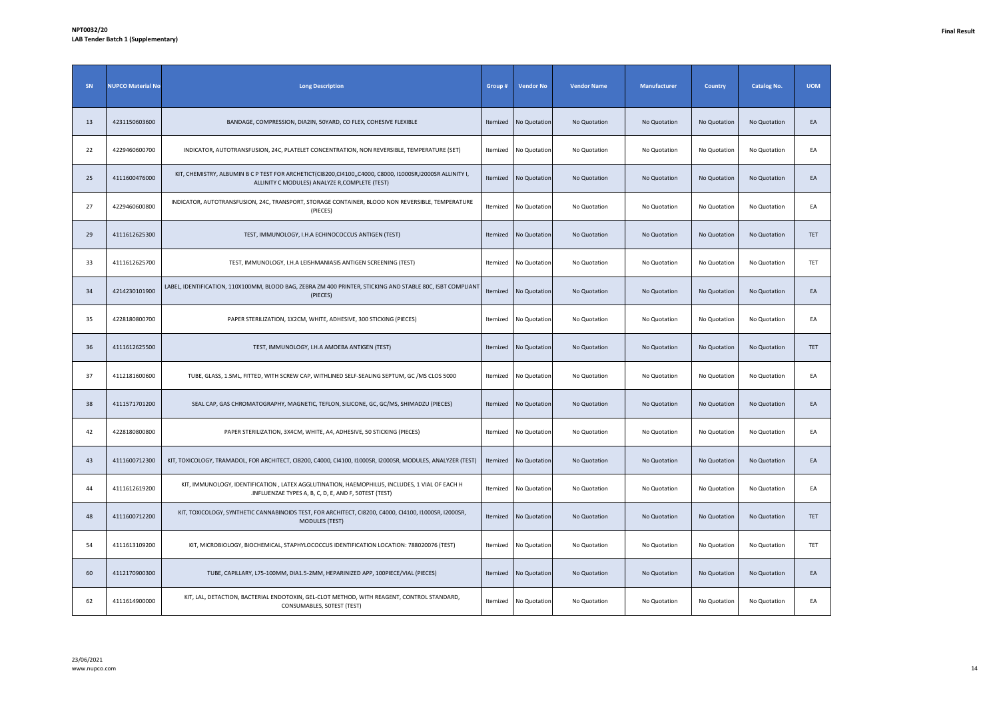| SN | <b>NUPCO Material No</b> | <b>Long Description</b>                                                                                                                                     | Group #         | <b>Vendor No</b>      | <b>Vendor Name</b> | Manufacturer | <b>Country</b> | <b>Catalog No.</b> | <b>UOM</b> |
|----|--------------------------|-------------------------------------------------------------------------------------------------------------------------------------------------------------|-----------------|-----------------------|--------------------|--------------|----------------|--------------------|------------|
| 13 | 4231150603600            | BANDAGE, COMPRESSION, DIA2IN, 50YARD, CO FLEX, COHESIVE FLEXIBLE                                                                                            | Itemized        | No Quotation          | No Quotation       | No Quotation | No Quotation   | No Quotation       | EA         |
| 22 | 4229460600700            | INDICATOR, AUTOTRANSFUSION, 24C, PLATELET CONCENTRATION, NON REVERSIBLE, TEMPERATURE (SET)                                                                  |                 | Itemized No Quotation | No Quotation       | No Quotation | No Quotation   | No Quotation       | EA         |
| 25 | 4111600476000            | KIT, CHEMISTRY, ALBUMIN B C P TEST FOR ARCHETICT(CI8200,CI4100,,C4000, C8000, I1000SR,I2000SR ALLINITY I,<br>ALLINITY C MODULES) ANALYZE R, COMPLETE (TEST) | Itemized        | No Quotation          | No Quotation       | No Quotation | No Quotation   | No Quotation       | EA         |
| 27 | 4229460600800            | INDICATOR, AUTOTRANSFUSION, 24C, TRANSPORT, STORAGE CONTAINER, BLOOD NON REVERSIBLE, TEMPERATURE<br>(PIECES)                                                | Itemized        | No Quotation          | No Quotation       | No Quotation | No Quotation   | No Quotation       | EA         |
| 29 | 4111612625300            | TEST, IMMUNOLOGY, I.H.A ECHINOCOCCUS ANTIGEN (TEST)                                                                                                         | Itemized        | No Quotation          | No Quotation       | No Quotation | No Quotation   | No Quotation       | <b>TET</b> |
| 33 | 4111612625700            | TEST, IMMUNOLOGY, I.H.A LEISHMANIASIS ANTIGEN SCREENING (TEST)                                                                                              | <b>Itemized</b> | No Quotation          | No Quotation       | No Quotation | No Quotation   | No Quotation       | TET        |
| 34 | 4214230101900            | LABEL, IDENTIFICATION, 110X100MM, BLOOD BAG, ZEBRA ZM 400 PRINTER, STICKING AND STABLE 80C, ISBT COMPLIANT<br>(PIECES)                                      | Itemized        | No Quotation          | No Quotation       | No Quotation | No Quotation   | No Quotation       | EA         |
| 35 | 4228180800700            | PAPER STERILIZATION, 1X2CM, WHITE, ADHESIVE, 300 STICKING (PIECES)                                                                                          | Itemized        | No Quotation          | No Quotation       | No Quotation | No Quotation   | No Quotation       | EA         |
| 36 | 4111612625500            | TEST, IMMUNOLOGY, I.H.A AMOEBA ANTIGEN (TEST)                                                                                                               | Itemized        | No Quotation          | No Quotation       | No Quotation | No Quotation   | No Quotation       | <b>TET</b> |
| 37 | 4112181600600            | TUBE, GLASS, 1.5ML, FITTED, WITH SCREW CAP, WITHLINED SELF-SEALING SEPTUM, GC / MS CLOS 5000                                                                |                 | Itemized No Quotation | No Quotation       | No Quotation | No Quotation   | No Quotation       | EA         |
| 38 | 4111571701200            | SEAL CAP, GAS CHROMATOGRAPHY, MAGNETIC, TEFLON, SILICONE, GC, GC/MS, SHIMADZU (PIECES)                                                                      | Itemized        | No Quotation          | No Quotation       | No Quotation | No Quotation   | No Quotation       | EA         |
| 42 | 4228180800800            | PAPER STERILIZATION, 3X4CM, WHITE, A4, ADHESIVE, 50 STICKING (PIECES)                                                                                       | Itemized        | No Quotation          | No Quotation       | No Quotation | No Quotation   | No Quotation       | EA         |
| 43 | 4111600712300            | KIT, TOXICOLOGY, TRAMADOL, FOR ARCHITECT, CI8200, C4000, CI4100, I1000SR, I2000SR, MODULES, ANALYZER (TEST)                                                 | Itemized        | No Quotation          | No Quotation       | No Quotation | No Quotation   | No Quotation       | EA         |
| 44 | 4111612619200            | KIT, IMMUNOLOGY, IDENTIFICATION, LATEX AGGLUTINATION, HAEMOPHILUS, INCLUDES, 1 VIAL OF EACH H<br>.INFLUENZAE TYPES A, B, C, D, E, AND F, 50TEST (TEST)      | Itemized        | No Quotation          | No Quotation       | No Quotation | No Quotation   | No Quotation       | EA         |
| 48 | 4111600712200            | KIT, TOXICOLOGY, SYNTHETIC CANNABINOIDS TEST, FOR ARCHITECT, CI8200, C4000, CI4100, I1000SR, I2000SR,<br><b>MODULES (TEST)</b>                              | Itemized        | No Quotation          | No Quotation       | No Quotation | No Quotation   | No Quotation       | TET        |
| 54 | 4111613109200            | KIT, MICROBIOLOGY, BIOCHEMICAL, STAPHYLOCOCCUS IDENTIFICATION LOCATION: 788020076 (TEST)                                                                    |                 | Itemized No Quotation | No Quotation       | No Quotation | No Quotation   | No Quotation       | TET        |
| 60 | 4112170900300            | TUBE, CAPILLARY, L75-100MM, DIA1.5-2MM, HEPARINIZED APP, 100PIECE/VIAL (PIECES)                                                                             | Itemized        | No Quotation          | No Quotation       | No Quotation | No Quotation   | No Quotation       | EA         |
| 62 | 4111614900000            | KIT, LAL, DETACTION, BACTERIAL ENDOTOXIN, GEL-CLOT METHOD, WITH REAGENT, CONTROL STANDARD,<br>CONSUMABLES, 50TEST (TEST)                                    | <b>Itemized</b> | No Quotation          | No Quotation       | No Quotation | No Quotation   | No Quotation       | EA         |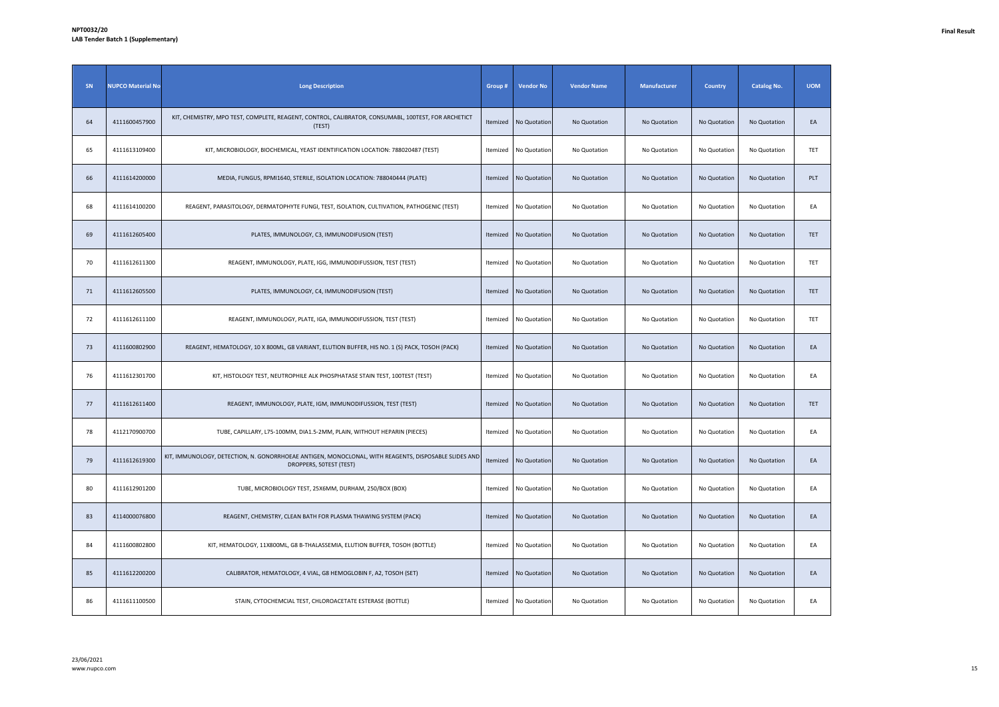| SN | <b>NUPCO Material No</b> | <b>Long Description</b>                                                                                                         | Group #  | <b>Vendor No</b> | <b>Vendor Name</b> | Manufacturer | Country      | <b>Catalog No.</b> | <b>UOM</b> |
|----|--------------------------|---------------------------------------------------------------------------------------------------------------------------------|----------|------------------|--------------------|--------------|--------------|--------------------|------------|
| 64 | 4111600457900            | KIT, CHEMISTRY, MPO TEST, COMPLETE, REAGENT, CONTROL, CALIBRATOR, CONSUMABL, 100TEST, FOR ARCHETICT<br>(TEST)                   | Itemized | No Quotation     | No Quotation       | No Quotation | No Quotation | No Quotation       | EA         |
| 65 | 4111613109400            | KIT, MICROBIOLOGY, BIOCHEMICAL, YEAST IDENTIFICATION LOCATION: 788020487 (TEST)                                                 | Itemized | No Quotation     | No Quotation       | No Quotation | No Quotation | No Quotation       | TET        |
| 66 | 4111614200000            | MEDIA, FUNGUS, RPMI1640, STERILE, ISOLATION LOCATION: 788040444 (PLATE)                                                         | Itemized | No Quotation     | No Quotation       | No Quotation | No Quotation | No Quotation       | PLT        |
| 68 | 4111614100200            | REAGENT, PARASITOLOGY, DERMATOPHYTE FUNGI, TEST, ISOLATION, CULTIVATION, PATHOGENIC (TEST)                                      | Itemized | No Quotation     | No Quotation       | No Quotation | No Quotation | No Quotation       | EA         |
| 69 | 4111612605400            | PLATES, IMMUNOLOGY, C3, IMMUNODIFUSION (TEST)                                                                                   | Itemized | No Quotation     | No Quotation       | No Quotation | No Quotation | No Quotation       | TET        |
| 70 | 4111612611300            | REAGENT, IMMUNOLOGY, PLATE, IGG, IMMUNODIFUSSION, TEST (TEST)                                                                   | Itemized | No Quotation     | No Quotation       | No Quotation | No Quotation | No Quotation       | TET        |
| 71 | 4111612605500            | PLATES, IMMUNOLOGY, C4, IMMUNODIFUSION (TEST)                                                                                   | Itemized | No Quotation     | No Quotation       | No Quotation | No Quotation | No Quotation       | TET        |
| 72 | 4111612611100            | REAGENT, IMMUNOLOGY, PLATE, IGA, IMMUNODIFUSSION, TEST (TEST)                                                                   | Itemized | No Quotation     | No Quotation       | No Quotation | No Quotation | No Quotation       | TET        |
| 73 | 4111600802900            | REAGENT, HEMATOLOGY, 10 X 800ML, G8 VARIANT, ELUTION BUFFER, HIS NO. 1 (S) PACK, TOSOH (PACK)                                   | Itemized | No Quotation     | No Quotation       | No Quotation | No Quotation | No Quotation       | EA         |
| 76 | 4111612301700            | KIT, HISTOLOGY TEST, NEUTROPHILE ALK PHOSPHATASE STAIN TEST, 100TEST (TEST)                                                     | Itemized | No Quotation     | No Quotation       | No Quotation | No Quotation | No Quotation       | EA         |
| 77 | 4111612611400            | REAGENT, IMMUNOLOGY, PLATE, IGM, IMMUNODIFUSSION, TEST (TEST)                                                                   | Itemized | No Quotation     | No Quotation       | No Quotation | No Quotation | No Quotation       | <b>TET</b> |
| 78 | 4112170900700            | TUBE, CAPILLARY, L75-100MM, DIA1.5-2MM, PLAIN, WITHOUT HEPARIN (PIECES)                                                         | Itemized | No Quotation     | No Quotation       | No Quotation | No Quotation | No Quotation       | EA         |
| 79 | 4111612619300            | KIT, IMMUNOLOGY, DETECTION, N. GONORRHOEAE ANTIGEN, MONOCLONAL, WITH REAGENTS, DISPOSABLE SLIDES AND<br>DROPPERS, 50TEST (TEST) | Itemized | No Quotation     | No Quotation       | No Quotation | No Quotation | No Quotation       | EA         |
| 80 | 4111612901200            | TUBE, MICROBIOLOGY TEST, 25X6MM, DURHAM, 250/BOX (BOX)                                                                          | Itemized | No Quotation     | No Quotation       | No Quotation | No Quotation | No Quotation       | EA         |
| 83 | 4114000076800            | REAGENT, CHEMISTRY, CLEAN BATH FOR PLASMA THAWING SYSTEM (PACK)                                                                 | Itemized | No Quotation     | No Quotation       | No Quotation | No Quotation | No Quotation       | EA         |
| 84 | 4111600802800            | KIT, HEMATOLOGY, 11X800ML, G8 B-THALASSEMIA, ELUTION BUFFER, TOSOH (BOTTLE)                                                     | Itemized | No Quotation     | No Quotation       | No Quotation | No Quotation | No Quotation       | EA         |
| 85 | 4111612200200            | CALIBRATOR, HEMATOLOGY, 4 VIAL, G8 HEMOGLOBIN F, A2, TOSOH (SET)                                                                | Itemized | No Quotation     | No Quotation       | No Quotation | No Quotation | No Quotation       | EA         |
| 86 | 4111611100500            | STAIN, CYTOCHEMCIAL TEST, CHLOROACETATE ESTERASE (BOTTLE)                                                                       | Itemized | No Quotation     | No Quotation       | No Quotation | No Quotation | No Quotation       | EA         |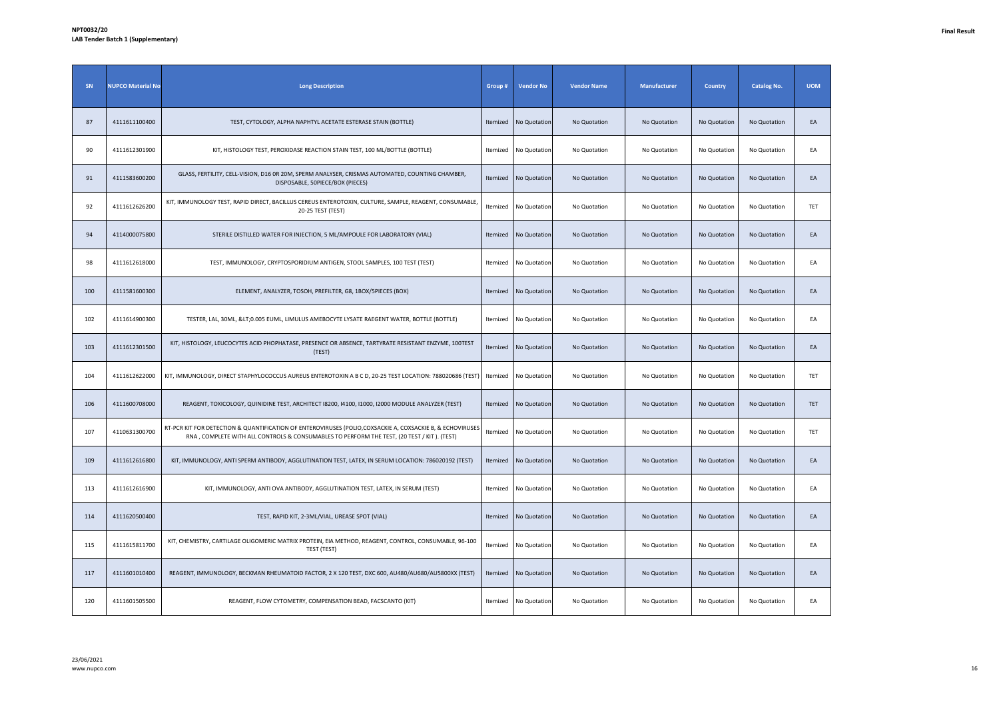| SN  | <b>NUPCO Material No</b> | <b>Long Description</b>                                                                                                                                                                                  | Group #  | <b>Vendor No</b> | <b>Vendor Name</b> | <b>Manufacturer</b> | <b>Country</b> | <b>Catalog No.</b> | <b>UOM</b> |
|-----|--------------------------|----------------------------------------------------------------------------------------------------------------------------------------------------------------------------------------------------------|----------|------------------|--------------------|---------------------|----------------|--------------------|------------|
| 87  | 4111611100400            | TEST, CYTOLOGY, ALPHA NAPHTYL ACETATE ESTERASE STAIN (BOTTLE)                                                                                                                                            | Itemized | No Quotation     | No Quotation       | No Quotation        | No Quotation   | No Quotation       | EA         |
| 90  | 4111612301900            | KIT, HISTOLOGY TEST, PEROXIDASE REACTION STAIN TEST, 100 ML/BOTTLE (BOTTLE)                                                                                                                              | Itemized | No Quotation     | No Quotation       | No Quotation        | No Quotation   | No Quotation       | EA         |
| 91  | 4111583600200            | GLASS, FERTILITY, CELL-VISION, D16 OR 20M, SPERM ANALYSER, CRISMAS AUTOMATED, COUNTING CHAMBER,<br>DISPOSABLE, 50PIECE/BOX (PIECES)                                                                      | Itemized | No Quotation     | No Quotation       | No Quotation        | No Quotation   | No Quotation       | EA         |
| 92  | 4111612626200            | KIT, IMMUNOLOGY TEST, RAPID DIRECT, BACILLUS CEREUS ENTEROTOXIN, CULTURE, SAMPLE, REAGENT, CONSUMABLE,<br>20-25 TEST (TEST)                                                                              | Itemized | No Quotation     | No Quotation       | No Quotation        | No Quotation   | No Quotation       | TET        |
| 94  | 4114000075800            | STERILE DISTILLED WATER FOR INJECTION, 5 ML/AMPOULE FOR LABORATORY (VIAL)                                                                                                                                | Itemized | No Quotation     | No Quotation       | No Quotation        | No Quotation   | No Quotation       | EA         |
| 98  | 4111612618000            | TEST, IMMUNOLOGY, CRYPTOSPORIDIUM ANTIGEN, STOOL SAMPLES, 100 TEST (TEST)                                                                                                                                | Itemized | No Quotation     | No Quotation       | No Quotation        | No Quotation   | No Quotation       | EA         |
| 100 | 4111581600300            | ELEMENT, ANALYZER, TOSOH, PREFILTER, G8, 1BOX/5PIECES (BOX)                                                                                                                                              | Itemized | No Quotation     | No Quotation       | No Quotation        | No Quotation   | No Quotation       | EA         |
| 102 | 4111614900300            | TESTER, LAL, 30ML, <0.005 EUML, LIMULUS AMEBOCYTE LYSATE RAEGENT WATER, BOTTLE (BOTTLE)                                                                                                                  | Itemized | No Quotation     | No Quotation       | No Quotation        | No Quotation   | No Quotation       | EA         |
| 103 | 4111612301500            | KIT, HISTOLOGY, LEUCOCYTES ACID PHOPHATASE, PRESENCE OR ABSENCE, TARTYRATE RESISTANT ENZYME, 100TEST<br>(TEST)                                                                                           | Itemized | No Quotation     | No Quotation       | No Quotation        | No Quotation   | No Quotation       | EA         |
| 104 | 4111612622000            | KIT, IMMUNOLOGY, DIRECT STAPHYLOCOCCUS AUREUS ENTEROTOXIN A B C D, 20-25 TEST LOCATION: 788020686 (TEST                                                                                                  | Itemized | No Quotation     | No Quotation       | No Quotation        | No Quotation   | No Quotation       | TET        |
| 106 | 4111600708000            | REAGENT, TOXICOLOGY, QUINIDINE TEST, ARCHITECT I8200, 14100, 11000, 12000 MODULE ANALYZER (TEST)                                                                                                         | Itemized | No Quotation     | No Quotation       | No Quotation        | No Quotation   | No Quotation       | <b>TET</b> |
| 107 | 4110631300700            | RT-PCR KIT FOR DETECTION & QUANTIFICATION OF ENTEROVIRUSES (POLIO, COXSACKIE A, COXSACKIE B, & ECHOVIRUSES<br>RNA, COMPLETE WITH ALL CONTROLS & CONSUMABLES TO PERFORM THE TEST, (20 TEST / KIT). (TEST) | Itemized | No Quotation     | No Quotation       | No Quotation        | No Quotation   | No Quotation       | TET        |
| 109 | 4111612616800            | KIT, IMMUNOLOGY, ANTI SPERM ANTIBODY, AGGLUTINATION TEST, LATEX, IN SERUM LOCATION: 786020192 (TEST)                                                                                                     | Itemized | No Quotation     | No Quotation       | No Quotation        | No Quotation   | No Quotation       | EA         |
| 113 | 4111612616900            | KIT, IMMUNOLOGY, ANTI OVA ANTIBODY, AGGLUTINATION TEST, LATEX, IN SERUM (TEST)                                                                                                                           | Itemized | No Quotation     | No Quotation       | No Quotation        | No Quotation   | No Quotation       | EA         |
| 114 | 4111620500400            | TEST, RAPID KIT, 2-3ML/VIAL, UREASE SPOT (VIAL)                                                                                                                                                          | Itemized | No Quotation     | No Quotation       | No Quotation        | No Quotation   | No Quotation       | EA         |
| 115 | 4111615811700            | KIT, CHEMISTRY, CARTILAGE OLIGOMERIC MATRIX PROTEIN, EIA METHOD, REAGENT, CONTROL, CONSUMABLE, 96-100<br>TEST (TEST)                                                                                     | Itemized | No Quotation     | No Quotation       | No Quotation        | No Quotation   | No Quotation       | EA         |
| 117 | 4111601010400            | REAGENT, IMMUNOLOGY, BECKMAN RHEUMATOID FACTOR, 2 X 120 TEST, DXC 600, AU480/AU680/AU5800XX (TEST)                                                                                                       | Itemized | No Quotation     | No Quotation       | No Quotation        | No Quotation   | No Quotation       | EA         |
| 120 | 4111601505500            | REAGENT, FLOW CYTOMETRY, COMPENSATION BEAD, FACSCANTO (KIT)                                                                                                                                              | Itemized | No Quotation     | No Quotation       | No Quotation        | No Quotation   | No Quotation       | EA         |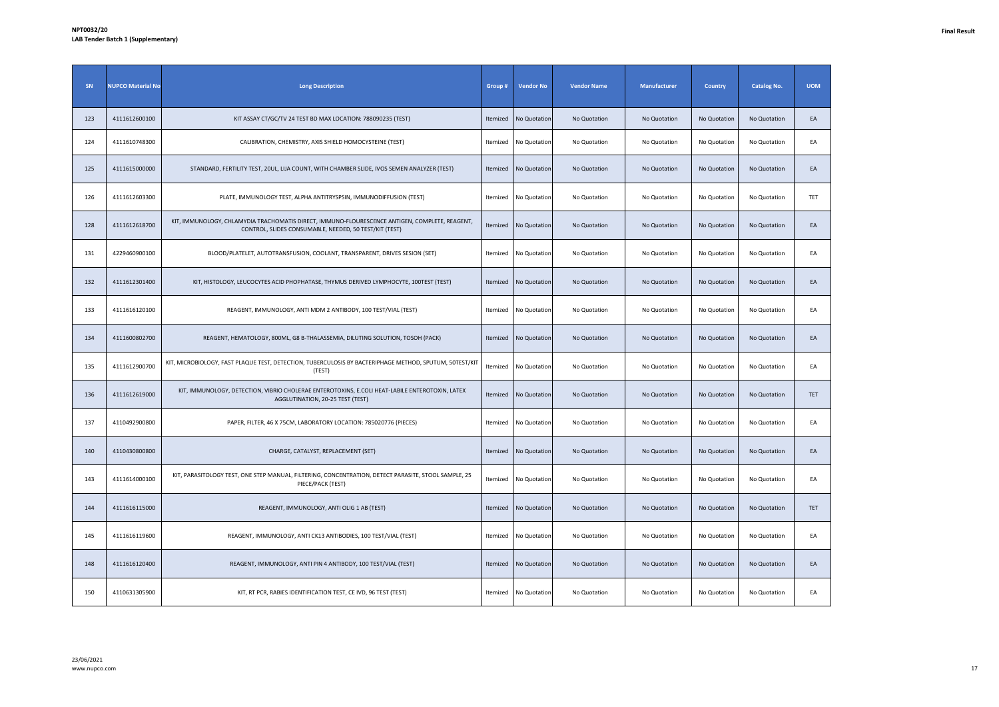| SN  | <b>NUPCO Material No</b> | <b>Long Description</b>                                                                                                                                  | Group #  | <b>Vendor No</b> | <b>Vendor Name</b> | <b>Manufacturer</b> | Country      | <b>Catalog No.</b> | <b>UOM</b> |
|-----|--------------------------|----------------------------------------------------------------------------------------------------------------------------------------------------------|----------|------------------|--------------------|---------------------|--------------|--------------------|------------|
| 123 | 4111612600100            | KIT ASSAY CT/GC/TV 24 TEST BD MAX LOCATION: 788090235 (TEST)                                                                                             | Itemized | No Quotation     | No Quotation       | No Quotation        | No Quotation | No Quotation       | EA         |
| 124 | 4111610748300            | CALIBRATION, CHEMISTRY, AXIS SHIELD HOMOCYSTEINE (TEST)                                                                                                  | Itemized | No Quotation     | No Quotation       | No Quotation        | No Quotation | No Quotation       | EA         |
| 125 | 4111615000000            | STANDARD, FERTILITY TEST, 20UL, LIJA COUNT, WITH CHAMBER SLIDE, IVOS SEMEN ANALYZER (TEST)                                                               | Itemized | No Quotation     | No Quotation       | No Quotation        | No Quotation | No Quotation       | EA         |
| 126 | 4111612603300            | PLATE, IMMUNOLOGY TEST, ALPHA ANTITRYSPSIN, IMMUNODIFFUSION (TEST)                                                                                       | Itemized | No Quotation     | No Quotation       | No Quotation        | No Quotation | No Quotation       | TET        |
| 128 | 4111612618700            | KIT, IMMUNOLOGY, CHLAMYDIA TRACHOMATIS DIRECT, IMMUNO-FLOURESCENCE ANTIGEN, COMPLETE, REAGENT,<br>CONTROL, SLIDES CONSUMABLE, NEEDED, 50 TEST/KIT (TEST) | Itemized | No Quotation     | No Quotation       | No Quotation        | No Quotation | No Quotation       | EA         |
| 131 | 4229460900100            | BLOOD/PLATELET, AUTOTRANSFUSION, COOLANT, TRANSPARENT, DRIVES SESION (SET)                                                                               | Itemized | No Quotation     | No Quotation       | No Quotation        | No Quotation | No Quotation       | EA         |
| 132 | 4111612301400            | KIT, HISTOLOGY, LEUCOCYTES ACID PHOPHATASE, THYMUS DERIVED LYMPHOCYTE, 100TEST (TEST)                                                                    | Itemized | No Quotation     | No Quotation       | No Quotation        | No Quotation | No Quotation       | EA         |
| 133 | 4111616120100            | REAGENT, IMMUNOLOGY, ANTI MDM 2 ANTIBODY, 100 TEST/VIAL (TEST)                                                                                           | Itemized | No Quotation     | No Quotation       | No Quotation        | No Quotation | No Quotation       | EA         |
| 134 | 4111600802700            | REAGENT, HEMATOLOGY, 800ML, G8 B-THALASSEMIA, DILUTING SOLUTION, TOSOH (PACK)                                                                            | Itemized | No Quotation     | No Quotation       | No Quotation        | No Quotation | No Quotation       | EA         |
| 135 | 4111612900700            | KIT, MICROBIOLOGY, FAST PLAQUE TEST, DETECTION, TUBERCULOSIS BY BACTERIPHAGE METHOD, SPUTUM, 50TEST/KIT<br>(TEST)                                        | Itemized | No Quotation     | No Quotation       | No Quotation        | No Quotation | No Quotation       | EA         |
| 136 | 4111612619000            | KIT, IMMUNOLOGY, DETECTION, VIBRIO CHOLERAE ENTEROTOXINS, E.COLI HEAT-LABILE ENTEROTOXIN, LATEX<br>AGGLUTINATION, 20-25 TEST (TEST)                      | Itemized | No Quotation     | No Quotation       | No Quotation        | No Quotation | No Quotation       | TET        |
| 137 | 4110492900800            | PAPER, FILTER, 46 X 75CM, LABORATORY LOCATION: 785020776 (PIECES)                                                                                        | Itemized | No Quotation     | No Quotation       | No Quotation        | No Quotation | No Quotation       | EA         |
| 140 | 4110430800800            | CHARGE, CATALYST, REPLACEMENT (SET)                                                                                                                      | Itemized | No Quotation     | No Quotation       | No Quotation        | No Quotation | No Quotation       | EA         |
| 143 | 4111614000100            | KIT, PARASITOLOGY TEST, ONE STEP MANUAL, FILTERING, CONCENTRATION, DETECT PARASITE, STOOL SAMPLE, 25<br>PIECE/PACK (TEST)                                | Itemized | No Quotation     | No Quotation       | No Quotation        | No Quotation | No Quotation       | EA         |
| 144 | 4111616115000            | REAGENT, IMMUNOLOGY, ANTI OLIG 1 AB (TEST)                                                                                                               | Itemized | No Quotation     | No Quotation       | No Quotation        | No Quotation | No Quotation       | TET        |
| 145 | 4111616119600            | REAGENT, IMMUNOLOGY, ANTI CK13 ANTIBODIES, 100 TEST/VIAL (TEST)                                                                                          | Itemized | No Quotation     | No Quotation       | No Quotation        | No Quotation | No Quotation       | EA         |
| 148 | 4111616120400            | REAGENT, IMMUNOLOGY, ANTI PIN 4 ANTIBODY, 100 TEST/VIAL (TEST)                                                                                           | Itemized | No Quotation     | No Quotation       | No Quotation        | No Quotation | No Quotation       | EA         |
| 150 | 4110631305900            | KIT, RT PCR, RABIES IDENTIFICATION TEST, CE IVD, 96 TEST (TEST)                                                                                          | Itemized | No Quotation     | No Quotation       | No Quotation        | No Quotation | No Quotation       | EA         |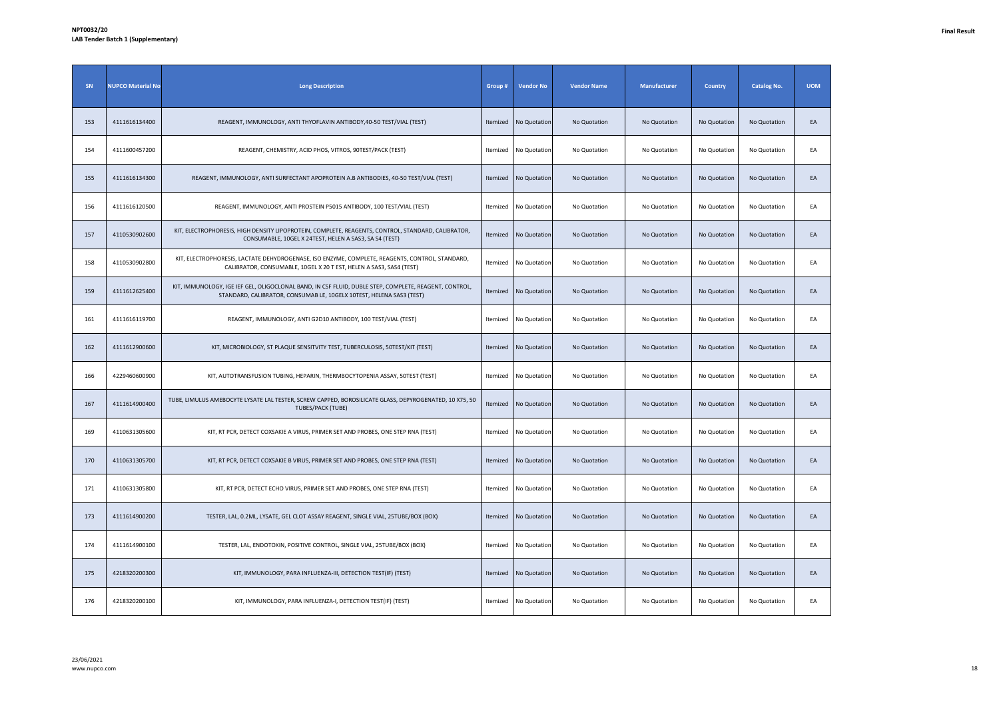| SN  | <b>NUPCO Material No</b> | <b>Long Description</b>                                                                                                                                                       | Group #  | <b>Vendor No</b> | <b>Vendor Name</b> | Manufacturer | <b>Country</b> | <b>Catalog No.</b> | <b>UOM</b> |
|-----|--------------------------|-------------------------------------------------------------------------------------------------------------------------------------------------------------------------------|----------|------------------|--------------------|--------------|----------------|--------------------|------------|
| 153 | 4111616134400            | REAGENT, IMMUNOLOGY, ANTI THYOFLAVIN ANTIBODY, 40-50 TEST/VIAL (TEST)                                                                                                         | Itemized | No Quotation     | No Quotation       | No Quotation | No Quotation   | No Quotation       | EA         |
| 154 | 4111600457200            | REAGENT, CHEMISTRY, ACID PHOS, VITROS, 90TEST/PACK (TEST)                                                                                                                     | Itemized | No Quotation     | No Quotation       | No Quotation | No Quotation   | No Quotation       | EA         |
| 155 | 4111616134300            | REAGENT, IMMUNOLOGY, ANTI SURFECTANT APOPROTEIN A.B ANTIBODIES, 40-50 TEST/VIAL (TEST)                                                                                        | Itemized | No Quotation     | No Quotation       | No Quotation | No Quotation   | No Quotation       | EA         |
| 156 | 4111616120500            | REAGENT, IMMUNOLOGY, ANTI PROSTEIN P5015 ANTIBODY, 100 TEST/VIAL (TEST)                                                                                                       | Itemized | No Quotation     | No Quotation       | No Quotation | No Quotation   | No Quotation       | EA         |
| 157 | 4110530902600            | KIT, ELECTROPHORESIS, HIGH DENSITY LIPOPROTEIN, COMPLETE, REAGENTS, CONTROL, STANDARD, CALIBRATOR,<br>CONSUMABLE, 10GEL X 24TEST, HELEN A SAS3, SA S4 (TEST)                  | Itemized | No Quotation     | No Quotation       | No Quotation | No Quotation   | No Quotation       | EA         |
| 158 | 4110530902800            | KIT, ELECTROPHORESIS, LACTATE DEHYDROGENASE, ISO ENZYME, COMPLETE, REAGENTS, CONTROL, STANDARD,<br>CALIBRATOR, CONSUMABLE, 10GEL X 20 T EST, HELEN A SAS3, SAS4 (TEST)        | Itemized | No Quotation     | No Quotation       | No Quotation | No Quotation   | No Quotation       | EA         |
| 159 | 4111612625400            | KIT, IMMUNOLOGY, IGE IEF GEL, OLIGOCLONAL BAND, IN CSF FLUID, DUBLE STEP, COMPLETE, REAGENT, CONTROL,<br>STANDARD, CALIBRATOR, CONSUMAB LE, 10GELX 10TEST, HELENA SAS3 (TEST) | Itemized | No Quotation     | No Quotation       | No Quotation | No Quotation   | No Quotation       | EA         |
| 161 | 4111616119700            | REAGENT, IMMUNOLOGY, ANTI G2D10 ANTIBODY, 100 TEST/VIAL (TEST)                                                                                                                | Itemized | No Quotation     | No Quotation       | No Quotation | No Quotation   | No Quotation       | EA         |
| 162 | 4111612900600            | KIT, MICROBIOLOGY, ST PLAQUE SENSITVITY TEST, TUBERCULOSIS, 50TEST/KIT (TEST)                                                                                                 | Itemized | No Quotation     | No Quotation       | No Quotation | No Quotation   | No Quotation       | EA         |
| 166 | 4229460600900            | KIT, AUTOTRANSFUSION TUBING, HEPARIN, THERMBOCYTOPENIA ASSAY, 50TEST (TEST)                                                                                                   | Itemized | No Quotation     | No Quotation       | No Quotation | No Quotation   | No Quotation       | EA         |
| 167 | 4111614900400            | TUBE, LIMULUS AMEBOCYTE LYSATE LAL TESTER, SCREW CAPPED, BOROSILICATE GLASS, DEPYROGENATED, 10 X75, 50<br><b>TUBES/PACK (TUBE)</b>                                            | Itemized | No Quotation     | No Quotation       | No Quotation | No Quotation   | No Quotation       | EA         |
| 169 | 4110631305600            | KIT, RT PCR, DETECT COXSAKIE A VIRUS, PRIMER SET AND PROBES, ONE STEP RNA (TEST)                                                                                              | Itemized | No Quotation     | No Quotation       | No Quotation | No Quotation   | No Quotation       | EA         |
| 170 | 4110631305700            | KIT, RT PCR, DETECT COXSAKIE B VIRUS, PRIMER SET AND PROBES, ONE STEP RNA (TEST)                                                                                              | Itemized | No Quotation     | No Quotation       | No Quotation | No Quotation   | No Quotation       | EA         |
| 171 | 4110631305800            | KIT, RT PCR, DETECT ECHO VIRUS, PRIMER SET AND PROBES, ONE STEP RNA (TEST)                                                                                                    | Itemized | No Quotation     | No Quotation       | No Quotation | No Quotation   | No Quotation       | EA         |
| 173 | 4111614900200            | TESTER, LAL, 0.2ML, LYSATE, GEL CLOT ASSAY REAGENT, SINGLE VIAL, 25TUBE/BOX (BOX)                                                                                             | Itemized | No Quotation     | No Quotation       | No Quotation | No Quotation   | No Quotation       | EA         |
| 174 | 4111614900100            | TESTER, LAL, ENDOTOXIN, POSITIVE CONTROL, SINGLE VIAL, 25TUBE/BOX (BOX)                                                                                                       | Itemized | No Quotation     | No Quotation       | No Quotation | No Quotation   | No Quotation       | EA         |
| 175 | 4218320200300            | KIT, IMMUNOLOGY, PARA INFLUENZA-III, DETECTION TEST(IF) (TEST)                                                                                                                | Itemized | No Quotation     | No Quotation       | No Quotation | No Quotation   | No Quotation       | EA         |
| 176 | 4218320200100            | KIT, IMMUNOLOGY, PARA INFLUENZA-I, DETECTION TEST(IF) (TEST)                                                                                                                  | Itemized | No Quotation     | No Quotation       | No Quotation | No Quotation   | No Quotation       | EA         |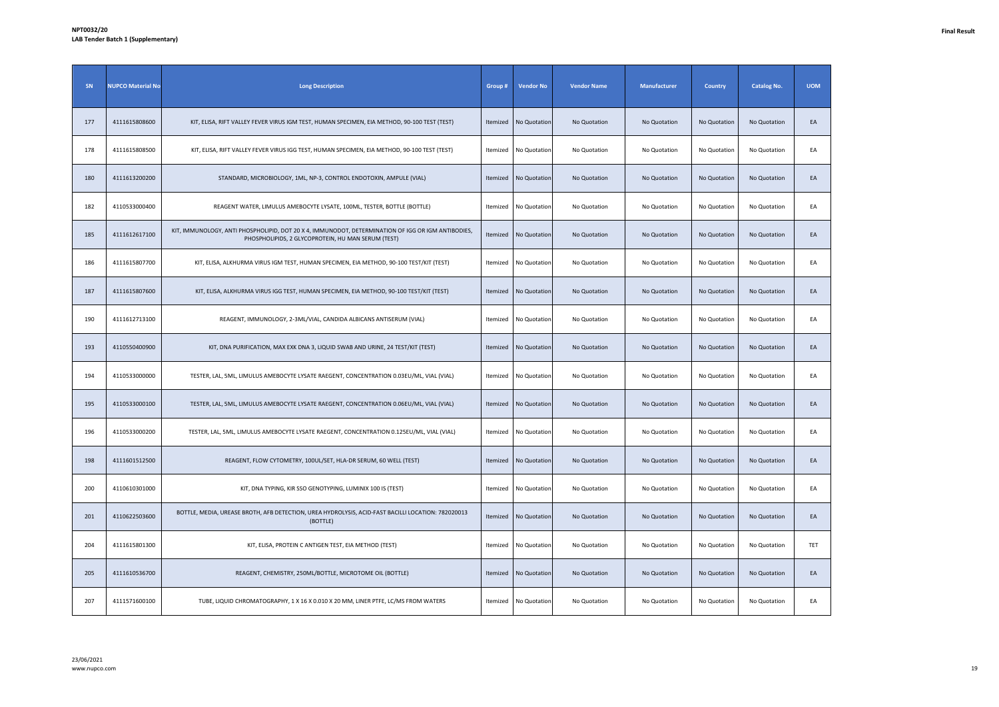| SN  | <b>NUPCO Material No</b> | <b>Long Description</b>                                                                                                                                  | Group #  | <b>Vendor No</b> | <b>Vendor Name</b> | Manufacturer | <b>Country</b> | <b>Catalog No.</b> | <b>UOM</b> |
|-----|--------------------------|----------------------------------------------------------------------------------------------------------------------------------------------------------|----------|------------------|--------------------|--------------|----------------|--------------------|------------|
| 177 | 4111615808600            | KIT, ELISA, RIFT VALLEY FEVER VIRUS IGM TEST, HUMAN SPECIMEN, EIA METHOD, 90-100 TEST (TEST)                                                             | Itemized | No Quotation     | No Quotation       | No Quotation | No Quotation   | No Quotation       | EA         |
| 178 | 4111615808500            | KIT, ELISA, RIFT VALLEY FEVER VIRUS IGG TEST, HUMAN SPECIMEN, EIA METHOD, 90-100 TEST (TEST)                                                             | Itemized | No Quotation     | No Quotation       | No Quotation | No Quotation   | No Quotation       | EA         |
| 180 | 4111613200200            | STANDARD, MICROBIOLOGY, 1ML, NP-3, CONTROL ENDOTOXIN, AMPULE (VIAL)                                                                                      | Itemized | No Quotation     | No Quotation       | No Quotation | No Quotation   | No Quotation       | EA         |
| 182 | 4110533000400            | REAGENT WATER, LIMULUS AMEBOCYTE LYSATE, 100ML, TESTER, BOTTLE (BOTTLE)                                                                                  | Itemized | No Quotation     | No Quotation       | No Quotation | No Quotation   | No Quotation       | EA         |
| 185 | 4111612617100            | KIT, IMMUNOLOGY, ANTI PHOSPHOLIPID, DOT 20 X 4, IMMUNODOT, DETERMINATION OF IGG OR IGM ANTIBODIES,<br>PHOSPHOLIPIDS, 2 GLYCOPROTEIN, HU MAN SERUM (TEST) | Itemized | No Quotation     | No Quotation       | No Quotation | No Quotation   | No Quotation       | EA         |
| 186 | 4111615807700            | KIT, ELISA, ALKHURMA VIRUS IGM TEST, HUMAN SPECIMEN, EIA METHOD, 90-100 TEST/KIT (TEST)                                                                  | Itemized | No Quotation     | No Quotation       | No Quotation | No Quotation   | No Quotation       | EA         |
| 187 | 4111615807600            | KIT, ELISA, ALKHURMA VIRUS IGG TEST, HUMAN SPECIMEN, EIA METHOD, 90-100 TEST/KIT (TEST)                                                                  | Itemized | No Quotation     | No Quotation       | No Quotation | No Quotation   | No Quotation       | EA         |
| 190 | 4111612713100            | REAGENT, IMMUNOLOGY, 2-3ML/VIAL, CANDIDA ALBICANS ANTISERUM (VIAL)                                                                                       | Itemized | No Quotation     | No Quotation       | No Quotation | No Quotation   | No Quotation       | EA         |
| 193 | 4110550400900            | KIT, DNA PURIFICATION, MAX EXK DNA 3, LIQUID SWAB AND URINE, 24 TEST/KIT (TEST)                                                                          | Itemized | No Quotation     | No Quotation       | No Quotation | No Quotation   | No Quotation       | EA         |
| 194 | 4110533000000            | TESTER, LAL, SML, LIMULUS AMEBOCYTE LYSATE RAEGENT, CONCENTRATION 0.03EU/ML, VIAL (VIAL)                                                                 | Itemized | No Quotation     | No Quotation       | No Quotation | No Quotation   | No Quotation       | EA         |
| 195 | 4110533000100            | TESTER, LAL, SML, LIMULUS AMEBOCYTE LYSATE RAEGENT, CONCENTRATION 0.06EU/ML, VIAL (VIAL)                                                                 | Itemized | No Quotation     | No Quotation       | No Quotation | No Quotation   | No Quotation       | EA         |
| 196 | 4110533000200            | TESTER, LAL, 5ML, LIMULUS AMEBOCYTE LYSATE RAEGENT, CONCENTRATION 0.125EU/ML, VIAL (VIAL)                                                                | Itemized | No Quotation     | No Quotation       | No Quotation | No Quotation   | No Quotation       | EA         |
| 198 | 4111601512500            | REAGENT, FLOW CYTOMETRY, 100UL/SET, HLA-DR SERUM, 60 WELL (TEST)                                                                                         | Itemized | No Quotation     | No Quotation       | No Quotation | No Quotation   | No Quotation       | EA         |
| 200 | 4110610301000            | KIT, DNA TYPING, KIR SSO GENOTYPING, LUMINIX 100 IS (TEST)                                                                                               | Itemized | No Quotation     | No Quotation       | No Quotation | No Quotation   | No Quotation       | EA         |
| 201 | 4110622503600            | BOTTLE, MEDIA, UREASE BROTH, AFB DETECTION, UREA HYDROLYSIS, ACID-FAST BACILLI LOCATION: 782020013<br>(BOTTLE)                                           | Itemized | No Quotation     | No Quotation       | No Quotation | No Quotation   | No Quotation       | EA         |
| 204 | 4111615801300            | KIT, ELISA, PROTEIN C ANTIGEN TEST, EIA METHOD (TEST)                                                                                                    | Itemized | No Quotation     | No Quotation       | No Quotation | No Quotation   | No Quotation       | TET        |
| 205 | 4111610536700            | REAGENT, CHEMISTRY, 250ML/BOTTLE, MICROTOME OIL (BOTTLE)                                                                                                 | Itemized | No Quotation     | No Quotation       | No Quotation | No Quotation   | No Quotation       | EA         |
| 207 | 4111571600100            | TUBE, LIQUID CHROMATOGRAPHY, 1 X 16 X 0.010 X 20 MM, LINER PTFE, LC/MS FROM WATERS                                                                       | Itemized | No Quotation     | No Quotation       | No Quotation | No Quotation   | No Quotation       | EA         |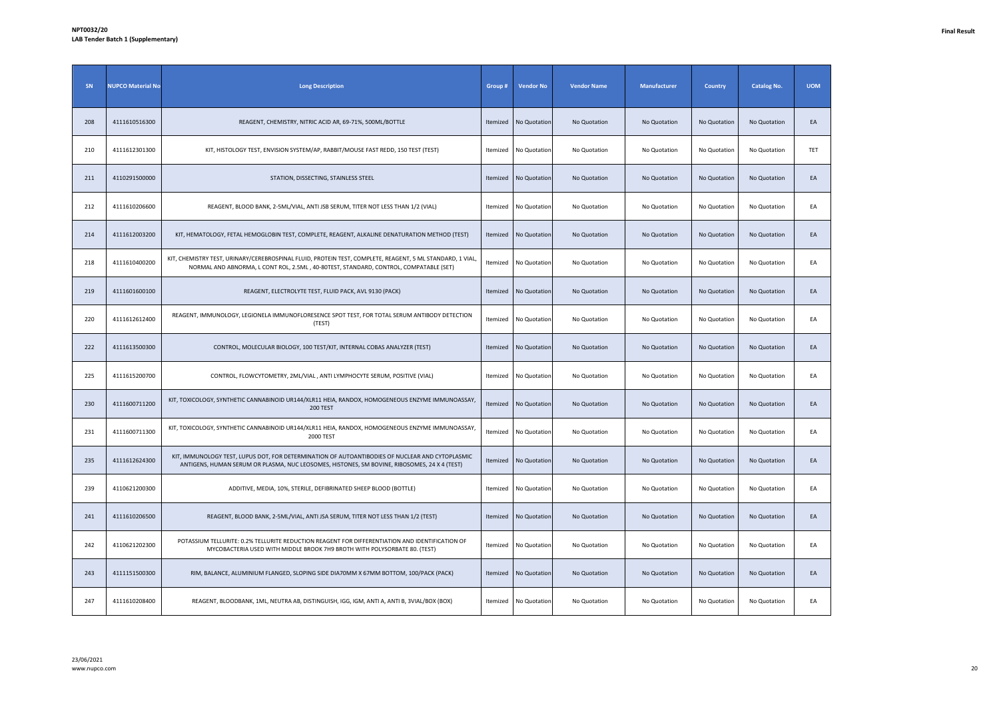| SN  | <b>NUPCO Material No</b> | <b>Long Description</b>                                                                                                                                                                            | Group#   | <b>Vendor No</b> | <b>Vendor Name</b> | Manufacturer | <b>Country</b> | <b>Catalog No.</b> | <b>UOM</b> |
|-----|--------------------------|----------------------------------------------------------------------------------------------------------------------------------------------------------------------------------------------------|----------|------------------|--------------------|--------------|----------------|--------------------|------------|
| 208 | 4111610516300            | REAGENT, CHEMISTRY, NITRIC ACID AR, 69-71%, 500ML/BOTTLE                                                                                                                                           | Itemized | No Quotation     | No Quotation       | No Quotation | No Quotation   | No Quotation       | EA         |
| 210 | 4111612301300            | KIT, HISTOLOGY TEST, ENVISION SYSTEM/AP, RABBIT/MOUSE FAST REDD, 150 TEST (TEST)                                                                                                                   | Itemized | No Quotation     | No Quotation       | No Quotation | No Quotation   | No Quotation       | TET        |
| 211 | 4110291500000            | STATION, DISSECTING, STAINLESS STEEL                                                                                                                                                               | Itemized | No Quotation     | No Quotation       | No Quotation | No Quotation   | No Quotation       | EA         |
| 212 | 4111610206600            | REAGENT, BLOOD BANK, 2-5ML/VIAL, ANTI JSB SERUM, TITER NOT LESS THAN 1/2 (VIAL)                                                                                                                    | Itemized | No Quotation     | No Quotation       | No Quotation | No Quotation   | No Quotation       | EA         |
| 214 | 4111612003200            | KIT, HEMATOLOGY, FETAL HEMOGLOBIN TEST, COMPLETE, REAGENT, ALKALINE DENATURATION METHOD (TEST)                                                                                                     | Itemized | No Quotation     | No Quotation       | No Quotation | No Quotation   | No Quotation       | EA         |
| 218 | 4111610400200            | KIT, CHEMISTRY TEST, URINARY/CEREBROSPINAL FLUID, PROTEIN TEST, COMPLETE, REAGENT, 5 ML STANDARD, 1 VIAL,<br>NORMAL AND ABNORMA, L CONT ROL, 2.5ML, 40-80TEST, STANDARD, CONTROL, COMPATABLE (SET) | Itemized | No Quotation     | No Quotation       | No Quotation | No Quotation   | No Quotation       | EA         |
| 219 | 4111601600100            | REAGENT, ELECTROLYTE TEST, FLUID PACK, AVL 9130 (PACK)                                                                                                                                             | Itemized | No Quotation     | No Quotation       | No Quotation | No Quotation   | No Quotation       | EA         |
| 220 | 4111612612400            | REAGENT, IMMUNOLOGY, LEGIONELA IMMUNOFLORESENCE SPOT TEST, FOR TOTAL SERUM ANTIBODY DETECTION<br>(TEST)                                                                                            | Itemized | No Quotation     | No Quotation       | No Quotation | No Quotation   | No Quotation       | EA         |
| 222 | 4111613500300            | CONTROL, MOLECULAR BIOLOGY, 100 TEST/KIT, INTERNAL COBAS ANALYZER (TEST)                                                                                                                           | Itemized | No Quotation     | No Quotation       | No Quotation | No Quotation   | No Quotation       | EA         |
| 225 | 4111615200700            | CONTROL, FLOWCYTOMETRY, 2ML/VIAL, ANTI LYMPHOCYTE SERUM, POSITIVE (VIAL)                                                                                                                           | Itemized | No Quotation     | No Quotation       | No Quotation | No Quotation   | No Quotation       | EA         |
| 230 | 4111600711200            | KIT, TOXICOLOGY, SYNTHETIC CANNABINOID UR144/XLR11 HEIA, RANDOX, HOMOGENEOUS ENZYME IMMUNOASSAY,<br>200 TEST                                                                                       | Itemized | No Quotation     | No Quotation       | No Quotation | No Quotation   | No Quotation       | EA         |
| 231 | 4111600711300            | KIT, TOXICOLOGY, SYNTHETIC CANNABINOID UR144/XLR11 HEIA, RANDOX, HOMOGENEOUS ENZYME IMMUNOASSAY,<br>2000 TEST                                                                                      | Itemized | No Quotation     | No Quotation       | No Quotation | No Quotation   | No Quotation       | EA         |
| 235 | 4111612624300            | KIT, IMMUNOLOGY TEST, LUPUS DOT, FOR DETERMINATION OF AUTOANTIBODIES OF NUCLEAR AND CYTOPLASMIC<br>ANTIGENS, HUMAN SERUM OR PLASMA, NUC LEOSOMES, HISTONES, SM BOVINE, RIBOSOMES, 24 X 4 (TEST)    | Itemized | No Quotation     | No Quotation       | No Quotation | No Quotation   | No Quotation       | EA         |
| 239 | 4110621200300            | ADDITIVE, MEDIA, 10%, STERILE, DEFIBRINATED SHEEP BLOOD (BOTTLE)                                                                                                                                   | Itemized | No Quotation     | No Quotation       | No Quotation | No Quotation   | No Quotation       | EA         |
| 241 | 4111610206500            | REAGENT, BLOOD BANK, 2-5ML/VIAL, ANTI JSA SERUM, TITER NOT LESS THAN 1/2 (TEST)                                                                                                                    | Itemized | No Quotation     | No Quotation       | No Quotation | No Quotation   | No Quotation       | EA         |
| 242 | 4110621202300            | POTASSIUM TELLURITE: 0.2% TELLURITE REDUCTION REAGENT FOR DIFFERENTIATION AND IDENTIFICATION OF<br>MYCOBACTERIA USED WITH MIDDLE BROOK 7H9 BROTH WITH POLYSORBATE 80. (TEST)                       | Itemized | No Quotation     | No Quotation       | No Quotation | No Quotation   | No Quotation       | EA         |
| 243 | 4111151500300            | RIM, BALANCE, ALUMINIUM FLANGED, SLOPING SIDE DIA70MM X 67MM BOTTOM, 100/PACK (PACK)                                                                                                               | Itemized | No Quotation     | No Quotation       | No Quotation | No Quotation   | No Quotation       | EA         |
| 247 | 4111610208400            | REAGENT, BLOODBANK, 1ML, NEUTRA AB, DISTINGUISH, IGG, IGM, ANTI A, ANTI B, 3VIAL/BOX (BOX)                                                                                                         | Itemized | No Quotation     | No Quotation       | No Quotation | No Quotation   | No Quotation       | EA         |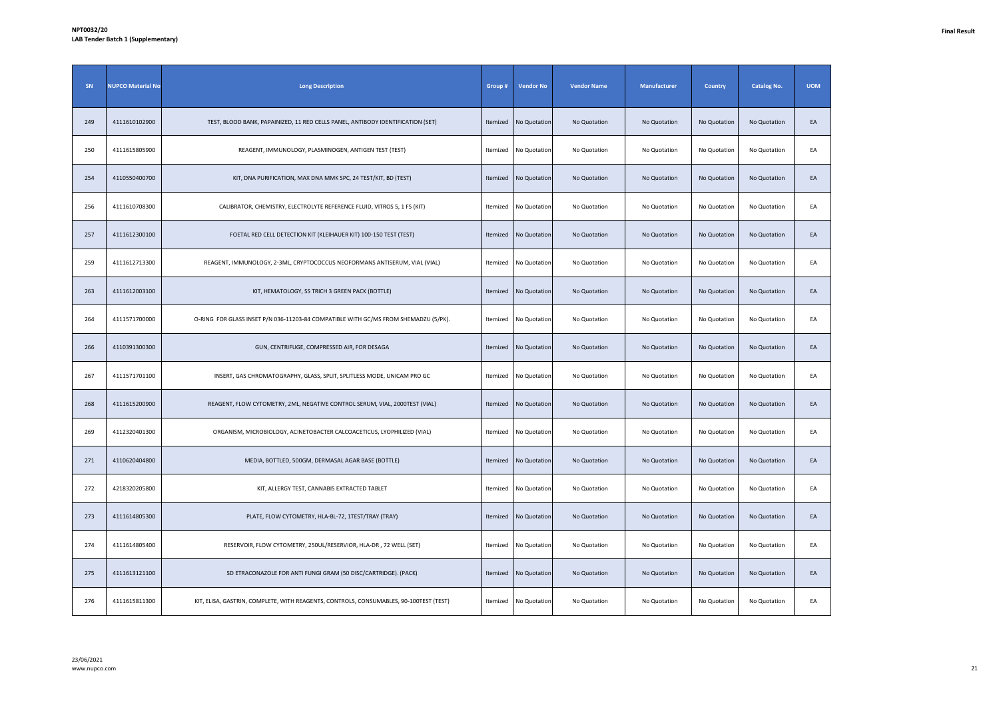| SN  | <b>NUPCO Material No</b> | <b>Long Description</b>                                                                | Group #  | <b>Vendor No</b> | <b>Vendor Name</b> | <b>Manufacturer</b> | <b>Country</b> | <b>Catalog No.</b> | <b>UOM</b> |
|-----|--------------------------|----------------------------------------------------------------------------------------|----------|------------------|--------------------|---------------------|----------------|--------------------|------------|
| 249 | 4111610102900            | TEST, BLOOD BANK, PAPAINIZED, 11 RED CELLS PANEL, ANTIBODY IDENTIFICATION (SET)        | Itemized | No Quotation     | No Quotation       | No Quotation        | No Quotation   | No Quotation       | EA         |
| 250 | 4111615805900            | REAGENT, IMMUNOLOGY, PLASMINOGEN, ANTIGEN TEST (TEST)                                  | Itemized | No Quotation     | No Quotation       | No Quotation        | No Quotation   | No Quotation       | EA         |
| 254 | 4110550400700            | KIT, DNA PURIFICATION, MAX DNA MMK SPC, 24 TEST/KIT, BD (TEST)                         | Itemized | No Quotation     | No Quotation       | No Quotation        | No Quotation   | No Quotation       | EA         |
| 256 | 4111610708300            | CALIBRATOR, CHEMISTRY, ELECTROLYTE REFERENCE FLUID, VITROS 5, 1 FS (KIT)               | Itemized | No Quotation     | No Quotation       | No Quotation        | No Quotation   | No Quotation       | EA         |
| 257 | 4111612300100            | FOETAL RED CELL DETECTION KIT (KLEIHAUER KIT) 100-150 TEST (TEST)                      | Itemized | No Quotation     | No Quotation       | No Quotation        | No Quotation   | No Quotation       | EA         |
| 259 | 4111612713300            | REAGENT, IMMUNOLOGY, 2-3ML, CRYPTOCOCCUS NEOFORMANS ANTISERUM, VIAL (VIAL)             | Itemized | No Quotation     | No Quotation       | No Quotation        | No Quotation   | No Quotation       | EA         |
| 263 | 4111612003100            | KIT, HEMATOLOGY, SS TRICH 3 GREEN PACK (BOTTLE)                                        | Itemized | No Quotation     | No Quotation       | No Quotation        | No Quotation   | No Quotation       | EA         |
| 264 | 4111571700000            | O-RING FOR GLASS INSET P/N 036-11203-84 COMPATIBLE WITH GC/MS FROM SHEMADZU (5/PK).    | Itemized | No Quotation     | No Quotation       | No Quotation        | No Quotation   | No Quotation       | EA         |
| 266 | 4110391300300            | GUN, CENTRIFUGE, COMPRESSED AIR, FOR DESAGA                                            | Itemized | No Quotation     | No Quotation       | No Quotation        | No Quotation   | No Quotation       | EA         |
| 267 | 4111571701100            | INSERT, GAS CHROMATOGRAPHY, GLASS, SPLIT, SPLITLESS MODE, UNICAM PRO GC                | Itemized | No Quotation     | No Quotation       | No Quotation        | No Quotation   | No Quotation       | EA         |
| 268 | 4111615200900            | REAGENT, FLOW CYTOMETRY, 2ML, NEGATIVE CONTROL SERUM, VIAL, 2000TEST (VIAL)            | Itemized | No Quotation     | No Quotation       | No Quotation        | No Quotation   | No Quotation       | EA         |
| 269 | 4112320401300            | ORGANISM, MICROBIOLOGY, ACINETOBACTER CALCOACETICUS, LYOPHILIZED (VIAL)                | Itemized | No Quotation     | No Quotation       | No Quotation        | No Quotation   | No Quotation       | EA         |
| 271 | 4110620404800            | MEDIA, BOTTLED, 500GM, DERMASAL AGAR BASE (BOTTLE)                                     | Itemized | No Quotation     | No Quotation       | No Quotation        | No Quotation   | No Quotation       | EA         |
| 272 | 4218320205800            | KIT, ALLERGY TEST, CANNABIS EXTRACTED TABLET                                           | Itemized | No Quotation     | No Quotation       | No Quotation        | No Quotation   | No Quotation       | EA         |
| 273 | 4111614805300            | PLATE, FLOW CYTOMETRY, HLA-BL-72, 1TEST/TRAY (TRAY)                                    | Itemized | No Quotation     | No Quotation       | No Quotation        | No Quotation   | No Quotation       | EA         |
| 274 | 4111614805400            | RESERVOIR, FLOW CYTOMETRY, 250UL/RESERVIOR, HLA-DR, 72 WELL (SET)                      | Itemized | No Quotation     | No Quotation       | No Quotation        | No Quotation   | No Quotation       | EA         |
| 275 | 4111613121100            | SD ETRACONAZOLE FOR ANTI FUNGI GRAM (50 DISC/CARTRIDGE). (PACK)                        | Itemized | No Quotation     | No Quotation       | No Quotation        | No Quotation   | No Quotation       | EA         |
| 276 | 4111615811300            | KIT, ELISA, GASTRIN, COMPLETE, WITH REAGENTS, CONTROLS, CONSUMABLES, 90-100TEST (TEST) | Itemized | No Quotation     | No Quotation       | No Quotation        | No Quotation   | No Quotation       | EA         |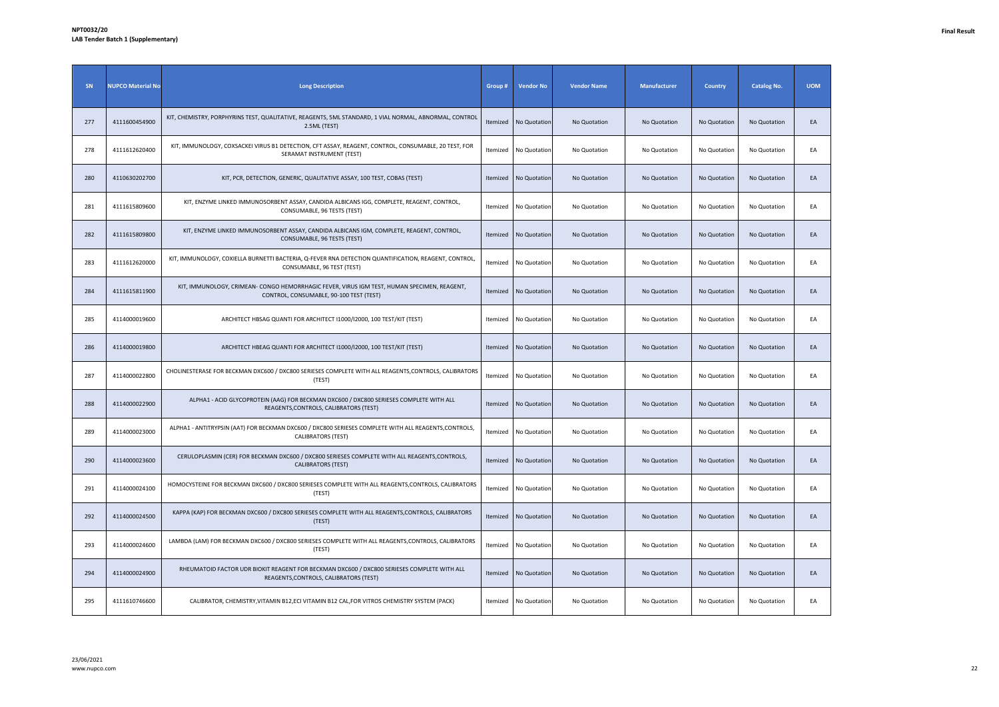| SN  | <b>NUPCO Material No</b> | <b>Long Description</b>                                                                                                                | Group#   | <b>Vendor No</b>      | <b>Vendor Name</b> | Manufacturer | <b>Country</b> | <b>Catalog No.</b> | <b>UOM</b> |
|-----|--------------------------|----------------------------------------------------------------------------------------------------------------------------------------|----------|-----------------------|--------------------|--------------|----------------|--------------------|------------|
| 277 | 4111600454900            | KIT, CHEMISTRY, PORPHYRINS TEST, QUALITATIVE, REAGENTS, 5ML STANDARD, 1 VIAL NORMAL, ABNORMAL, CONTROL<br>2.5ML (TEST)                 | Itemized | No Quotation          | No Quotation       | No Quotation | No Quotation   | No Quotation       | EA         |
| 278 | 4111612620400            | KIT, IMMUNOLOGY, COXSACKEI VIRUS B1 DETECTION, CFT ASSAY, REAGENT, CONTROL, CONSUMABLE, 20 TEST, FOR<br>SERAMAT INSTRUMENT (TEST)      | Itemized | No Quotation          | No Quotation       | No Quotation | No Quotation   | No Quotation       | EA         |
| 280 | 4110630202700            | KIT, PCR, DETECTION, GENERIC, QUALITATIVE ASSAY, 100 TEST, COBAS (TEST)                                                                | Itemized | No Quotation          | No Quotation       | No Quotation | No Quotation   | No Quotation       | EA         |
| 281 | 4111615809600            | KIT, ENZYME LINKED IMMUNOSORBENT ASSAY, CANDIDA ALBICANS IGG, COMPLETE, REAGENT, CONTROL,<br>CONSUMABLE, 96 TESTS (TEST)               | Itemized | No Quotation          | No Quotation       | No Quotation | No Quotation   | No Quotation       | EA         |
| 282 | 4111615809800            | KIT, ENZYME LINKED IMMUNOSORBENT ASSAY, CANDIDA ALBICANS IGM, COMPLETE, REAGENT, CONTROL,<br>CONSUMABLE, 96 TESTS (TEST)               | Itemized | No Quotation          | No Quotation       | No Quotation | No Quotation   | No Quotation       | EA         |
| 283 | 4111612620000            | KIT, IMMUNOLOGY, COXIELLA BURNETTI BACTERIA, Q-FEVER RNA DETECTION QUANTIFICATION, REAGENT, CONTROL,<br>CONSUMABLE, 96 TEST (TEST)     | Itemized | No Quotation          | No Quotation       | No Quotation | No Quotation   | No Quotation       | EA         |
| 284 | 4111615811900            | KIT, IMMUNOLOGY, CRIMEAN- CONGO HEMORRHAGIC FEVER, VIRUS IGM TEST, HUMAN SPECIMEN, REAGENT,<br>CONTROL, CONSUMABLE, 90-100 TEST (TEST) | Itemized | No Quotation          | No Quotation       | No Quotation | No Quotation   | No Quotation       | EA         |
| 285 | 4114000019600            | ARCHITECT HBSAG QUANTI FOR ARCHITECT I1000/I2000, 100 TEST/KIT (TEST)                                                                  |          | Itemized No Quotation | No Quotation       | No Quotation | No Quotation   | No Quotation       | EA         |
| 286 | 4114000019800            | ARCHITECT HBEAG QUANTI FOR ARCHITECT I1000/I2000, 100 TEST/KIT (TEST)                                                                  | Itemized | No Quotation          | No Quotation       | No Quotation | No Quotation   | No Quotation       | EA         |
| 287 | 4114000022800            | CHOLINESTERASE FOR BECKMAN DXC600 / DXC800 SERIESES COMPLETE WITH ALL REAGENTS, CONTROLS, CALIBRATORS<br>(TEST)                        | Itemized | No Quotation          | No Quotation       | No Quotation | No Quotation   | No Quotation       | EA         |
| 288 | 4114000022900            | ALPHA1 - ACID GLYCOPROTEIN (AAG) FOR BECKMAN DXC600 / DXC800 SERIESES COMPLETE WITH ALL<br>REAGENTS, CONTROLS, CALIBRATORS (TEST)      | Itemized | No Quotation          | No Quotation       | No Quotation | No Quotation   | No Quotation       | EA         |
| 289 | 4114000023000            | ALPHA1 - ANTITRYPSIN (AAT) FOR BECKMAN DXC600 / DXC800 SERIESES COMPLETE WITH ALL REAGENTS, CONTROLS,<br><b>CALIBRATORS (TEST)</b>     |          | Itemized No Quotation | No Quotation       | No Quotation | No Quotation   | No Quotation       | EA         |
| 290 | 4114000023600            | CERULOPLASMIN (CER) FOR BECKMAN DXC600 / DXC800 SERIESES COMPLETE WITH ALL REAGENTS, CONTROLS,<br><b>CALIBRATORS (TEST)</b>            | Itemized | No Quotation          | No Quotation       | No Quotation | No Quotation   | No Quotation       | EA         |
| 291 | 4114000024100            | HOMOCYSTEINE FOR BECKMAN DXC600 / DXC800 SERIESES COMPLETE WITH ALL REAGENTS, CONTROLS, CALIBRATORS<br>(TEST)                          | Itemized | No Quotation          | No Quotation       | No Quotation | No Quotation   | No Quotation       | EA         |
| 292 | 4114000024500            | KAPPA (KAP) FOR BECKMAN DXC600 / DXC800 SERIESES COMPLETE WITH ALL REAGENTS, CONTROLS, CALIBRATORS<br>(TEST)                           | Itemized | No Quotation          | No Quotation       | No Quotation | No Quotation   | No Quotation       | EA         |
| 293 | 4114000024600            | LAMBDA (LAM) FOR BECKMAN DXC600 / DXC800 SERIESES COMPLETE WITH ALL REAGENTS, CONTROLS, CALIBRATORS<br>(TEST)                          | Itemized | No Quotation          | No Quotation       | No Quotation | No Quotation   | No Quotation       | EA         |
| 294 | 4114000024900            | RHEUMATOID FACTOR UDR BIOKIT REAGENT FOR BECKMAN DXC600 / DXC800 SERIESES COMPLETE WITH ALL<br>REAGENTS, CONTROLS, CALIBRATORS (TEST)  | Itemized | No Quotation          | No Quotation       | No Quotation | No Quotation   | No Quotation       | EA         |
| 295 | 4111610746600            | CALIBRATOR, CHEMISTRY, VITAMIN B12, ECI VITAMIN B12 CAL, FOR VITROS CHEMISTRY SYSTEM (PACK)                                            |          | Itemized No Quotation | No Quotation       | No Quotation | No Quotation   | No Quotation       | EA         |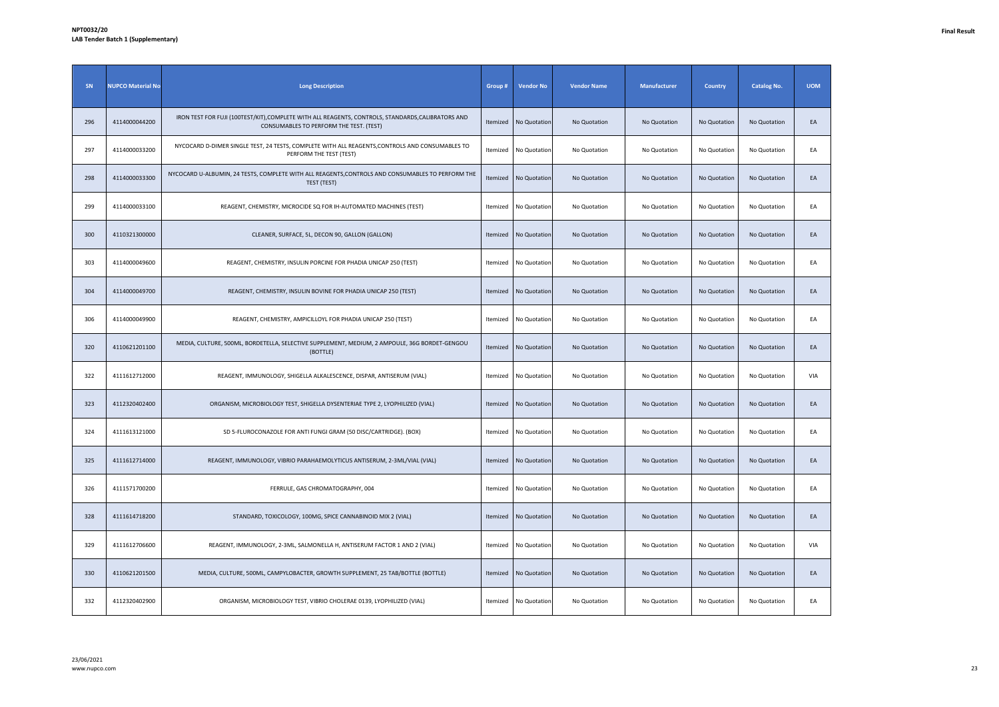| SN  | <b>NUPCO Material No</b> | <b>Long Description</b>                                                                                                                     | Group #  | <b>Vendor No</b> | <b>Vendor Name</b> | Manufacturer | <b>Country</b> | <b>Catalog No.</b> | <b>UOM</b> |
|-----|--------------------------|---------------------------------------------------------------------------------------------------------------------------------------------|----------|------------------|--------------------|--------------|----------------|--------------------|------------|
| 296 | 4114000044200            | IRON TEST FOR FUJI (100TEST/KIT),COMPLETE WITH ALL REAGENTS, CONTROLS, STANDARDS,CALIBRATORS AND<br>CONSUMABLES TO PERFORM THE TEST. (TEST) | Itemized | No Quotation     | No Quotation       | No Quotation | No Quotation   | No Quotation       | EA         |
| 297 | 4114000033200            | NYCOCARD D-DIMER SINGLE TEST, 24 TESTS, COMPLETE WITH ALL REAGENTS, CONTROLS AND CONSUMABLES TO<br>PERFORM THE TEST (TEST)                  | Itemized | No Quotation     | No Quotation       | No Quotation | No Quotation   | No Quotation       | EA         |
| 298 | 4114000033300            | NYCOCARD U-ALBUMIN, 24 TESTS, COMPLETE WITH ALL REAGENTS, CONTROLS AND CONSUMABLES TO PERFORM THE<br>TEST (TEST)                            | Itemized | No Quotation     | No Quotation       | No Quotation | No Quotation   | No Quotation       | EA         |
| 299 | 4114000033100            | REAGENT, CHEMISTRY, MICROCIDE SQ FOR IH-AUTOMATED MACHINES (TEST)                                                                           | Itemized | No Quotation     | No Quotation       | No Quotation | No Quotation   | No Quotation       | EA         |
| 300 | 4110321300000            | CLEANER, SURFACE, 5L, DECON 90, GALLON (GALLON)                                                                                             | Itemized | No Quotation     | No Quotation       | No Quotation | No Quotation   | No Quotation       | EA         |
| 303 | 4114000049600            | REAGENT, CHEMISTRY, INSULIN PORCINE FOR PHADIA UNICAP 250 (TEST)                                                                            | Itemized | No Quotation     | No Quotation       | No Quotation | No Quotation   | No Quotation       | EA         |
| 304 | 4114000049700            | REAGENT, CHEMISTRY, INSULIN BOVINE FOR PHADIA UNICAP 250 (TEST)                                                                             | Itemized | No Quotation     | No Quotation       | No Quotation | No Quotation   | No Quotation       | EA         |
| 306 | 4114000049900            | REAGENT, CHEMISTRY, AMPICILLOYL FOR PHADIA UNICAP 250 (TEST)                                                                                | Itemized | No Quotation     | No Quotation       | No Quotation | No Quotation   | No Quotation       | EA         |
| 320 | 4110621201100            | MEDIA, CULTURE, 500ML, BORDETELLA, SELECTIVE SUPPLEMENT, MEDIUM, 2 AMPOULE, 36G BORDET-GENGOU<br>(BOTTLE)                                   | Itemized | No Quotation     | No Quotation       | No Quotation | No Quotation   | No Quotation       | EA         |
| 322 | 4111612712000            | REAGENT, IMMUNOLOGY, SHIGELLA ALKALESCENCE, DISPAR, ANTISERUM (VIAL)                                                                        | Itemized | No Quotation     | No Quotation       | No Quotation | No Quotation   | No Quotation       | VIA        |
| 323 | 4112320402400            | ORGANISM, MICROBIOLOGY TEST, SHIGELLA DYSENTERIAE TYPE 2, LYOPHILIZED (VIAL)                                                                | Itemized | No Quotation     | No Quotation       | No Quotation | No Quotation   | No Quotation       | EA         |
| 324 | 4111613121000            | SD 5-FLUROCONAZOLE FOR ANTI FUNGI GRAM (50 DISC/CARTRIDGE). (BOX)                                                                           | Itemized | No Quotation     | No Quotation       | No Quotation | No Quotation   | No Quotation       | EA         |
| 325 | 4111612714000            | REAGENT, IMMUNOLOGY, VIBRIO PARAHAEMOLYTICUS ANTISERUM, 2-3ML/VIAL (VIAL)                                                                   | Itemized | No Quotation     | No Quotation       | No Quotation | No Quotation   | No Quotation       | EA         |
| 326 | 4111571700200            | FERRULE, GAS CHROMATOGRAPHY, 004                                                                                                            | Itemized | No Quotation     | No Quotation       | No Quotation | No Quotation   | No Quotation       | EA         |
| 328 | 4111614718200            | STANDARD, TOXICOLOGY, 100MG, SPICE CANNABINOID MIX 2 (VIAL)                                                                                 | Itemized | No Quotation     | No Quotation       | No Quotation | No Quotation   | No Quotation       | EA         |
| 329 | 4111612706600            | REAGENT, IMMUNOLOGY, 2-3ML, SALMONELLA H, ANTISERUM FACTOR 1 AND 2 (VIAL)                                                                   | Itemized | No Quotation     | No Quotation       | No Quotation | No Quotation   | No Quotation       | VIA        |
| 330 | 4110621201500            | MEDIA, CULTURE, 500ML, CAMPYLOBACTER, GROWTH SUPPLEMENT, 25 TAB/BOTTLE (BOTTLE)                                                             | Itemized | No Quotation     | No Quotation       | No Quotation | No Quotation   | No Quotation       | EA         |
| 332 | 4112320402900            | ORGANISM, MICROBIOLOGY TEST, VIBRIO CHOLERAE 0139, LYOPHILIZED (VIAL)                                                                       | Itemized | No Quotation     | No Quotation       | No Quotation | No Quotation   | No Quotation       | EA         |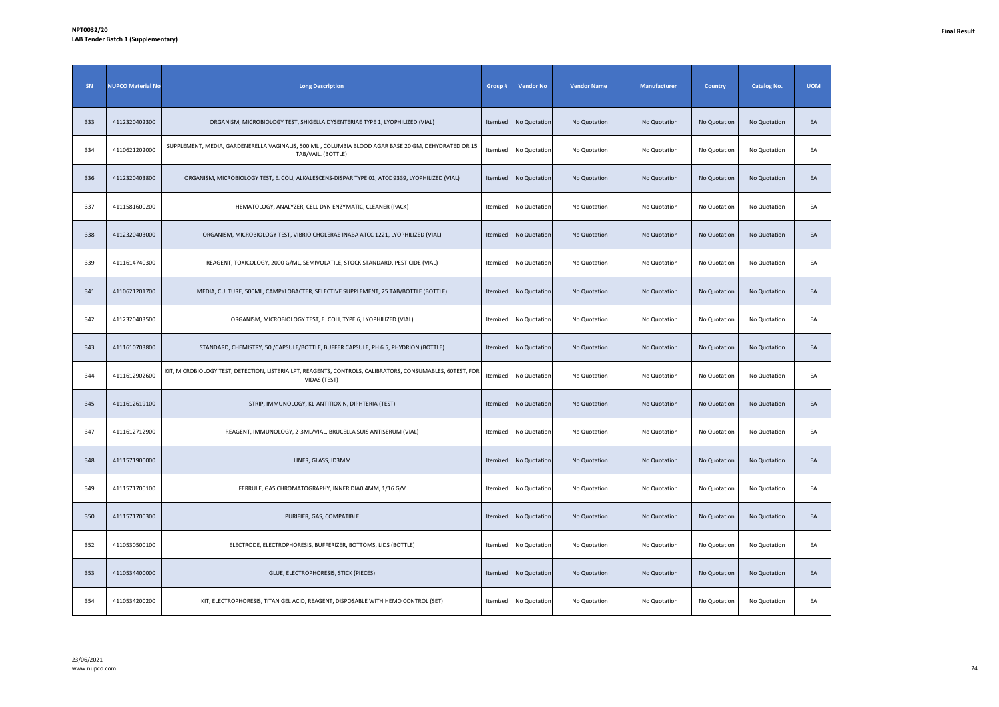| SN  | <b>NUPCO Material No</b> | <b>Long Description</b>                                                                                                    | Group #  | <b>Vendor No</b> | <b>Vendor Name</b> | Manufacturer | <b>Country</b> | <b>Catalog No.</b> | <b>UOM</b> |
|-----|--------------------------|----------------------------------------------------------------------------------------------------------------------------|----------|------------------|--------------------|--------------|----------------|--------------------|------------|
| 333 | 4112320402300            | ORGANISM, MICROBIOLOGY TEST, SHIGELLA DYSENTERIAE TYPE 1, LYOPHILIZED (VIAL)                                               | Itemized | No Quotation     | No Quotation       | No Quotation | No Quotation   | No Quotation       | EA         |
| 334 | 4110621202000            | SUPPLEMENT, MEDIA, GARDENERELLA VAGINALIS, 500 ML, COLUMBIA BLOOD AGAR BASE 20 GM, DEHYDRATED OR 15<br>TAB/VAIL. (BOTTLE)  | Itemized | No Quotation     | No Quotation       | No Quotation | No Quotation   | No Quotation       | EA         |
| 336 | 4112320403800            | ORGANISM, MICROBIOLOGY TEST, E. COLI, ALKALESCENS-DISPAR TYPE 01, ATCC 9339, LYOPHILIZED (VIAL)                            | Itemized | No Quotation     | No Quotation       | No Quotation | No Quotation   | No Quotation       | EA         |
| 337 | 4111581600200            | HEMATOLOGY, ANALYZER, CELL DYN ENZYMATIC, CLEANER (PACK)                                                                   | Itemized | No Quotation     | No Quotation       | No Quotation | No Quotation   | No Quotation       | EA         |
| 338 | 4112320403000            | ORGANISM, MICROBIOLOGY TEST, VIBRIO CHOLERAE INABA ATCC 1221, LYOPHILIZED (VIAL)                                           | Itemized | No Quotation     | No Quotation       | No Quotation | No Quotation   | No Quotation       | EA         |
| 339 | 4111614740300            | REAGENT, TOXICOLOGY, 2000 G/ML, SEMIVOLATILE, STOCK STANDARD, PESTICIDE (VIAL)                                             | Itemized | No Quotation     | No Quotation       | No Quotation | No Quotation   | No Quotation       | EA         |
| 341 | 4110621201700            | MEDIA, CULTURE, 500ML, CAMPYLOBACTER, SELECTIVE SUPPLEMENT, 25 TAB/BOTTLE (BOTTLE)                                         | Itemized | No Quotation     | No Quotation       | No Quotation | No Quotation   | No Quotation       | EA         |
| 342 | 4112320403500            | ORGANISM, MICROBIOLOGY TEST, E. COLI, TYPE 6, LYOPHILIZED (VIAL)                                                           | Itemized | No Quotation     | No Quotation       | No Quotation | No Quotation   | No Quotation       | EA         |
| 343 | 4111610703800            | STANDARD, CHEMISTRY, 50 / CAPSULE/BOTTLE, BUFFER CAPSULE, PH 6.5, PHYDRION (BOTTLE)                                        | Itemized | No Quotation     | No Quotation       | No Quotation | No Quotation   | No Quotation       | EA         |
| 344 | 4111612902600            | KIT, MICROBIOLOGY TEST, DETECTION, LISTERIA LPT, REAGENTS, CONTROLS, CALIBRATORS, CONSUMABLES, 60TEST, FOR<br>VIDAS (TEST) | Itemized | No Quotation     | No Quotation       | No Quotation | No Quotation   | No Quotation       | EA         |
| 345 | 4111612619100            | STRIP, IMMUNOLOGY, KL-ANTITIOXIN, DIPHTERIA (TEST)                                                                         | Itemized | No Quotation     | No Quotation       | No Quotation | No Quotation   | No Quotation       | EA         |
| 347 | 4111612712900            | REAGENT, IMMUNOLOGY, 2-3ML/VIAL, BRUCELLA SUIS ANTISERUM (VIAL)                                                            | Itemized | No Quotation     | No Quotation       | No Quotation | No Quotation   | No Quotation       | EA         |
| 348 | 4111571900000            | LINER, GLASS, ID3MM                                                                                                        | Itemized | No Quotation     | No Quotation       | No Quotation | No Quotation   | No Quotation       | EA         |
| 349 | 4111571700100            | FERRULE, GAS CHROMATOGRAPHY, INNER DIA0.4MM, 1/16 G/V                                                                      | Itemized | No Quotation     | No Quotation       | No Quotation | No Quotation   | No Quotation       | EA         |
| 350 | 4111571700300            | PURIFIER, GAS, COMPATIBLE                                                                                                  | Itemized | No Quotation     | No Quotation       | No Quotation | No Quotation   | No Quotation       | EA         |
| 352 | 4110530500100            | ELECTRODE, ELECTROPHORESIS, BUFFERIZER, BOTTOMS, LIDS (BOTTLE)                                                             | Itemized | No Quotation     | No Quotation       | No Quotation | No Quotation   | No Quotation       | EA         |
| 353 | 4110534400000            | GLUE, ELECTROPHORESIS, STICK (PIECES)                                                                                      | Itemized | No Quotation     | No Quotation       | No Quotation | No Quotation   | No Quotation       | EA         |
| 354 | 4110534200200            | KIT, ELECTROPHORESIS, TITAN GEL ACID, REAGENT, DISPOSABLE WITH HEMO CONTROL (SET)                                          | Itemized | No Quotation     | No Quotation       | No Quotation | No Quotation   | No Quotation       | EA         |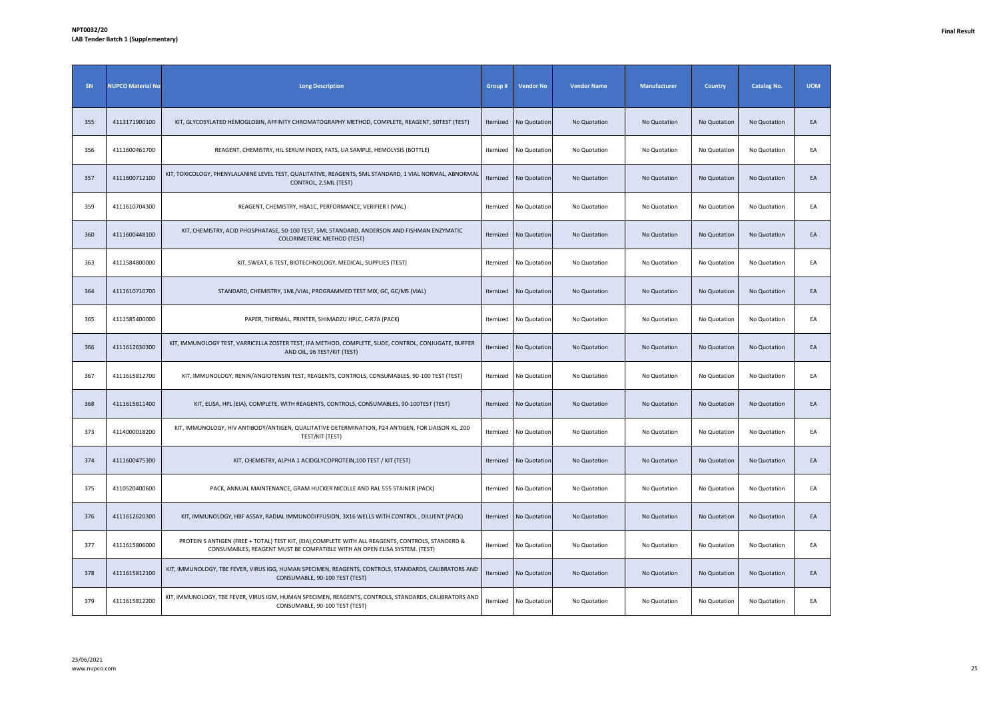| SN  | <b>NUPCO Material No</b> | <b>Long Description</b>                                                                                                                                                         | Group #  | <b>Vendor No</b>      | <b>Vendor Name</b> | <b>Manufacturer</b> | <b>Country</b> | <b>Catalog No.</b> | <b>UOM</b> |
|-----|--------------------------|---------------------------------------------------------------------------------------------------------------------------------------------------------------------------------|----------|-----------------------|--------------------|---------------------|----------------|--------------------|------------|
| 355 | 4113171900100            | KIT, GLYCOSYLATED HEMOGLOBIN, AFFINITY CHROMATOGRAPHY METHOD, COMPLETE, REAGENT, 50TEST (TEST)                                                                                  | Itemized | No Quotation          | No Quotation       | No Quotation        | No Quotation   | No Quotation       | EA         |
| 356 | 4111600461700            | REAGENT, CHEMISTRY, HIL SERUM INDEX, FATS, UA SAMPLE, HEMOLYSIS (BOTTLE)                                                                                                        | Itemized | No Quotation          | No Quotation       | No Quotation        | No Quotation   | No Quotation       | EA         |
| 357 | 4111600712100            | KIT, TOXICOLOGY, PHENYLALANINE LEVEL TEST, QUALITATIVE, REAGENTS, 5ML STANDARD, 1 VIAL NORMAL, ABNORMAL<br>CONTROL, 2.5ML (TEST)                                                | Itemized | No Quotation          | No Quotation       | No Quotation        | No Quotation   | No Quotation       | EA         |
| 359 | 4111610704300            | REAGENT, CHEMISTRY, HBA1C, PERFORMANCE, VERIFIER I (VIAL)                                                                                                                       | Itemized | No Quotation          | No Quotation       | No Quotation        | No Quotation   | No Quotation       | EA         |
| 360 | 4111600448100            | KIT, CHEMISTRY, ACID PHOSPHATASE, 50-100 TEST, 5ML STANDARD, ANDERSON AND FISHMAN ENZYMATIC<br>COLORIMETERIC METHOD (TEST)                                                      | Itemized | No Quotation          | No Quotation       | No Quotation        | No Quotation   | No Quotation       | EA         |
| 363 | 4111584800000            | KIT, SWEAT, 6 TEST, BIOTECHNOLOGY, MEDICAL, SUPPLIES (TEST)                                                                                                                     | Itemized | No Quotation          | No Quotation       | No Quotation        | No Quotation   | No Quotation       | EA         |
| 364 | 4111610710700            | STANDARD, CHEMISTRY, 1ML/VIAL, PROGRAMMED TEST MIX, GC, GC/MS (VIAL)                                                                                                            | Itemized | No Quotation          | No Quotation       | No Quotation        | No Quotation   | No Quotation       | EA         |
| 365 | 4111585400000            | PAPER, THERMAL, PRINTER, SHIMADZU HPLC, C-R7A (PACK)                                                                                                                            | Itemized | No Quotation          | No Quotation       | No Quotation        | No Quotation   | No Quotation       | EA         |
| 366 | 4111612630300            | KIT, IMMUNOLOGY TEST, VARRICELLA ZOSTER TEST, IFA METHOD, COMPLETE, SLIDE, CONTROL, CONJUGATE, BUFFER<br>AND OIL, 96 TEST/KIT (TEST)                                            | Itemized | No Quotation          | No Quotation       | No Quotation        | No Quotation   | No Quotation       | EA         |
| 367 | 4111615812700            | KIT, IMMUNOLOGY, RENIN/ANGIOTENSIN TEST, REAGENTS, CONTROLS, CONSUMABLES, 90-100 TEST (TEST)                                                                                    | Itemized | No Quotation          | No Quotation       | No Quotation        | No Quotation   | No Quotation       | EA         |
| 368 | 4111615811400            | KIT, ELISA, HPL (EIA), COMPLETE, WITH REAGENTS, CONTROLS, CONSUMABLES, 90-100TEST (TEST)                                                                                        |          | Itemized No Quotation | No Quotation       | No Quotation        | No Quotation   | No Quotation       | EA         |
| 373 | 4114000018200            | KIT, IMMUNOLOGY, HIV ANTIBODY/ANTIGEN, QUALITATIVE DETERMINATION, P24 ANTIGEN, FOR LIAISON XL, 200<br>TEST/KIT (TEST)                                                           |          | Itemized No Quotation | No Quotation       | No Quotation        | No Quotation   | No Quotation       | EA         |
| 374 | 4111600475300            | KIT, CHEMISTRY, ALPHA 1 ACIDGLYCOPROTEIN, 100 TEST / KIT (TEST)                                                                                                                 | Itemized | No Quotation          | No Quotation       | No Quotation        | No Quotation   | No Quotation       | EA         |
| 375 | 4110520400600            | PACK, ANNUAL MAINTENANCE, GRAM HUCKER NICOLLE AND RAL 555 STAINER (PACK)                                                                                                        | Itemized | No Quotation          | No Quotation       | No Quotation        | No Quotation   | No Quotation       | EA         |
| 376 | 4111612620300            | KIT, IMMUNOLOGY, HBF ASSAY, RADIAL IMMUNODIFFUSION, 3X16 WELLS WITH CONTROL, DILUENT (PACK)                                                                                     |          | Itemized No Quotation | No Quotation       | No Quotation        | No Quotation   | No Quotation       | EA         |
| 377 | 4111615806000            | PROTEIN S ANTIGEN (FREE + TOTAL) TEST KIT, (EIA), COMPLETE WITH ALL REAGENTS, CONTROLS, STANDERD &<br>CONSUMABLES, REAGENT MUST BE COMPATIBLE WITH AN OPEN ELISA SYSTEM. (TEST) | Itemized | No Quotation          | No Quotation       | No Quotation        | No Quotation   | No Quotation       | EA         |
| 378 | 4111615812100            | KIT, IMMUNOLOGY, TBE FEVER, VIRUS IGG, HUMAN SPECIMEN, REAGENTS, CONTROLS, STANDARDS, CALIBRATORS AND<br>CONSUMABLE, 90-100 TEST (TEST)                                         | Itemized | No Quotation          | No Quotation       | No Quotation        | No Quotation   | No Quotation       | EA         |
| 379 | 4111615812200            | KIT, IMMUNOLOGY, TBE FEVER, VIRUS IGM, HUMAN SPECIMEN, REAGENTS, CONTROLS, STANDARDS, CALIBRATORS AND<br>CONSUMABLE, 90-100 TEST (TEST)                                         | Itemized | No Quotation          | No Quotation       | No Quotation        | No Quotation   | No Quotation       | EA         |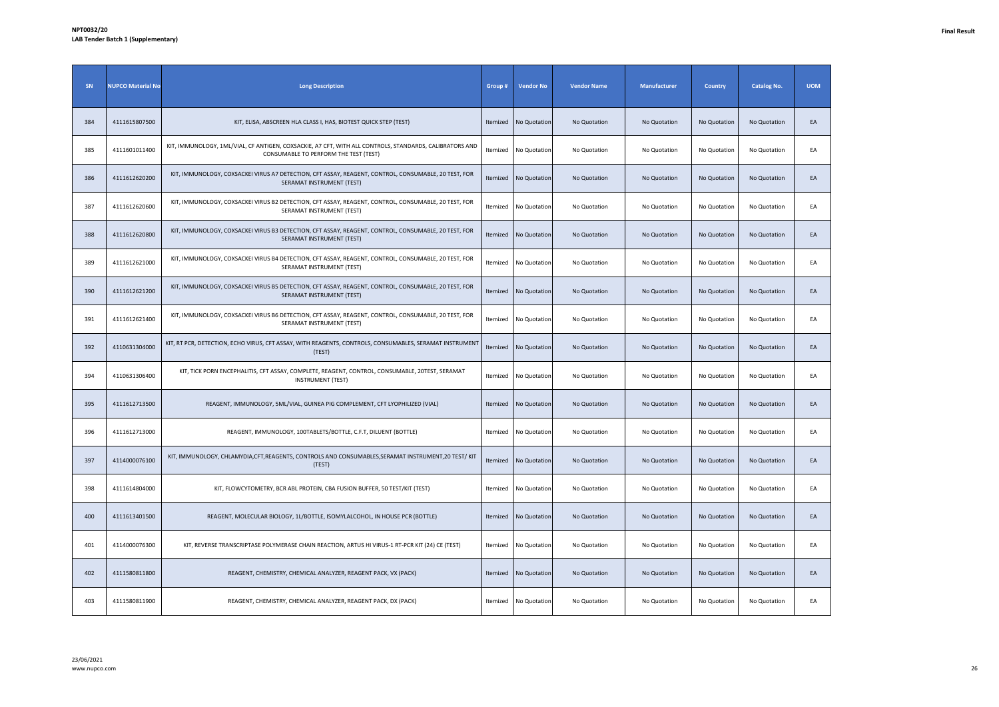| SN  | <b>NUPCO Material No</b> | <b>Long Description</b>                                                                                                                          | Group #  | <b>Vendor No</b>      | <b>Vendor Name</b> | Manufacturer | <b>Country</b> | <b>Catalog No.</b> | <b>UOM</b> |
|-----|--------------------------|--------------------------------------------------------------------------------------------------------------------------------------------------|----------|-----------------------|--------------------|--------------|----------------|--------------------|------------|
| 384 | 4111615807500            | KIT, ELISA, ABSCREEN HLA CLASS I, HAS, BIOTEST QUICK STEP (TEST)                                                                                 | Itemized | No Quotation          | No Quotation       | No Quotation | No Quotation   | No Quotation       | EA         |
| 385 | 4111601011400            | KIT, IMMUNOLOGY, 1ML/VIAL, CF ANTIGEN, COXSACKIE, A7 CFT, WITH ALL CONTROLS, STANDARDS, CALIBRATORS AND<br>CONSUMABLE TO PERFORM THE TEST (TEST) |          | Itemized No Quotation | No Quotation       | No Quotation | No Quotation   | No Quotation       | EA         |
| 386 | 4111612620200            | KIT, IMMUNOLOGY, COXSACKEI VIRUS A7 DETECTION, CFT ASSAY, REAGENT, CONTROL, CONSUMABLE, 20 TEST, FOR<br>SERAMAT INSTRUMENT (TEST)                | Itemized | No Quotation          | No Quotation       | No Quotation | No Quotation   | No Quotation       | EA         |
| 387 | 4111612620600            | KIT, IMMUNOLOGY, COXSACKEI VIRUS B2 DETECTION, CFT ASSAY, REAGENT, CONTROL, CONSUMABLE, 20 TEST, FOR<br>SERAMAT INSTRUMENT (TEST)                | Itemized | No Quotation          | No Quotation       | No Quotation | No Quotation   | No Quotation       | EA         |
| 388 | 4111612620800            | KIT, IMMUNOLOGY, COXSACKEI VIRUS B3 DETECTION, CFT ASSAY, REAGENT, CONTROL, CONSUMABLE, 20 TEST, FOR<br>SERAMAT INSTRUMENT (TEST)                | Itemized | No Quotation          | No Quotation       | No Quotation | No Quotation   | No Quotation       | EA         |
| 389 | 4111612621000            | KIT, IMMUNOLOGY, COXSACKEI VIRUS B4 DETECTION, CFT ASSAY, REAGENT, CONTROL, CONSUMABLE, 20 TEST, FOR<br>SERAMAT INSTRUMENT (TEST)                | Itemized | No Quotation          | No Quotation       | No Quotation | No Quotation   | No Quotation       | EA         |
| 390 | 4111612621200            | KIT, IMMUNOLOGY, COXSACKEI VIRUS B5 DETECTION, CFT ASSAY, REAGENT, CONTROL, CONSUMABLE, 20 TEST, FOR<br>SERAMAT INSTRUMENT (TEST)                | Itemized | No Quotation          | No Quotation       | No Quotation | No Quotation   | No Quotation       | EA         |
| 391 | 4111612621400            | KIT, IMMUNOLOGY, COXSACKEI VIRUS B6 DETECTION, CFT ASSAY, REAGENT, CONTROL, CONSUMABLE, 20 TEST, FOR<br>SERAMAT INSTRUMENT (TEST)                | Itemized | No Quotation          | No Quotation       | No Quotation | No Quotation   | No Quotation       | EA         |
| 392 | 4110631304000            | KIT, RT PCR, DETECTION, ECHO VIRUS, CFT ASSAY, WITH REAGENTS, CONTROLS, CONSUMABLES, SERAMAT INSTRUMENT<br>(TEST)                                | Itemized | No Quotation          | No Quotation       | No Quotation | No Quotation   | No Quotation       | EA         |
| 394 | 4110631306400            | KIT, TICK PORN ENCEPHALITIS, CFT ASSAY, COMPLETE, REAGENT, CONTROL, CONSUMABLE, 20TEST, SERAMAT<br><b>INSTRUMENT (TEST)</b>                      |          | Itemized No Quotation | No Quotation       | No Quotation | No Quotation   | No Quotation       | EA         |
| 395 | 4111612713500            | REAGENT, IMMUNOLOGY, 5ML/VIAL, GUINEA PIG COMPLEMENT, CFT LYOPHILIZED (VIAL)                                                                     | Itemized | No Quotation          | No Quotation       | No Quotation | No Quotation   | No Quotation       | EA         |
| 396 | 4111612713000            | REAGENT, IMMUNOLOGY, 100TABLETS/BOTTLE, C.F.T, DILUENT (BOTTLE)                                                                                  |          | Itemized No Quotation | No Quotation       | No Quotation | No Quotation   | No Quotation       | EA         |
| 397 | 4114000076100            | KIT, IMMUNOLOGY, CHLAMYDIA, CFT, REAGENTS, CONTROLS AND CONSUMABLES, SERAMAT INSTRUMENT, 20 TEST/KIT<br>(TEST)                                   | Itemized | No Quotation          | No Quotation       | No Quotation | No Quotation   | No Quotation       | EA         |
| 398 | 4111614804000            | KIT, FLOWCYTOMETRY, BCR ABL PROTEIN, CBA FUSION BUFFER, 50 TEST/KIT (TEST)                                                                       |          | Itemized No Quotation | No Quotation       | No Quotation | No Quotation   | No Quotation       | EA         |
| 400 | 4111613401500            | REAGENT, MOLECULAR BIOLOGY, 1L/BOTTLE, ISOMYLALCOHOL, IN HOUSE PCR (BOTTLE)                                                                      | Itemized | No Quotation          | No Quotation       | No Quotation | No Quotation   | No Quotation       | EA         |
| 401 | 4114000076300            | KIT, REVERSE TRANSCRIPTASE POLYMERASE CHAIN REACTION, ARTUS HI VIRUS-1 RT-PCR KIT (24) CE (TEST)                                                 | Itemized | No Quotation          | No Quotation       | No Quotation | No Quotation   | No Quotation       | EA         |
| 402 | 4111580811800            | REAGENT, CHEMISTRY, CHEMICAL ANALYZER, REAGENT PACK, VX (PACK)                                                                                   | Itemized | No Quotation          | No Quotation       | No Quotation | No Quotation   | No Quotation       | EA         |
| 403 | 4111580811900            | REAGENT, CHEMISTRY, CHEMICAL ANALYZER, REAGENT PACK, DX (PACK)                                                                                   |          | Itemized No Quotation | No Quotation       | No Quotation | No Quotation   | No Quotation       | EA         |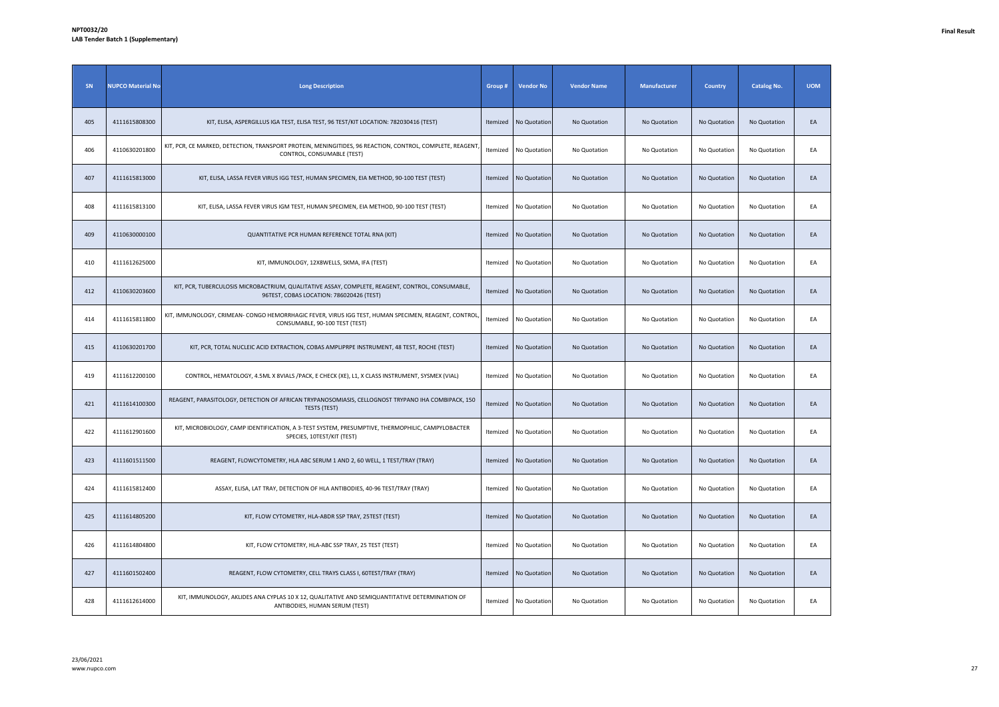| SN  | <b>NUPCO Material No</b> | <b>Long Description</b>                                                                                                                      | Group #  | <b>Vendor No</b> | <b>Vendor Name</b> | <b>Manufacturer</b> | <b>Country</b> | <b>Catalog No.</b> | <b>UOM</b> |
|-----|--------------------------|----------------------------------------------------------------------------------------------------------------------------------------------|----------|------------------|--------------------|---------------------|----------------|--------------------|------------|
| 405 | 4111615808300            | KIT, ELISA, ASPERGILLUS IGA TEST, ELISA TEST, 96 TEST/KIT LOCATION: 782030416 (TEST)                                                         | Itemized | No Quotation     | No Quotation       | No Quotation        | No Quotation   | No Quotation       | EA         |
| 406 | 4110630201800            | KIT, PCR, CE MARKED, DETECTION, TRANSPORT PROTEIN, MENINGITIDES, 96 REACTION, CONTROL, COMPLETE, REAGENT<br>CONTROL, CONSUMABLE (TEST)       | Itemized | No Quotation     | No Quotation       | No Quotation        | No Quotation   | No Quotation       | EA         |
| 407 | 4111615813000            | KIT, ELISA, LASSA FEVER VIRUS IGG TEST, HUMAN SPECIMEN, EIA METHOD, 90-100 TEST (TEST)                                                       | Itemized | No Quotation     | No Quotation       | No Quotation        | No Quotation   | No Quotation       | EA         |
| 408 | 4111615813100            | KIT, ELISA, LASSA FEVER VIRUS IGM TEST, HUMAN SPECIMEN, EIA METHOD, 90-100 TEST (TEST)                                                       | Itemized | No Quotation     | No Quotation       | No Quotation        | No Quotation   | No Quotation       | EA         |
| 409 | 4110630000100            | QUANTITATIVE PCR HUMAN REFERENCE TOTAL RNA (KIT)                                                                                             | Itemized | No Quotation     | No Quotation       | No Quotation        | No Quotation   | No Quotation       | EA         |
| 410 | 4111612625000            | KIT, IMMUNOLOGY, 12X8WELLS, SKMA, IFA (TEST)                                                                                                 | Itemized | No Quotation     | No Quotation       | No Quotation        | No Quotation   | No Quotation       | EA         |
| 412 | 4110630203600            | KIT, PCR, TUBERCULOSIS MICROBACTRIUM, QUALITATIVE ASSAY, COMPLETE, REAGENT, CONTROL, CONSUMABLE,<br>96TEST, COBAS LOCATION: 786020426 (TEST) | Itemized | No Quotation     | No Quotation       | No Quotation        | No Quotation   | No Quotation       | EA         |
| 414 | 4111615811800            | KIT, IMMUNOLOGY, CRIMEAN- CONGO HEMORRHAGIC FEVER, VIRUS IGG TEST, HUMAN SPECIMEN, REAGENT, CONTROL<br>CONSUMABLE, 90-100 TEST (TEST)        | Itemized | No Quotation     | No Quotation       | No Quotation        | No Quotation   | No Quotation       | EA         |
| 415 | 4110630201700            | KIT, PCR, TOTAL NUCLEIC ACID EXTRACTION, COBAS AMPLIPRPE INSTRUMENT, 48 TEST, ROCHE (TEST)                                                   | Itemized | No Quotation     | No Quotation       | No Quotation        | No Quotation   | No Quotation       | EA         |
| 419 | 4111612200100            | CONTROL, HEMATOLOGY, 4.5ML X 8VIALS /PACK, E CHECK (XE), L1, X CLASS INSTRUMENT, SYSMEX (VIAL)                                               | Itemized | No Quotation     | No Quotation       | No Quotation        | No Quotation   | No Quotation       | EA         |
| 421 | 4111614100300            | REAGENT, PARASITOLOGY, DETECTION OF AFRICAN TRYPANOSOMIASIS, CELLOGNOST TRYPANO IHA COMBIPACK, 150<br><b>TESTS (TEST)</b>                    | Itemized | No Quotation     | No Quotation       | No Quotation        | No Quotation   | No Quotation       | EA         |
| 422 | 4111612901600            | KIT, MICROBIOLOGY, CAMP IDENTIFICATION, A 3-TEST SYSTEM, PRESUMPTIVE, THERMOPHILIC, CAMPYLOBACTER<br>SPECIES, 10TEST/KIT (TEST)              | Itemized | No Quotation     | No Quotation       | No Quotation        | No Quotation   | No Quotation       | EA         |
| 423 | 4111601511500            | REAGENT, FLOWCYTOMETRY, HLA ABC SERUM 1 AND 2, 60 WELL, 1 TEST/TRAY (TRAY)                                                                   | Itemized | No Quotation     | No Quotation       | No Quotation        | No Quotation   | No Quotation       | EA         |
| 424 | 4111615812400            | ASSAY, ELISA, LAT TRAY, DETECTION OF HLA ANTIBODIES, 40-96 TEST/TRAY (TRAY)                                                                  | Itemized | No Quotation     | No Quotation       | No Quotation        | No Quotation   | No Quotation       | EA         |
| 425 | 4111614805200            | KIT, FLOW CYTOMETRY, HLA-ABDR SSP TRAY, 25TEST (TEST)                                                                                        | Itemized | No Quotation     | No Quotation       | No Quotation        | No Quotation   | No Quotation       | EA         |
| 426 | 4111614804800            | KIT, FLOW CYTOMETRY, HLA-ABC SSP TRAY, 25 TEST (TEST)                                                                                        | Itemized | No Quotation     | No Quotation       | No Quotation        | No Quotation   | No Quotation       | EA         |
| 427 | 4111601502400            | REAGENT, FLOW CYTOMETRY, CELL TRAYS CLASS I, 60TEST/TRAY (TRAY)                                                                              | Itemized | No Quotation     | No Quotation       | No Quotation        | No Quotation   | No Quotation       | EA         |
| 428 | 4111612614000            | KIT, IMMUNOLOGY, AKLIDES ANA CYPLAS 10 X 12, QUALITATIVE AND SEMIQUANTITATIVE DETERMINATION OF<br>ANTIBODIES, HUMAN SERUM (TEST)             | Itemized | No Quotation     | No Quotation       | No Quotation        | No Quotation   | No Quotation       | EA         |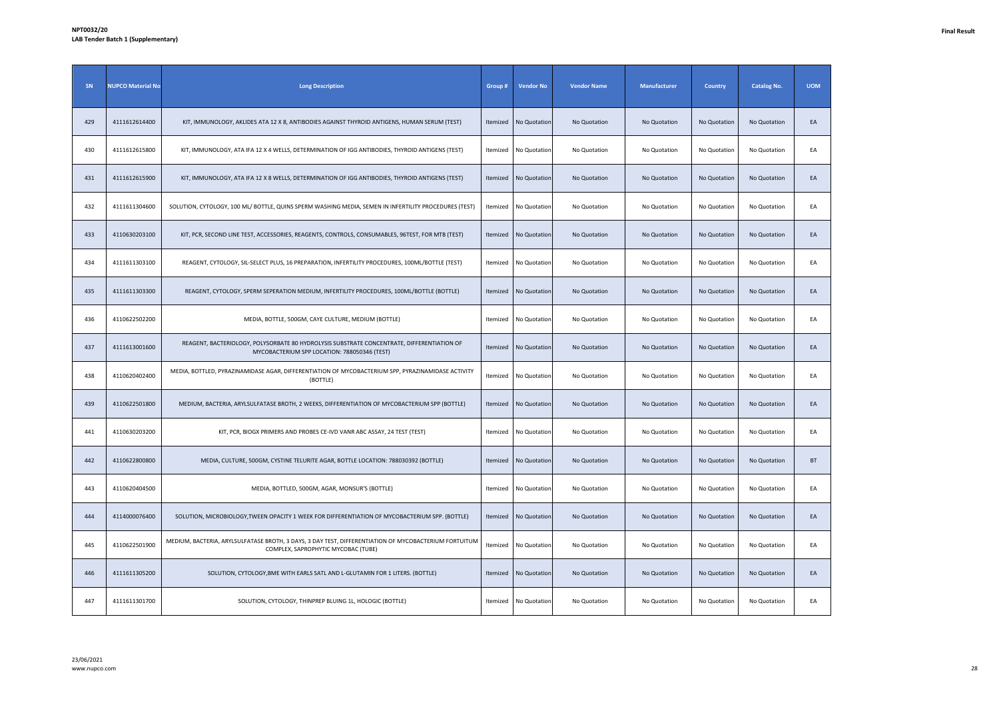| SN  | <b>NUPCO Material No</b> | <b>Long Description</b>                                                                                                                      | Group #         | <b>Vendor No</b> | <b>Vendor Name</b> | <b>Manufacturer</b> | <b>Country</b> | <b>Catalog No.</b> | <b>UOM</b> |
|-----|--------------------------|----------------------------------------------------------------------------------------------------------------------------------------------|-----------------|------------------|--------------------|---------------------|----------------|--------------------|------------|
| 429 | 4111612614400            | KIT, IMMUNOLOGY, AKLIDES ATA 12 X 8, ANTIBODIES AGAINST THYROID ANTIGENS, HUMAN SERUM (TEST)                                                 | Itemized        | No Quotation     | No Quotation       | No Quotation        | No Quotation   | No Quotation       | EA         |
| 430 | 4111612615800            | KIT, IMMUNOLOGY, ATA IFA 12 X 4 WELLS, DETERMINATION OF IGG ANTIBODIES, THYROID ANTIGENS (TEST)                                              | <b>Itemized</b> | No Quotation     | No Quotation       | No Quotation        | No Quotation   | No Quotation       | EA         |
| 431 | 4111612615900            | KIT, IMMUNOLOGY, ATA IFA 12 X 8 WELLS, DETERMINATION OF IGG ANTIBODIES, THYROID ANTIGENS (TEST)                                              | Itemized        | No Quotation     | No Quotation       | No Quotation        | No Quotation   | No Quotation       | EA         |
| 432 | 4111611304600            | SOLUTION, CYTOLOGY, 100 ML/ BOTTLE, QUINS SPERM WASHING MEDIA, SEMEN IN INFERTILITY PROCEDURES (TEST)                                        | Itemized        | No Quotation     | No Quotation       | No Quotation        | No Quotation   | No Quotation       | EA         |
| 433 | 4110630203100            | KIT, PCR, SECOND LINE TEST, ACCESSORIES, REAGENTS, CONTROLS, CONSUMABLES, 96TEST, FOR MTB (TEST)                                             | Itemized        | No Quotation     | No Quotation       | No Quotation        | No Quotation   | No Quotation       | EA         |
| 434 | 4111611303100            | REAGENT, CYTOLOGY, SIL-SELECT PLUS, 16 PREPARATION, INFERTILITY PROCEDURES, 100ML/BOTTLE (TEST)                                              | Itemized        | No Quotation     | No Quotation       | No Quotation        | No Quotation   | No Quotation       | EA         |
| 435 | 4111611303300            | REAGENT, CYTOLOGY, SPERM SEPERATION MEDIUM, INFERTILITY PROCEDURES, 100ML/BOTTLE (BOTTLE)                                                    | Itemized        | No Quotation     | No Quotation       | No Quotation        | No Quotation   | No Quotation       | EA         |
| 436 | 4110622502200            | MEDIA, BOTTLE, 500GM, CAYE CULTURE, MEDIUM (BOTTLE)                                                                                          | Itemized        | No Quotation     | No Quotation       | No Quotation        | No Quotation   | No Quotation       | EA         |
| 437 | 4111613001600            | REAGENT, BACTERIOLOGY, POLYSORBATE 80 HYDROLYSIS SUBSTRATE CONCENTRATE, DIFFERENTIATION OF<br>MYCOBACTERIUM SPP LOCATION: 788050346 (TEST)   | Itemized        | No Quotation     | No Quotation       | No Quotation        | No Quotation   | No Quotation       | EA         |
| 438 | 4110620402400            | MEDIA, BOTTLED, PYRAZINAMIDASE AGAR, DIFFERENTIATION OF MYCOBACTERIUM SPP, PYRAZINAMIDASE ACTIVITY<br>(BOTTLE)                               | Itemized        | No Quotation     | No Quotation       | No Quotation        | No Quotation   | No Quotation       | EA         |
| 439 | 4110622501800            | MEDIUM, BACTERIA, ARYLSULFATASE BROTH, 2 WEEKS, DIFFERENTIATION OF MYCOBACTERIUM SPP (BOTTLE)                                                | Itemized        | No Quotation     | No Quotation       | No Quotation        | No Quotation   | No Quotation       | EA         |
| 441 | 4110630203200            | KIT, PCR, BIOGX PRIMERS AND PROBES CE-IVD VANR ABC ASSAY, 24 TEST (TEST)                                                                     | Itemized        | No Quotation     | No Quotation       | No Quotation        | No Quotation   | No Quotation       | EA         |
| 442 | 4110622800800            | MEDIA, CULTURE, 500GM, CYSTINE TELURITE AGAR, BOTTLE LOCATION: 788030392 (BOTTLE)                                                            | Itemized        | No Quotation     | No Quotation       | No Quotation        | No Quotation   | No Quotation       | BT         |
| 443 | 4110620404500            | MEDIA, BOTTLED, 500GM, AGAR, MONSUR'S (BOTTLE)                                                                                               | Itemized        | No Quotation     | No Quotation       | No Quotation        | No Quotation   | No Quotation       | EA         |
| 444 | 4114000076400            | SOLUTION, MICROBIOLOGY, TWEEN OPACITY 1 WEEK FOR DIFFERENTIATION OF MYCOBACTERIUM SPP. (BOTTLE)                                              | Itemized        | No Quotation     | No Quotation       | No Quotation        | No Quotation   | No Quotation       | EA         |
| 445 | 4110622501900            | MEDIUM, BACTERIA, ARYLSULFATASE BROTH, 3 DAYS, 3 DAY TEST, DIFFERENTIATION OF MYCOBACTERIUM FORTUITUM<br>COMPLEX, SAPROPHYTIC MYCOBAC (TUBE) | Itemized        | No Quotation     | No Quotation       | No Quotation        | No Quotation   | No Quotation       | EA         |
| 446 | 4111611305200            | SOLUTION, CYTOLOGY, BME WITH EARLS SATL AND L-GLUTAMIN FOR 1 LITERS. (BOTTLE)                                                                | Itemized        | No Quotation     | No Quotation       | No Quotation        | No Quotation   | No Quotation       | EA         |
| 447 | 4111611301700            | SOLUTION, CYTOLOGY, THINPREP BLUING 1L, HOLOGIC (BOTTLE)                                                                                     | Itemized        | No Quotation     | No Quotation       | No Quotation        | No Quotation   | No Quotation       | EA         |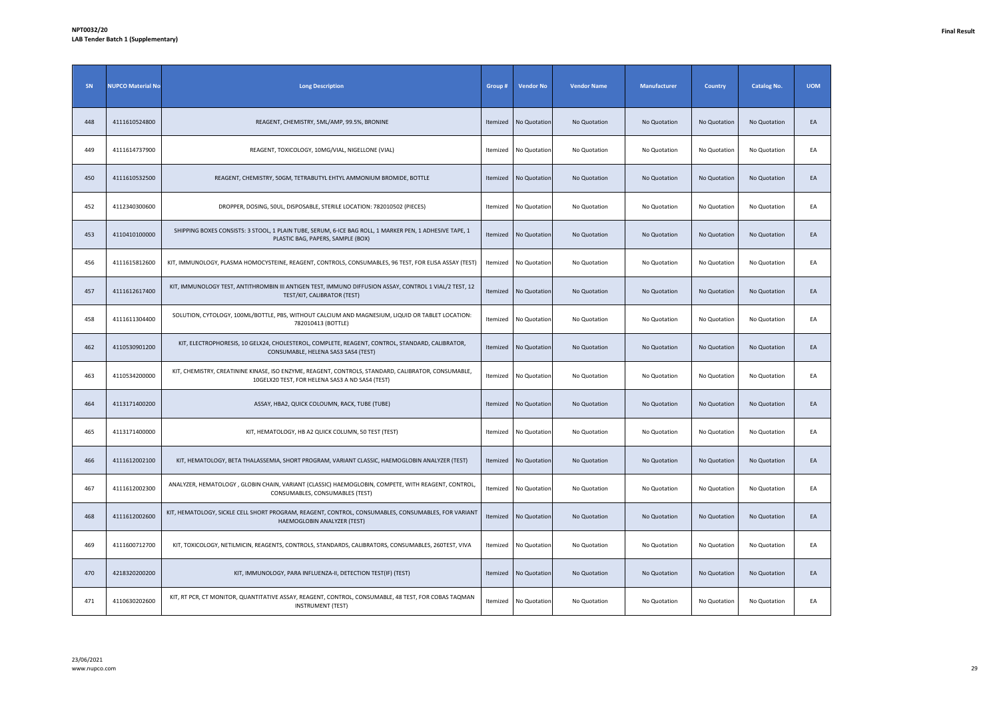| SN  | <b>NUPCO Material No</b> | <b>Long Description</b>                                                                                                                                | Group #  | <b>Vendor No</b>      | <b>Vendor Name</b> | <b>Manufacturer</b> | <b>Country</b> | <b>Catalog No.</b> | <b>UOM</b> |
|-----|--------------------------|--------------------------------------------------------------------------------------------------------------------------------------------------------|----------|-----------------------|--------------------|---------------------|----------------|--------------------|------------|
| 448 | 4111610524800            | REAGENT, CHEMISTRY, 5ML/AMP, 99.5%, BRONINE                                                                                                            | Itemized | No Quotation          | No Quotation       | No Quotation        | No Quotation   | No Quotation       | EA         |
| 449 | 4111614737900            | REAGENT, TOXICOLOGY, 10MG/VIAL, NIGELLONE (VIAL)                                                                                                       | Itemized | No Quotation          | No Quotation       | No Quotation        | No Quotation   | No Quotation       | EA         |
| 450 | 4111610532500            | REAGENT, CHEMISTRY, 50GM, TETRABUTYL EHTYL AMMONIUM BROMIDE, BOTTLE                                                                                    | Itemized | No Quotation          | No Quotation       | No Quotation        | No Quotation   | No Quotation       | EA         |
| 452 | 4112340300600            | DROPPER, DOSING, 50UL, DISPOSABLE, STERILE LOCATION: 782010502 (PIECES)                                                                                | Itemized | No Quotation          | No Quotation       | No Quotation        | No Quotation   | No Quotation       | EA         |
| 453 | 4110410100000            | SHIPPING BOXES CONSISTS: 3 STOOL, 1 PLAIN TUBE, SERUM, 6-ICE BAG ROLL, 1 MARKER PEN, 1 ADHESIVE TAPE, 1<br>PLASTIC BAG, PAPERS, SAMPLE (BOX)           | Itemized | No Quotation          | No Quotation       | No Quotation        | No Quotation   | No Quotation       | EA         |
| 456 | 4111615812600            | KIT, IMMUNOLOGY, PLASMA HOMOCYSTEINE, REAGENT, CONTROLS, CONSUMABLES, 96 TEST, FOR ELISA ASSAY (TEST)                                                  |          | Itemized No Quotation | No Quotation       | No Quotation        | No Quotation   | No Quotation       | EA         |
| 457 | 4111612617400            | KIT, IMMUNOLOGY TEST, ANTITHROMBIN III ANTIGEN TEST, IMMUNO DIFFUSION ASSAY, CONTROL 1 VIAL/2 TEST, 12<br>TEST/KIT, CALIBRATOR (TEST)                  | Itemized | No Quotation          | No Quotation       | No Quotation        | No Quotation   | No Quotation       | EA         |
| 458 | 4111611304400            | SOLUTION, CYTOLOGY, 100ML/BOTTLE, PBS, WITHOUT CALCIUM AND MAGNESIUM, LIQUID OR TABLET LOCATION:<br>782010413 (BOTTLE)                                 | Itemized | No Quotation          | No Quotation       | No Quotation        | No Quotation   | No Quotation       | EA         |
| 462 | 4110530901200            | KIT, ELECTROPHORESIS, 10 GELX24, CHOLESTEROL, COMPLETE, REAGENT, CONTROL, STANDARD, CALIBRATOR,<br>CONSUMABLE, HELENA SAS3 SAS4 (TEST)                 | Itemized | No Quotation          | No Quotation       | No Quotation        | No Quotation   | No Quotation       | EA         |
| 463 | 4110534200000            | KIT, CHEMISTRY, CREATININE KINASE, ISO ENZYME, REAGENT, CONTROLS, STANDARD, CALIBRATOR, CONSUMABLE,<br>10GELX20 TEST, FOR HELENA SAS3 A ND SAS4 (TEST) | Itemized | No Quotation          | No Quotation       | No Quotation        | No Quotation   | No Quotation       | EA         |
| 464 | 4113171400200            | ASSAY, HBA2, QUICK COLOUMN, RACK, TUBE (TUBE)                                                                                                          | Itemized | No Quotation          | No Quotation       | No Quotation        | No Quotation   | No Quotation       | EA         |
| 465 | 4113171400000            | KIT, HEMATOLOGY, HB A2 QUICK COLUMN, 50 TEST (TEST)                                                                                                    | Itemized | No Quotation          | No Quotation       | No Quotation        | No Quotation   | No Quotation       | EA         |
| 466 | 4111612002100            | KIT, HEMATOLOGY, BETA THALASSEMIA, SHORT PROGRAM, VARIANT CLASSIC, HAEMOGLOBIN ANALYZER (TEST)                                                         | Itemized | No Quotation          | No Quotation       | No Quotation        | No Quotation   | No Quotation       | EA         |
| 467 | 4111612002300            | ANALYZER, HEMATOLOGY, GLOBIN CHAIN, VARIANT (CLASSIC) HAEMOGLOBIN, COMPETE, WITH REAGENT, CONTROL,<br>CONSUMABLES, CONSUMABLES (TEST)                  | Itemized | No Quotation          | No Quotation       | No Quotation        | No Quotation   | No Quotation       | EA         |
| 468 | 4111612002600            | KIT, HEMATOLOGY, SICKLE CELL SHORT PROGRAM, REAGENT, CONTROL, CONSUMABLES, CONSUMABLES, FOR VARIANT<br>HAEMOGLOBIN ANALYZER (TEST)                     | Itemized | No Quotation          | No Quotation       | No Quotation        | No Quotation   | No Quotation       | EA         |
| 469 | 4111600712700            | KIT, TOXICOLOGY, NETILMICIN, REAGENTS, CONTROLS, STANDARDS, CALIBRATORS, CONSUMABLES, 260TEST, VIVA                                                    | Itemized | No Quotation          | No Quotation       | No Quotation        | No Quotation   | No Quotation       | EA         |
| 470 | 4218320200200            | KIT, IMMUNOLOGY, PARA INFLUENZA-II, DETECTION TEST(IF) (TEST)                                                                                          | Itemized | No Quotation          | No Quotation       | No Quotation        | No Quotation   | No Quotation       | EA         |
| 471 | 4110630202600            | KIT, RT PCR, CT MONITOR, QUANTITATIVE ASSAY, REAGENT, CONTROL, CONSUMABLE, 48 TEST, FOR COBAS TAQMAN<br><b>INSTRUMENT (TEST)</b>                       | Itemized | No Quotation          | No Quotation       | No Quotation        | No Quotation   | No Quotation       | EA         |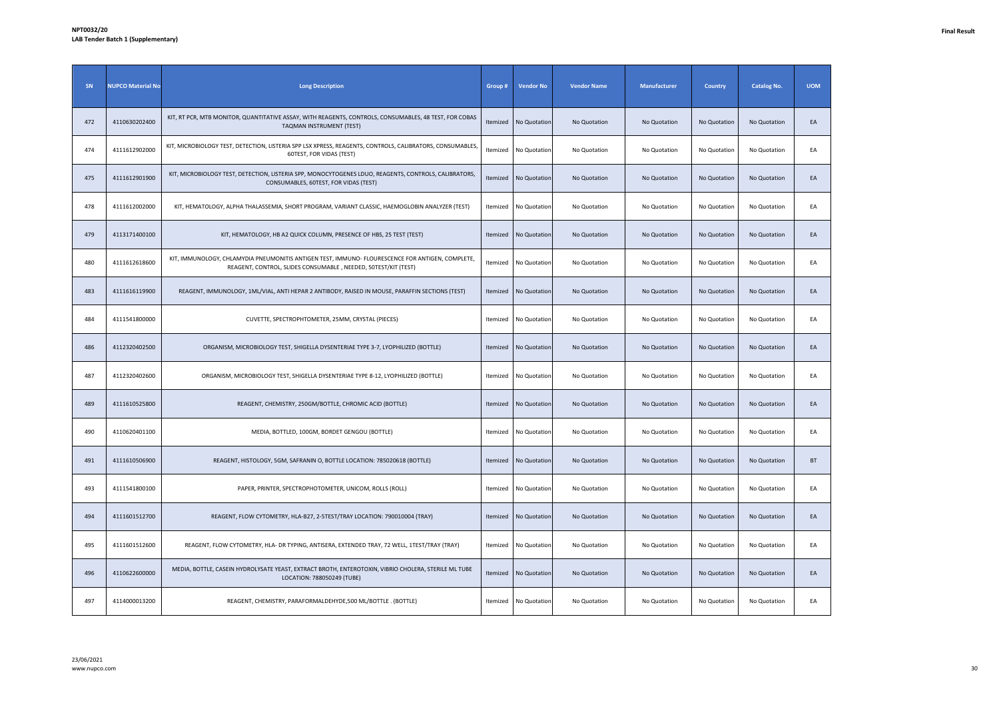| SN  | <b>NUPCO Material No</b> | <b>Long Description</b>                                                                                                                                            | Group#   | <b>Vendor No</b> | <b>Vendor Name</b> | Manufacturer | <b>Country</b> | <b>Catalog No.</b> | <b>UOM</b> |
|-----|--------------------------|--------------------------------------------------------------------------------------------------------------------------------------------------------------------|----------|------------------|--------------------|--------------|----------------|--------------------|------------|
| 472 | 4110630202400            | KIT, RT PCR, MTB MONITOR, QUANTITATIVE ASSAY, WITH REAGENTS, CONTROLS, CONSUMABLES, 48 TEST, FOR COBAS<br>TAQMAN INSTRUMENT (TEST)                                 | Itemized | No Quotation     | No Quotation       | No Quotation | No Quotation   | No Quotation       | EA         |
| 474 | 4111612902000            | KIT, MICROBIOLOGY TEST, DETECTION, LISTERIA SPP LSX XPRESS, REAGENTS, CONTROLS, CALIBRATORS, CONSUMABLES,<br>60TEST, FOR VIDAS (TEST)                              | Itemized | No Quotation     | No Quotation       | No Quotation | No Quotation   | No Quotation       | EA         |
| 475 | 4111612901900            | KIT, MICROBIOLOGY TEST, DETECTION, LISTERIA SPP, MONOCYTOGENES LDUO, REAGENTS, CONTROLS, CALIBRATORS,<br>CONSUMABLES, 60TEST, FOR VIDAS (TEST)                     | Itemized | No Quotation     | No Quotation       | No Quotation | No Quotation   | No Quotation       | EA         |
| 478 | 4111612002000            | KIT, HEMATOLOGY, ALPHA THALASSEMIA, SHORT PROGRAM, VARIANT CLASSIC, HAEMOGLOBIN ANALYZER (TEST)                                                                    | Itemized | No Quotation     | No Quotation       | No Quotation | No Quotation   | No Quotation       | EA         |
| 479 | 4113171400100            | KIT, HEMATOLOGY, HB A2 QUICK COLUMN, PRESENCE OF HBS, 25 TEST (TEST)                                                                                               | Itemized | No Quotation     | No Quotation       | No Quotation | No Quotation   | No Quotation       | EA         |
| 480 | 4111612618600            | KIT, IMMUNOLOGY, CHLAMYDIA PNEUMONITIS ANTIGEN TEST, IMMUNO- FLOURESCENCE FOR ANTIGEN, COMPLETE,<br>REAGENT, CONTROL, SLIDES CONSUMABLE, NEEDED, 50TEST/KIT (TEST) | Itemized | No Quotation     | No Quotation       | No Quotation | No Quotation   | No Quotation       | EA         |
| 483 | 4111616119900            | REAGENT, IMMUNOLOGY, 1ML/VIAL, ANTI HEPAR 2 ANTIBODY, RAISED IN MOUSE, PARAFFIN SECTIONS (TEST)                                                                    | Itemized | No Quotation     | No Quotation       | No Quotation | No Quotation   | No Quotation       | EA         |
| 484 | 4111541800000            | CUVETTE, SPECTROPHTOMETER, 25MM, CRYSTAL (PIECES)                                                                                                                  | Itemized | No Quotation     | No Quotation       | No Quotation | No Quotation   | No Quotation       | EA         |
| 486 | 4112320402500            | ORGANISM, MICROBIOLOGY TEST, SHIGELLA DYSENTERIAE TYPE 3-7, LYOPHILIZED (BOTTLE)                                                                                   | Itemized | No Quotation     | No Quotation       | No Quotation | No Quotation   | No Quotation       | EA         |
| 487 | 4112320402600            | ORGANISM, MICROBIOLOGY TEST, SHIGELLA DYSENTERIAE TYPE 8-12, LYOPHILIZED (BOTTLE)                                                                                  | Itemized | No Quotation     | No Quotation       | No Quotation | No Quotation   | No Quotation       | EA         |
| 489 | 4111610525800            | REAGENT, CHEMISTRY, 250GM/BOTTLE, CHROMIC ACID (BOTTLE)                                                                                                            | Itemized | No Quotation     | No Quotation       | No Quotation | No Quotation   | No Quotation       | EA         |
| 490 | 4110620401100            | MEDIA, BOTTLED, 100GM, BORDET GENGOU (BOTTLE)                                                                                                                      | Itemized | No Quotation     | No Quotation       | No Quotation | No Quotation   | No Quotation       | EA         |
| 491 | 4111610506900            | REAGENT, HISTOLOGY, 5GM, SAFRANIN O, BOTTLE LOCATION: 785020618 (BOTTLE)                                                                                           | Itemized | No Quotation     | No Quotation       | No Quotation | No Quotation   | No Quotation       | BT         |
| 493 | 4111541800100            | PAPER, PRINTER, SPECTROPHOTOMETER, UNICOM, ROLLS (ROLL)                                                                                                            | Itemized | No Quotation     | No Quotation       | No Quotation | No Quotation   | No Quotation       | EA         |
| 494 | 4111601512700            | REAGENT, FLOW CYTOMETRY, HLA-B27, 2-5TEST/TRAY LOCATION: 790010004 (TRAY)                                                                                          | Itemized | No Quotation     | No Quotation       | No Quotation | No Quotation   | No Quotation       | EA         |
| 495 | 4111601512600            | REAGENT, FLOW CYTOMETRY, HLA- DR TYPING, ANTISERA, EXTENDED TRAY, 72 WELL, 1TEST/TRAY (TRAY)                                                                       | Itemized | No Quotation     | No Quotation       | No Quotation | No Quotation   | No Quotation       | EA         |
| 496 | 4110622600000            | MEDIA, BOTTLE, CASEIN HYDROLYSATE YEAST, EXTRACT BROTH, ENTEROTOXIN, VIBRIO CHOLERA, STERILE ML TUBE<br>LOCATION: 788050249 (TUBE)                                 | Itemized | No Quotation     | No Quotation       | No Quotation | No Quotation   | No Quotation       | EA         |
| 497 | 4114000013200            | REAGENT, CHEMISTRY, PARAFORMALDEHYDE,500 ML/BOTTLE . (BOTTLE)                                                                                                      | Itemized | No Quotation     | No Quotation       | No Quotation | No Quotation   | No Quotation       | EA         |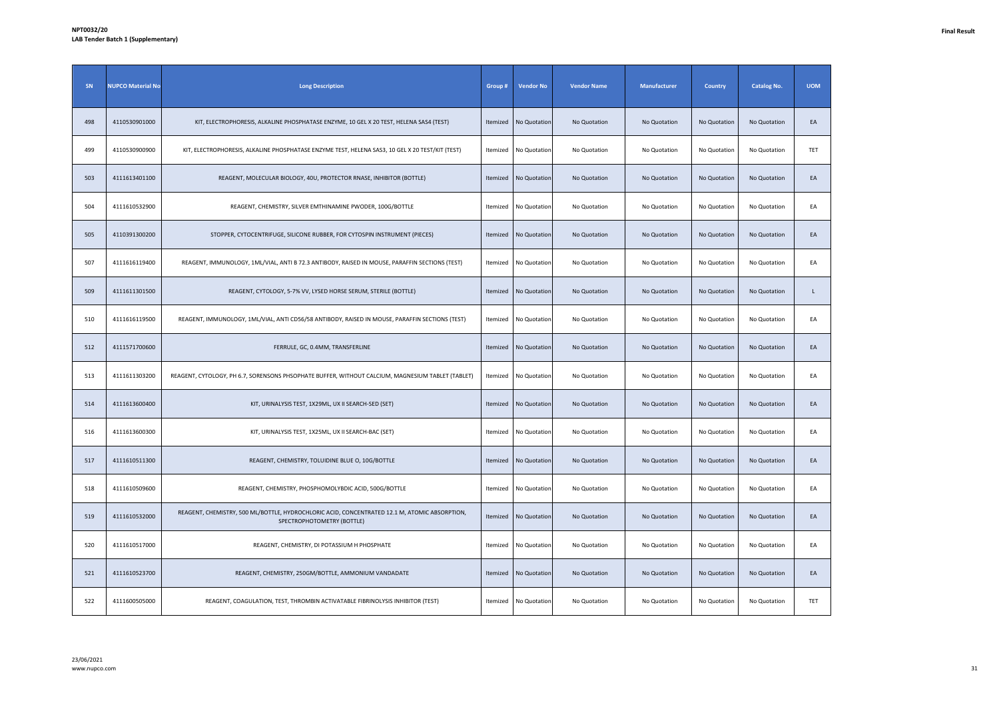| SN  | <b>NUPCO Material No</b> | <b>Long Description</b>                                                                                                     | Group #  | <b>Vendor No</b> | <b>Vendor Name</b> | <b>Manufacturer</b> | Country      | <b>Catalog No.</b> | <b>UOM</b> |
|-----|--------------------------|-----------------------------------------------------------------------------------------------------------------------------|----------|------------------|--------------------|---------------------|--------------|--------------------|------------|
| 498 | 4110530901000            | KIT, ELECTROPHORESIS, ALKALINE PHOSPHATASE ENZYME, 10 GEL X 20 TEST, HELENA SAS4 (TEST)                                     | Itemized | No Quotation     | No Quotation       | No Quotation        | No Quotation | No Quotation       | EA         |
| 499 | 4110530900900            | KIT, ELECTROPHORESIS, ALKALINE PHOSPHATASE ENZYME TEST, HELENA SAS3, 10 GEL X 20 TEST/KIT (TEST)                            | Itemized | No Quotation     | No Quotation       | No Quotation        | No Quotation | No Quotation       | TET        |
| 503 | 4111613401100            | REAGENT, MOLECULAR BIOLOGY, 40U, PROTECTOR RNASE, INHIBITOR (BOTTLE)                                                        | Itemized | No Quotation     | No Quotation       | No Quotation        | No Quotation | No Quotation       | EA         |
| 504 | 4111610532900            | REAGENT, CHEMISTRY, SILVER EMTHINAMINE PWODER, 100G/BOTTLE                                                                  | Itemized | No Quotation     | No Quotation       | No Quotation        | No Quotation | No Quotation       | EA         |
| 505 | 4110391300200            | STOPPER, CYTOCENTRIFUGE, SILICONE RUBBER, FOR CYTOSPIN INSTRUMENT (PIECES)                                                  | Itemized | No Quotation     | No Quotation       | No Quotation        | No Quotation | No Quotation       | EA         |
| 507 | 4111616119400            | REAGENT, IMMUNOLOGY, 1ML/VIAL, ANTI B 72.3 ANTIBODY, RAISED IN MOUSE, PARAFFIN SECTIONS (TEST)                              | Itemized | No Quotation     | No Quotation       | No Quotation        | No Quotation | No Quotation       | EA         |
| 509 | 4111611301500            | REAGENT, CYTOLOGY, 5-7% VV, LYSED HORSE SERUM, STERILE (BOTTLE)                                                             | Itemized | No Quotation     | No Quotation       | No Quotation        | No Quotation | No Quotation       | L          |
| 510 | 4111616119500            | REAGENT, IMMUNOLOGY, 1ML/VIAL, ANTI CD56/58 ANTIBODY, RAISED IN MOUSE, PARAFFIN SECTIONS (TEST)                             | Itemized | No Quotation     | No Quotation       | No Quotation        | No Quotation | No Quotation       | EA         |
| 512 | 4111571700600            | FERRULE, GC, 0.4MM, TRANSFERLINE                                                                                            | Itemized | No Quotation     | No Quotation       | No Quotation        | No Quotation | No Quotation       | EA         |
| 513 | 4111611303200            | REAGENT, CYTOLOGY, PH 6.7, SORENSONS PHSOPHATE BUFFER, WITHOUT CALCIUM, MAGNESIUM TABLET (TABLET)                           | Itemized | No Quotation     | No Quotation       | No Quotation        | No Quotation | No Quotation       | EA         |
| 514 | 4111613600400            | KIT, URINALYSIS TEST, 1X29ML, UX II SEARCH-SED (SET)                                                                        | Itemized | No Quotation     | No Quotation       | No Quotation        | No Quotation | No Quotation       | EA         |
| 516 | 4111613600300            | KIT, URINALYSIS TEST, 1X25ML, UX II SEARCH-BAC (SET)                                                                        | Itemized | No Quotation     | No Quotation       | No Quotation        | No Quotation | No Quotation       | EA         |
| 517 | 4111610511300            | REAGENT, CHEMISTRY, TOLUIDINE BLUE O, 10G/BOTTLE                                                                            | Itemized | No Quotation     | No Quotation       | No Quotation        | No Quotation | No Quotation       | EA         |
| 518 | 4111610509600            | REAGENT, CHEMISTRY, PHOSPHOMOLYBDIC ACID, 500G/BOTTLE                                                                       | Itemized | No Quotation     | No Quotation       | No Quotation        | No Quotation | No Quotation       | EA         |
| 519 | 4111610532000            | REAGENT, CHEMISTRY, 500 ML/BOTTLE, HYDROCHLORIC ACID, CONCENTRATED 12.1 M, ATOMIC ABSORPTION,<br>SPECTROPHOTOMETRY (BOTTLE) | Itemized | No Quotation     | No Quotation       | No Quotation        | No Quotation | No Quotation       | EA         |
| 520 | 4111610517000            | REAGENT, CHEMISTRY, DI POTASSIUM H PHOSPHATE                                                                                | Itemized | No Quotation     | No Quotation       | No Quotation        | No Quotation | No Quotation       | EA         |
| 521 | 4111610523700            | REAGENT, CHEMISTRY, 250GM/BOTTLE, AMMONIUM VANDADATE                                                                        | Itemized | No Quotation     | No Quotation       | No Quotation        | No Quotation | No Quotation       | EA         |
| 522 | 4111600505000            | REAGENT, COAGULATION, TEST, THROMBIN ACTIVATABLE FIBRINOLYSIS INHIBITOR (TEST)                                              | Itemized | No Quotation     | No Quotation       | No Quotation        | No Quotation | No Quotation       | TET        |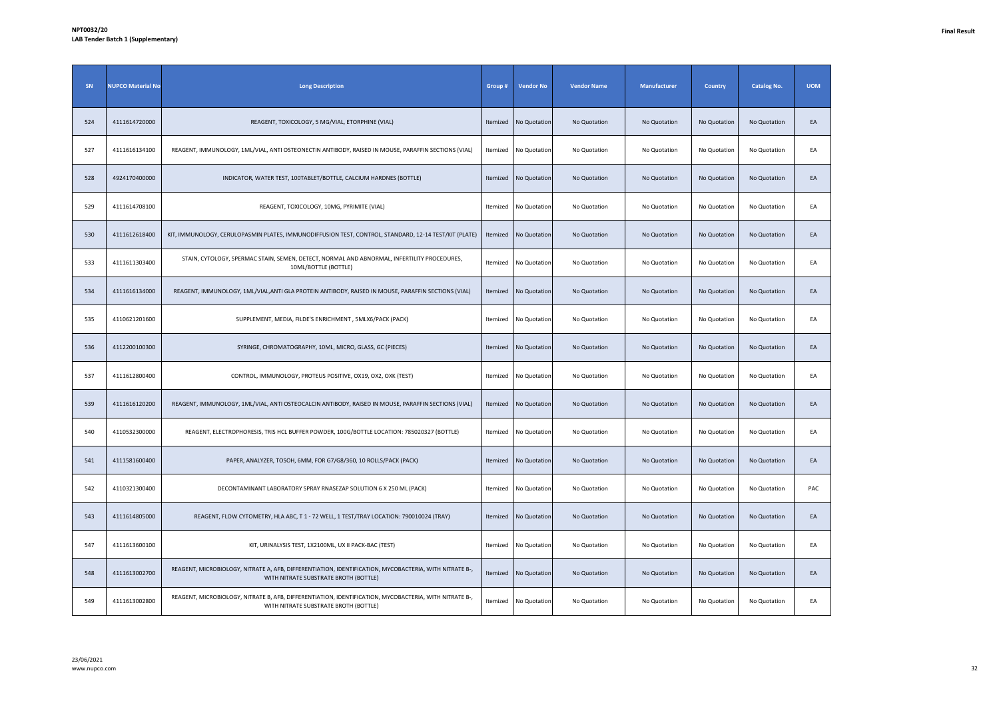| SN  | <b>NUPCO Material No</b> | <b>Long Description</b>                                                                                                                         | Group #  | <b>Vendor No</b> | <b>Vendor Name</b> | <b>Manufacturer</b> | <b>Country</b> | <b>Catalog No.</b> | <b>UOM</b> |
|-----|--------------------------|-------------------------------------------------------------------------------------------------------------------------------------------------|----------|------------------|--------------------|---------------------|----------------|--------------------|------------|
| 524 | 4111614720000            | REAGENT, TOXICOLOGY, 5 MG/VIAL, ETORPHINE (VIAL)                                                                                                | Itemized | No Quotation     | No Quotation       | No Quotation        | No Quotation   | No Quotation       | EA         |
| 527 | 4111616134100            | REAGENT, IMMUNOLOGY, 1ML/VIAL, ANTI OSTEONECTIN ANTIBODY, RAISED IN MOUSE, PARAFFIN SECTIONS (VIAL)                                             | Itemized | No Quotation     | No Quotation       | No Quotation        | No Quotation   | No Quotation       | EA         |
| 528 | 4924170400000            | INDICATOR, WATER TEST, 100TABLET/BOTTLE, CALCIUM HARDNES (BOTTLE)                                                                               | Itemized | No Quotation     | No Quotation       | No Quotation        | No Quotation   | No Quotation       | EA         |
| 529 | 4111614708100            | REAGENT, TOXICOLOGY, 10MG, PYRIMITE (VIAL)                                                                                                      | Itemized | No Quotation     | No Quotation       | No Quotation        | No Quotation   | No Quotation       | EA         |
| 530 | 4111612618400            | KIT, IMMUNOLOGY, CERULOPASMIN PLATES, IMMUNODIFFUSION TEST, CONTROL, STANDARD, 12-14 TEST/KIT (PLATE)                                           | Itemized | No Quotation     | No Quotation       | No Quotation        | No Quotation   | No Quotation       | EA         |
| 533 | 4111611303400            | STAIN, CYTOLOGY, SPERMAC STAIN, SEMEN, DETECT, NORMAL AND ABNORMAL, INFERTILITY PROCEDURES,<br>10ML/BOTTLE (BOTTLE)                             | Itemized | No Quotation     | No Quotation       | No Quotation        | No Quotation   | No Quotation       | EA         |
| 534 | 4111616134000            | REAGENT, IMMUNOLOGY, 1ML/VIAL, ANTI GLA PROTEIN ANTIBODY, RAISED IN MOUSE, PARAFFIN SECTIONS (VIAL)                                             | Itemized | No Quotation     | No Quotation       | No Quotation        | No Quotation   | No Quotation       | EA         |
| 535 | 4110621201600            | SUPPLEMENT, MEDIA, FILDE'S ENRICHMENT, 5MLX6/PACK (PACK)                                                                                        | Itemized | No Quotation     | No Quotation       | No Quotation        | No Quotation   | No Quotation       | EA         |
| 536 | 4112200100300            | SYRINGE, CHROMATOGRAPHY, 10ML, MICRO, GLASS, GC (PIECES)                                                                                        | Itemized | No Quotation     | No Quotation       | No Quotation        | No Quotation   | No Quotation       | EA         |
| 537 | 4111612800400            | CONTROL, IMMUNOLOGY, PROTEUS POSITIVE, OX19, OX2, OXK (TEST)                                                                                    | Itemized | No Quotation     | No Quotation       | No Quotation        | No Quotation   | No Quotation       | EA         |
| 539 | 4111616120200            | REAGENT, IMMUNOLOGY, 1ML/VIAL, ANTI OSTEOCALCIN ANTIBODY, RAISED IN MOUSE, PARAFFIN SECTIONS (VIAL)                                             | Itemized | No Quotation     | No Quotation       | No Quotation        | No Quotation   | No Quotation       | EA         |
| 540 | 4110532300000            | REAGENT, ELECTROPHORESIS, TRIS HCL BUFFER POWDER, 100G/BOTTLE LOCATION: 785020327 (BOTTLE)                                                      | Itemized | No Quotation     | No Quotation       | No Quotation        | No Quotation   | No Quotation       | EA         |
| 541 | 4111581600400            | PAPER, ANALYZER, TOSOH, 6MM, FOR G7/G8/360, 10 ROLLS/PACK (PACK)                                                                                | Itemized | No Quotation     | No Quotation       | No Quotation        | No Quotation   | No Quotation       | EA         |
| 542 | 4110321300400            | DECONTAMINANT LABORATORY SPRAY RNASEZAP SOLUTION 6 X 250 ML (PACK)                                                                              | Itemized | No Quotation     | No Quotation       | No Quotation        | No Quotation   | No Quotation       | PAC        |
| 543 | 4111614805000            | REAGENT, FLOW CYTOMETRY, HLA ABC, T 1 - 72 WELL, 1 TEST/TRAY LOCATION: 790010024 (TRAY)                                                         | Itemized | No Quotation     | No Quotation       | No Quotation        | No Quotation   | No Quotation       | EA         |
| 547 | 4111613600100            | KIT, URINALYSIS TEST, 1X2100ML, UX II PACK-BAC (TEST)                                                                                           | Itemized | No Quotation     | No Quotation       | No Quotation        | No Quotation   | No Quotation       | EA         |
| 548 | 4111613002700            | REAGENT, MICROBIOLOGY, NITRATE A, AFB, DIFFERENTIATION, IDENTIFICATION, MYCOBACTERIA, WITH NITRATE B-,<br>WITH NITRATE SUBSTRATE BROTH (BOTTLE) | Itemized | No Quotation     | No Quotation       | No Quotation        | No Quotation   | No Quotation       | EA         |
| 549 | 4111613002800            | REAGENT, MICROBIOLOGY, NITRATE B, AFB, DIFFERENTIATION, IDENTIFICATION, MYCOBACTERIA, WITH NITRATE B-,<br>WITH NITRATE SUBSTRATE BROTH (BOTTLE) | Itemized | No Quotation     | No Quotation       | No Quotation        | No Quotation   | No Quotation       | EA         |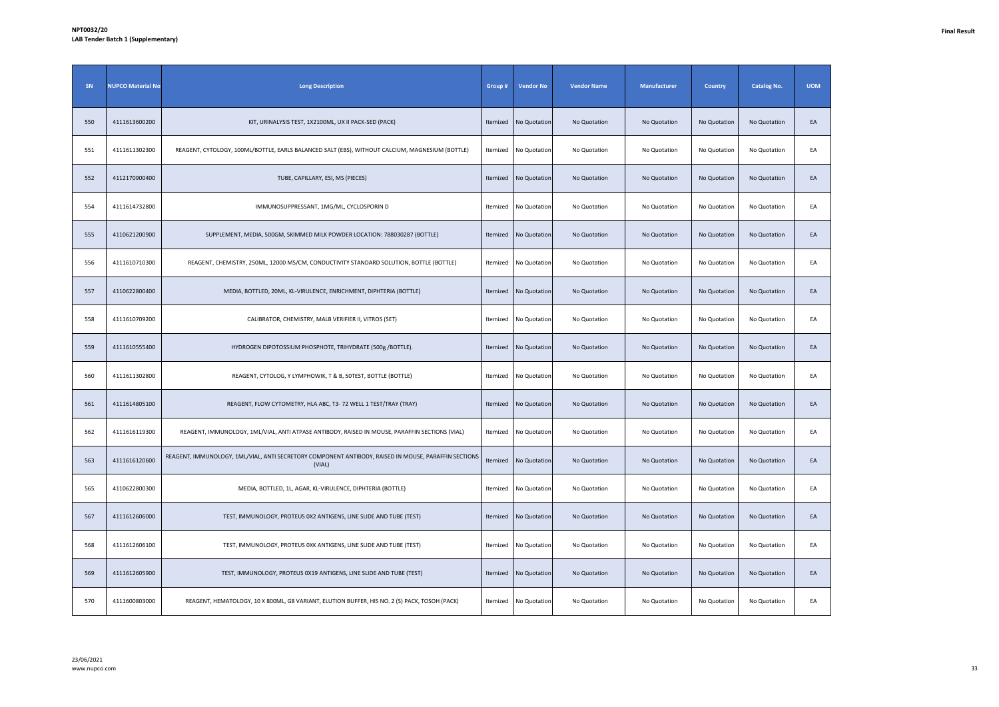| SN  | <b>NUPCO Material No</b> | <b>Long Description</b>                                                                                        | Group #  | <b>Vendor No</b> | <b>Vendor Name</b> | Manufacturer | <b>Country</b> | <b>Catalog No.</b> | <b>UOM</b> |
|-----|--------------------------|----------------------------------------------------------------------------------------------------------------|----------|------------------|--------------------|--------------|----------------|--------------------|------------|
| 550 | 4111613600200            | KIT, URINALYSIS TEST, 1X2100ML, UX II PACK-SED (PACK)                                                          | Itemized | No Quotation     | No Quotation       | No Quotation | No Quotation   | No Quotation       | EA         |
| 551 | 4111611302300            | REAGENT, CYTOLOGY, 100ML/BOTTLE, EARLS BALANCED SALT (EBS), WITHOUT CALCIUM, MAGNESIUM (BOTTLE)                | Itemized | No Quotation     | No Quotation       | No Quotation | No Quotation   | No Quotation       | EA         |
| 552 | 4112170900400            | TUBE, CAPILLARY, ESI, MS (PIECES)                                                                              | Itemized | No Quotation     | No Quotation       | No Quotation | No Quotation   | No Quotation       | EA         |
| 554 | 4111614732800            | IMMUNOSUPPRESSANT, 1MG/ML, CYCLOSPORIN D                                                                       | Itemized | No Quotation     | No Quotation       | No Quotation | No Quotation   | No Quotation       | EA         |
| 555 | 4110621200900            | SUPPLEMENT, MEDIA, 500GM, SKIMMED MILK POWDER LOCATION: 788030287 (BOTTLE)                                     | Itemized | No Quotation     | No Quotation       | No Quotation | No Quotation   | No Quotation       | EA         |
| 556 | 4111610710300            | REAGENT, CHEMISTRY, 250ML, 12000 MS/CM, CONDUCTIVITY STANDARD SOLUTION, BOTTLE (BOTTLE)                        | Itemized | No Quotation     | No Quotation       | No Quotation | No Quotation   | No Quotation       | EA         |
| 557 | 4110622800400            | MEDIA, BOTTLED, 20ML, KL-VIRULENCE, ENRICHMENT, DIPHTERIA (BOTTLE)                                             | Itemized | No Quotation     | No Quotation       | No Quotation | No Quotation   | No Quotation       | EA         |
| 558 | 4111610709200            | CALIBRATOR, CHEMISTRY, MALB VERIFIER II, VITROS (SET)                                                          | Itemized | No Quotation     | No Quotation       | No Quotation | No Quotation   | No Quotation       | EA         |
| 559 | 4111610555400            | HYDROGEN DIPOTOSSIUM PHOSPHOTE, TRIHYDRATE (500g /BOTTLE).                                                     | Itemized | No Quotation     | No Quotation       | No Quotation | No Quotation   | No Quotation       | EA         |
| 560 | 4111611302800            | REAGENT, CYTOLOG, Y LYMPHOWIK, T & B, 50TEST, BOTTLE (BOTTLE)                                                  | Itemized | No Quotation     | No Quotation       | No Quotation | No Quotation   | No Quotation       | EA         |
| 561 | 4111614805100            | REAGENT, FLOW CYTOMETRY, HLA ABC, T3-72 WELL 1 TEST/TRAY (TRAY)                                                | Itemized | No Quotation     | No Quotation       | No Quotation | No Quotation   | No Quotation       | EA         |
| 562 | 4111616119300            | REAGENT, IMMUNOLOGY, 1ML/VIAL, ANTI ATPASE ANTIBODY, RAISED IN MOUSE, PARAFFIN SECTIONS (VIAL)                 | Itemized | No Quotation     | No Quotation       | No Quotation | No Quotation   | No Quotation       | EA         |
| 563 | 4111616120600            | REAGENT, IMMUNOLOGY, 1ML/VIAL, ANTI SECRETORY COMPONENT ANTIBODY, RAISED IN MOUSE, PARAFFIN SECTIONS<br>(VIAL) | Itemized | No Quotation     | No Quotation       | No Quotation | No Quotation   | No Quotation       | EA         |
| 565 | 4110622800300            | MEDIA, BOTTLED, 1L, AGAR, KL-VIRULENCE, DIPHTERIA (BOTTLE)                                                     | Itemized | No Quotation     | No Quotation       | No Quotation | No Quotation   | No Quotation       | EA         |
| 567 | 4111612606000            | TEST, IMMUNOLOGY, PROTEUS 0X2 ANTIGENS, LINE SLIDE AND TUBE (TEST)                                             | Itemized | No Quotation     | No Quotation       | No Quotation | No Quotation   | No Quotation       | EA         |
| 568 | 4111612606100            | TEST, IMMUNOLOGY, PROTEUS 0XK ANTIGENS, LINE SLIDE AND TUBE (TEST)                                             | Itemized | No Quotation     | No Quotation       | No Quotation | No Quotation   | No Quotation       | EA         |
| 569 | 4111612605900            | TEST, IMMUNOLOGY, PROTEUS 0X19 ANTIGENS, LINE SLIDE AND TUBE (TEST)                                            | Itemized | No Quotation     | No Quotation       | No Quotation | No Quotation   | No Quotation       | EA         |
| 570 | 4111600803000            | REAGENT, HEMATOLOGY, 10 X 800ML, G8 VARIANT, ELUTION BUFFER, HIS NO. 2 (S) PACK, TOSOH (PACK)                  | Itemized | No Quotation     | No Quotation       | No Quotation | No Quotation   | No Quotation       | EA         |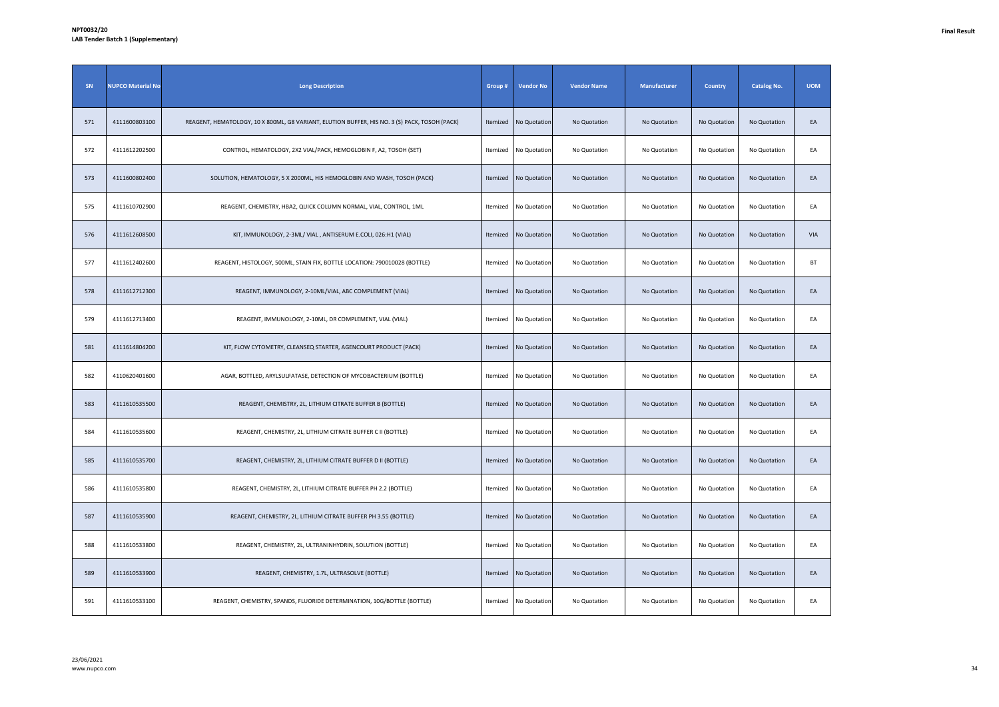| SN  | <b>NUPCO Material No</b> | <b>Long Description</b>                                                                       | Group #  | <b>Vendor No</b> | <b>Vendor Name</b> | Manufacturer | <b>Country</b> | <b>Catalog No.</b> | <b>UOM</b> |
|-----|--------------------------|-----------------------------------------------------------------------------------------------|----------|------------------|--------------------|--------------|----------------|--------------------|------------|
| 571 | 4111600803100            | REAGENT, HEMATOLOGY, 10 X 800ML, G8 VARIANT, ELUTION BUFFER, HIS NO. 3 (S) PACK, TOSOH (PACK) | Itemized | No Quotation     | No Quotation       | No Quotation | No Quotation   | No Quotation       | EA         |
| 572 | 4111612202500            | CONTROL, HEMATOLOGY, 2X2 VIAL/PACK, HEMOGLOBIN F, A2, TOSOH (SET)                             | Itemized | No Quotation     | No Quotation       | No Quotation | No Quotation   | No Quotation       | EA         |
| 573 | 4111600802400            | SOLUTION, HEMATOLOGY, 5 X 2000ML, HIS HEMOGLOBIN AND WASH, TOSOH (PACK)                       | Itemized | No Quotation     | No Quotation       | No Quotation | No Quotation   | No Quotation       | EA         |
| 575 | 4111610702900            | REAGENT, CHEMISTRY, HBA2, QUICK COLUMN NORMAL, VIAL, CONTROL, 1ML                             | Itemized | No Quotation     | No Quotation       | No Quotation | No Quotation   | No Quotation       | EA         |
| 576 | 4111612608500            | KIT, IMMUNOLOGY, 2-3ML/ VIAL, ANTISERUM E.COLI, 026:H1 (VIAL)                                 | Itemized | No Quotation     | No Quotation       | No Quotation | No Quotation   | No Quotation       | VIA        |
| 577 | 4111612402600            | REAGENT, HISTOLOGY, 500ML, STAIN FIX, BOTTLE LOCATION: 790010028 (BOTTLE)                     | Itemized | No Quotation     | No Quotation       | No Quotation | No Quotation   | No Quotation       | <b>BT</b>  |
| 578 | 4111612712300            | REAGENT, IMMUNOLOGY, 2-10ML/VIAL, ABC COMPLEMENT (VIAL)                                       | Itemized | No Quotation     | No Quotation       | No Quotation | No Quotation   | No Quotation       | EA         |
| 579 | 4111612713400            | REAGENT, IMMUNOLOGY, 2-10ML, DR COMPLEMENT, VIAL (VIAL)                                       | Itemized | No Quotation     | No Quotation       | No Quotation | No Quotation   | No Quotation       | EA         |
| 581 | 4111614804200            | KIT, FLOW CYTOMETRY, CLEANSEQ STARTER, AGENCOURT PRODUCT (PACK)                               | Itemized | No Quotation     | No Quotation       | No Quotation | No Quotation   | No Quotation       | EA         |
| 582 | 4110620401600            | AGAR, BOTTLED, ARYLSULFATASE, DETECTION OF MYCOBACTERIUM (BOTTLE)                             | Itemized | No Quotation     | No Quotation       | No Quotation | No Quotation   | No Quotation       | EA         |
| 583 | 4111610535500            | REAGENT, CHEMISTRY, 2L, LITHIUM CITRATE BUFFER B (BOTTLE)                                     | Itemized | No Quotation     | No Quotation       | No Quotation | No Quotation   | No Quotation       | EA         |
| 584 | 4111610535600            | REAGENT, CHEMISTRY, 2L, LITHIUM CITRATE BUFFER C II (BOTTLE)                                  | Itemized | No Quotation     | No Quotation       | No Quotation | No Quotation   | No Quotation       | EA         |
| 585 | 4111610535700            | REAGENT, CHEMISTRY, 2L, LITHIUM CITRATE BUFFER D II (BOTTLE)                                  | Itemized | No Quotation     | No Quotation       | No Quotation | No Quotation   | No Quotation       | EA         |
| 586 | 4111610535800            | REAGENT, CHEMISTRY, 2L, LITHIUM CITRATE BUFFER PH 2.2 (BOTTLE)                                | Itemized | No Quotation     | No Quotation       | No Quotation | No Quotation   | No Quotation       | EA         |
| 587 | 4111610535900            | REAGENT, CHEMISTRY, 2L, LITHIUM CITRATE BUFFER PH 3.55 (BOTTLE)                               | Itemized | No Quotation     | No Quotation       | No Quotation | No Quotation   | No Quotation       | EA         |
| 588 | 4111610533800            | REAGENT, CHEMISTRY, 2L, ULTRANINHYDRIN, SOLUTION (BOTTLE)                                     | Itemized | No Quotation     | No Quotation       | No Quotation | No Quotation   | No Quotation       | EA         |
| 589 | 4111610533900            | REAGENT, CHEMISTRY, 1.7L, ULTRASOLVE (BOTTLE)                                                 | Itemized | No Quotation     | No Quotation       | No Quotation | No Quotation   | No Quotation       | EA         |
| 591 | 4111610533100            | REAGENT, CHEMISTRY, SPANDS, FLUORIDE DETERMINATION, 10G/BOTTLE (BOTTLE)                       | Itemized | No Quotation     | No Quotation       | No Quotation | No Quotation   | No Quotation       | EA         |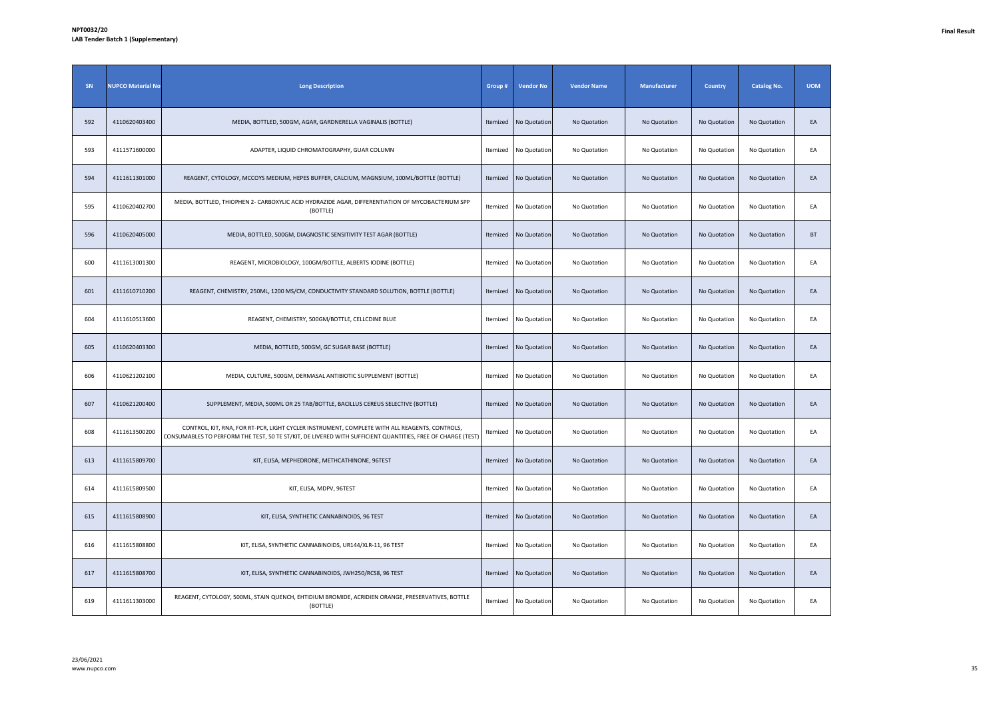| SN  | <b>NUPCO Material No</b> | <b>Long Description</b>                                                                                                                                                                                      | Group #  | <b>Vendor No</b> | <b>Vendor Name</b> | Manufacturer | <b>Country</b> | <b>Catalog No.</b> | <b>UOM</b> |
|-----|--------------------------|--------------------------------------------------------------------------------------------------------------------------------------------------------------------------------------------------------------|----------|------------------|--------------------|--------------|----------------|--------------------|------------|
| 592 | 4110620403400            | MEDIA, BOTTLED, 500GM, AGAR, GARDNERELLA VAGINALIS (BOTTLE)                                                                                                                                                  | Itemized | No Quotation     | No Quotation       | No Quotation | No Quotation   | No Quotation       | EA         |
| 593 | 4111571600000            | ADAPTER, LIQUID CHROMATOGRAPHY, GUAR COLUMN                                                                                                                                                                  | Itemized | No Quotation     | No Quotation       | No Quotation | No Quotation   | No Quotation       | EA         |
| 594 | 4111611301000            | REAGENT, CYTOLOGY, MCCOYS MEDIUM, HEPES BUFFER, CALCIUM, MAGNSIUM, 100ML/BOTTLE (BOTTLE)                                                                                                                     | Itemized | No Quotation     | No Quotation       | No Quotation | No Quotation   | No Quotation       | EA         |
| 595 | 4110620402700            | MEDIA, BOTTLED, THIOPHEN 2- CARBOXYLIC ACID HYDRAZIDE AGAR, DIFFERENTIATION OF MYCOBACTERIUM SPP<br>(BOTTLE)                                                                                                 | Itemized | No Quotation     | No Quotation       | No Quotation | No Quotation   | No Quotation       | EA         |
| 596 | 4110620405000            | MEDIA, BOTTLED, 500GM, DIAGNOSTIC SENSITIVITY TEST AGAR (BOTTLE)                                                                                                                                             | Itemized | No Quotation     | No Quotation       | No Quotation | No Quotation   | No Quotation       | <b>BT</b>  |
| 600 | 4111613001300            | REAGENT, MICROBIOLOGY, 100GM/BOTTLE, ALBERTS IODINE (BOTTLE)                                                                                                                                                 | Itemized | No Quotation     | No Quotation       | No Quotation | No Quotation   | No Quotation       | EA         |
| 601 | 4111610710200            | REAGENT, CHEMISTRY, 250ML, 1200 MS/CM, CONDUCTIVITY STANDARD SOLUTION, BOTTLE (BOTTLE)                                                                                                                       | Itemized | No Quotation     | No Quotation       | No Quotation | No Quotation   | No Quotation       | EA         |
| 604 | 4111610513600            | REAGENT, CHEMISTRY, 500GM/BOTTLE, CELLCDINE BLUE                                                                                                                                                             | Itemized | No Quotation     | No Quotation       | No Quotation | No Quotation   | No Quotation       | EA         |
| 605 | 4110620403300            | MEDIA, BOTTLED, 500GM, GC SUGAR BASE (BOTTLE)                                                                                                                                                                | Itemized | No Quotation     | No Quotation       | No Quotation | No Quotation   | No Quotation       | EA         |
| 606 | 4110621202100            | MEDIA, CULTURE, 500GM, DERMASAL ANTIBIOTIC SUPPLEMENT (BOTTLE)                                                                                                                                               | Itemized | No Quotation     | No Quotation       | No Quotation | No Quotation   | No Quotation       | EA         |
| 607 | 4110621200400            | SUPPLEMENT, MEDIA, 500ML OR 25 TAB/BOTTLE, BACILLUS CEREUS SELECTIVE (BOTTLE)                                                                                                                                | Itemized | No Quotation     | No Quotation       | No Quotation | No Quotation   | No Quotation       | EA         |
| 608 | 4111613500200            | CONTROL, KIT, RNA, FOR RT-PCR, LIGHT CYCLER INSTRUMENT, COMPLETE WITH ALL REAGENTS, CONTROLS,<br>CONSUMABLES TO PERFORM THE TEST, 50 TE ST/KIT, DE LIVERED WITH SUFFICIENT QUANTITIES, FREE OF CHARGE (TEST) | Itemized | No Quotation     | No Quotation       | No Quotation | No Quotation   | No Quotation       | EA         |
| 613 | 4111615809700            | KIT, ELISA, MEPHEDRONE, METHCATHINONE, 96TEST                                                                                                                                                                | Itemized | No Quotation     | No Quotation       | No Quotation | No Quotation   | No Quotation       | EA         |
| 614 | 4111615809500            | KIT, ELISA, MDPV, 96TEST                                                                                                                                                                                     | Itemized | No Quotation     | No Quotation       | No Quotation | No Quotation   | No Quotation       | EA         |
| 615 | 4111615808900            | KIT, ELISA, SYNTHETIC CANNABINOIDS, 96 TEST                                                                                                                                                                  | Itemized | No Quotation     | No Quotation       | No Quotation | No Quotation   | No Quotation       | EA         |
| 616 | 4111615808800            | KIT, ELISA, SYNTHETIC CANNABINOIDS, UR144/XLR-11, 96 TEST                                                                                                                                                    | Itemized | No Quotation     | No Quotation       | No Quotation | No Quotation   | No Quotation       | EA         |
| 617 | 4111615808700            | KIT, ELISA, SYNTHETIC CANNABINOIDS, JWH250/RCS8, 96 TEST                                                                                                                                                     | Itemized | No Quotation     | No Quotation       | No Quotation | No Quotation   | No Quotation       | EA         |
| 619 | 4111611303000            | REAGENT, CYTOLOGY, 500ML, STAIN QUENCH, EHTIDIUM BROMIDE, ACRIDIEN ORANGE, PRESERVATIVES, BOTTLE<br>(BOTTLE)                                                                                                 | Itemized | No Quotation     | No Quotation       | No Quotation | No Quotation   | No Quotation       | EA         |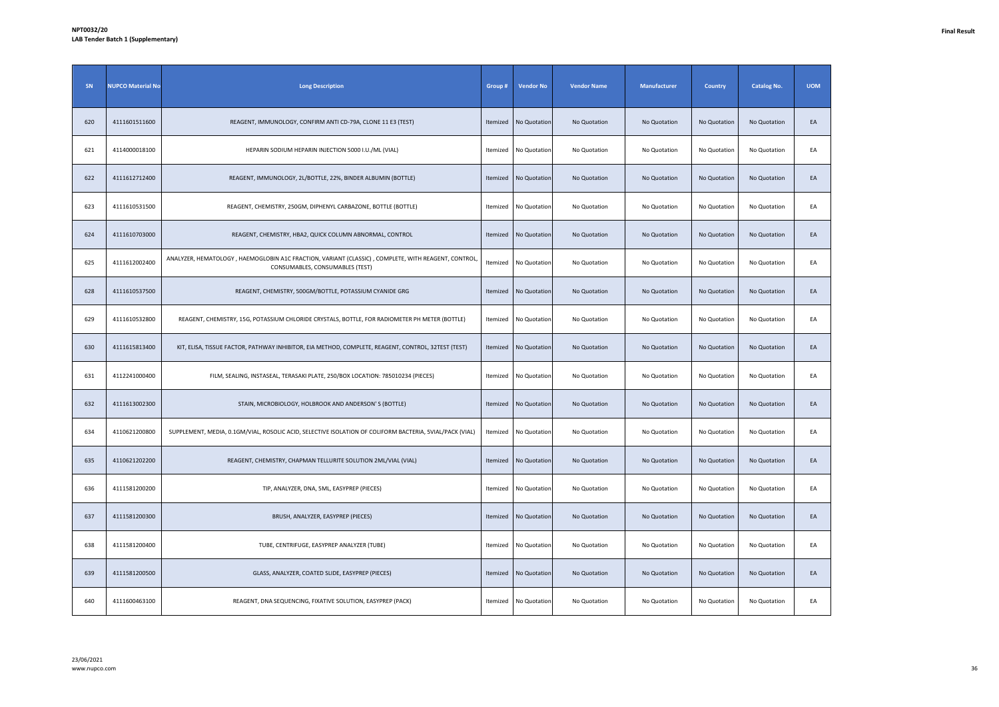| SN  | <b>NUPCO Material No</b> | <b>Long Description</b>                                                                                                                | Group #  | <b>Vendor No</b> | <b>Vendor Name</b> | Manufacturer | <b>Country</b> | <b>Catalog No.</b> | <b>UOM</b> |
|-----|--------------------------|----------------------------------------------------------------------------------------------------------------------------------------|----------|------------------|--------------------|--------------|----------------|--------------------|------------|
| 620 | 4111601511600            | REAGENT, IMMUNOLOGY, CONFIRM ANTI CD-79A, CLONE 11 E3 (TEST)                                                                           | Itemized | No Quotation     | No Quotation       | No Quotation | No Quotation   | No Quotation       | EA         |
| 621 | 4114000018100            | HEPARIN SODIUM HEPARIN INJECTION 5000 I.U./ML (VIAL)                                                                                   | Itemized | No Quotation     | No Quotation       | No Quotation | No Quotation   | No Quotation       | EA         |
| 622 | 4111612712400            | REAGENT, IMMUNOLOGY, 2L/BOTTLE, 22%, BINDER ALBUMIN (BOTTLE)                                                                           | Itemized | No Quotation     | No Quotation       | No Quotation | No Quotation   | No Quotation       | EA         |
| 623 | 4111610531500            | REAGENT, CHEMISTRY, 250GM, DIPHENYL CARBAZONE, BOTTLE (BOTTLE)                                                                         | Itemized | No Quotation     | No Quotation       | No Quotation | No Quotation   | No Quotation       | EA         |
| 624 | 4111610703000            | REAGENT, CHEMISTRY, HBA2, QUICK COLUMN ABNORMAL, CONTROL                                                                               | Itemized | No Quotation     | No Quotation       | No Quotation | No Quotation   | No Quotation       | EA         |
| 625 | 4111612002400            | ANALYZER, HEMATOLOGY, HAEMOGLOBIN A1C FRACTION, VARIANT (CLASSIC), COMPLETE, WITH REAGENT, CONTROL,<br>CONSUMABLES, CONSUMABLES (TEST) | Itemized | No Quotation     | No Quotation       | No Quotation | No Quotation   | No Quotation       | EA         |
| 628 | 4111610537500            | REAGENT, CHEMISTRY, 500GM/BOTTLE, POTASSIUM CYANIDE GRG                                                                                | Itemized | No Quotation     | No Quotation       | No Quotation | No Quotation   | No Quotation       | EA         |
| 629 | 4111610532800            | REAGENT, CHEMISTRY, 15G, POTASSIUM CHLORIDE CRYSTALS, BOTTLE, FOR RADIOMETER PH METER (BOTTLE)                                         | Itemized | No Quotation     | No Quotation       | No Quotation | No Quotation   | No Quotation       | EA         |
| 630 | 4111615813400            | KIT, ELISA, TISSUE FACTOR, PATHWAY INHIBITOR, EIA METHOD, COMPLETE, REAGENT, CONTROL, 32TEST (TEST)                                    | Itemized | No Quotation     | No Quotation       | No Quotation | No Quotation   | No Quotation       | EA         |
| 631 | 4112241000400            | FILM, SEALING, INSTASEAL, TERASAKI PLATE, 250/BOX LOCATION: 785010234 (PIECES)                                                         | Itemized | No Quotation     | No Quotation       | No Quotation | No Quotation   | No Quotation       | EA         |
| 632 | 4111613002300            | STAIN, MICROBIOLOGY, HOLBROOK AND ANDERSON'S (BOTTLE)                                                                                  | Itemized | No Quotation     | No Quotation       | No Quotation | No Quotation   | No Quotation       | EA         |
| 634 | 4110621200800            | SUPPLEMENT, MEDIA, 0.1GM/VIAL, ROSOLIC ACID, SELECTIVE ISOLATION OF COLIFORM BACTERIA, 5VIAL/PACK (VIAL)                               | Itemized | No Quotation     | No Quotation       | No Quotation | No Quotation   | No Quotation       | EA         |
| 635 | 4110621202200            | REAGENT, CHEMISTRY, CHAPMAN TELLURITE SOLUTION 2ML/VIAL (VIAL)                                                                         | Itemized | No Quotation     | No Quotation       | No Quotation | No Quotation   | No Quotation       | EA         |
| 636 | 4111581200200            | TIP, ANALYZER, DNA, 5ML, EASYPREP (PIECES)                                                                                             | Itemized | No Quotation     | No Quotation       | No Quotation | No Quotation   | No Quotation       | EA         |
| 637 | 4111581200300            | BRUSH, ANALYZER, EASYPREP (PIECES)                                                                                                     | Itemized | No Quotation     | No Quotation       | No Quotation | No Quotation   | No Quotation       | EA         |
| 638 | 4111581200400            | TUBE, CENTRIFUGE, EASYPREP ANALYZER (TUBE)                                                                                             | Itemized | No Quotation     | No Quotation       | No Quotation | No Quotation   | No Quotation       | EA         |
| 639 | 4111581200500            | GLASS, ANALYZER, COATED SLIDE, EASYPREP (PIECES)                                                                                       | Itemized | No Quotation     | No Quotation       | No Quotation | No Quotation   | No Quotation       | EA         |
| 640 | 4111600463100            | REAGENT, DNA SEQUENCING, FIXATIVE SOLUTION, EASYPREP (PACK)                                                                            | Itemized | No Quotation     | No Quotation       | No Quotation | No Quotation   | No Quotation       | EA         |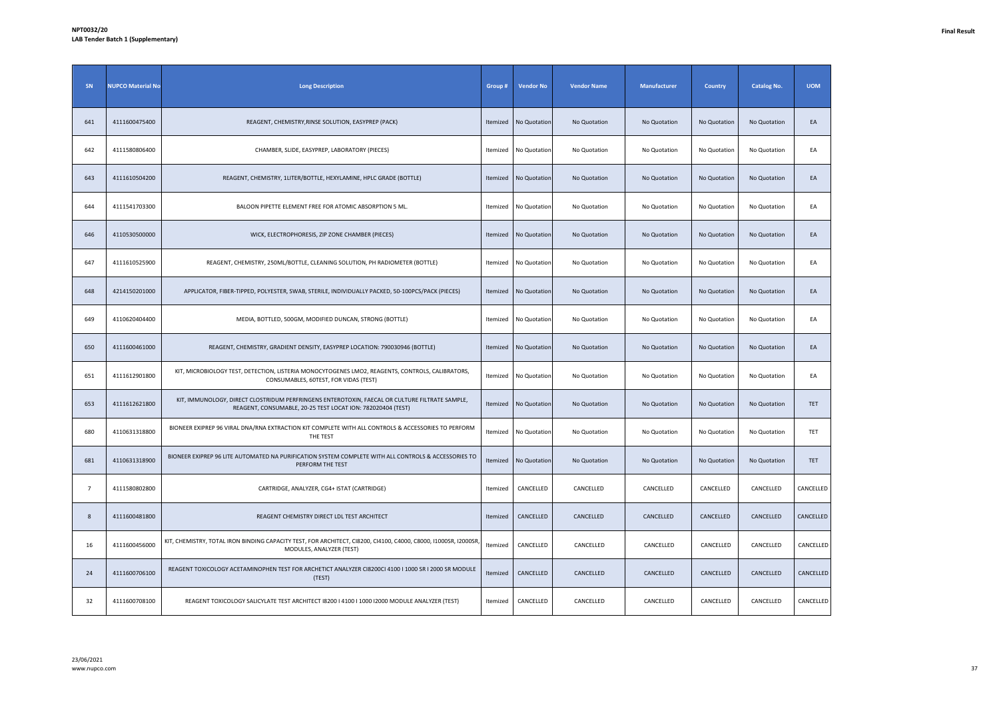| SN             | <b>NUPCO Material No</b> | <b>Long Description</b>                                                                                                                                       | Group#   | <b>Vendor No</b> | <b>Vendor Name</b> | Manufacturer | <b>Country</b> | <b>Catalog No.</b> | <b>UOM</b> |
|----------------|--------------------------|---------------------------------------------------------------------------------------------------------------------------------------------------------------|----------|------------------|--------------------|--------------|----------------|--------------------|------------|
| 641            | 4111600475400            | REAGENT, CHEMISTRY, RINSE SOLUTION, EASYPREP (PACK)                                                                                                           | Itemized | No Quotation     | No Quotation       | No Quotation | No Quotation   | No Quotation       | EA         |
| 642            | 4111580806400            | CHAMBER, SLIDE, EASYPREP, LABORATORY (PIECES)                                                                                                                 | Itemized | No Quotation     | No Quotation       | No Quotation | No Quotation   | No Quotation       | EA         |
| 643            | 4111610504200            | REAGENT, CHEMISTRY, 1LITER/BOTTLE, HEXYLAMINE, HPLC GRADE (BOTTLE)                                                                                            | Itemized | No Quotation     | No Quotation       | No Quotation | No Quotation   | No Quotation       | EA         |
| 644            | 4111541703300            | BALOON PIPETTE ELEMENT FREE FOR ATOMIC ABSORPTION 5 ML.                                                                                                       | Itemized | No Quotation     | No Quotation       | No Quotation | No Quotation   | No Quotation       | EA         |
| 646            | 4110530500000            | WICK, ELECTROPHORESIS, ZIP ZONE CHAMBER (PIECES)                                                                                                              | Itemized | No Quotation     | No Quotation       | No Quotation | No Quotation   | No Quotation       | EA         |
| 647            | 4111610525900            | REAGENT, CHEMISTRY, 250ML/BOTTLE, CLEANING SOLUTION, PH RADIOMETER (BOTTLE)                                                                                   | Itemized | No Quotation     | No Quotation       | No Quotation | No Quotation   | No Quotation       | EA         |
| 648            | 4214150201000            | APPLICATOR, FIBER-TIPPED, POLYESTER, SWAB, STERILE, INDIVIDUALLY PACKED, 50-100PCS/PACK (PIECES)                                                              | Itemized | No Quotation     | No Quotation       | No Quotation | No Quotation   | No Quotation       | EA         |
| 649            | 4110620404400            | MEDIA, BOTTLED, 500GM, MODIFIED DUNCAN, STRONG (BOTTLE)                                                                                                       | Itemized | No Quotation     | No Quotation       | No Quotation | No Quotation   | No Quotation       | EA         |
| 650            | 4111600461000            | REAGENT, CHEMISTRY, GRADIENT DENSITY, EASYPREP LOCATION: 790030946 (BOTTLE)                                                                                   | Itemized | No Quotation     | No Quotation       | No Quotation | No Quotation   | No Quotation       | EA         |
| 651            | 4111612901800            | KIT, MICROBIOLOGY TEST, DETECTION, LISTERIA MONOCYTOGENES LMO2, REAGENTS, CONTROLS, CALIBRATORS,<br>CONSUMABLES, 60TEST, FOR VIDAS (TEST)                     | Itemized | No Quotation     | No Quotation       | No Quotation | No Quotation   | No Quotation       | EA         |
| 653            | 4111612621800            | KIT, IMMUNOLOGY, DIRECT CLOSTRIDUM PERFRINGENS ENTEROTOXIN, FAECAL OR CULTURE FILTRATE SAMPLE,<br>REAGENT, CONSUMABLE, 20-25 TEST LOCAT ION: 782020404 (TEST) | Itemized | No Quotation     | No Quotation       | No Quotation | No Quotation   | No Quotation       | TET        |
| 680            | 4110631318800            | BIONEER EXIPREP 96 VIRAL DNA/RNA EXTRACTION KIT COMPLETE WITH ALL CONTROLS & ACCESSORIES TO PERFORM<br>THE TEST                                               | Itemized | No Quotation     | No Quotation       | No Quotation | No Quotation   | No Quotation       | TET        |
| 681            | 4110631318900            | BIONEER EXIPREP 96 LITE AUTOMATED NA PURIFICATION SYSTEM COMPLETE WITH ALL CONTROLS & ACCESSORIES TO<br>PERFORM THE TEST                                      | Itemized | No Quotation     | No Quotation       | No Quotation | No Quotation   | No Quotation       | TET        |
| $\overline{7}$ | 4111580802800            | CARTRIDGE, ANALYZER, CG4+ ISTAT (CARTRIDGE)                                                                                                                   | Itemized | CANCELLED        | CANCELLED          | CANCELLED    | CANCELLED      | CANCELLED          | CANCELLED  |
| 8              | 4111600481800            | REAGENT CHEMISTRY DIRECT LDL TEST ARCHITECT                                                                                                                   | Itemized | CANCELLED        | CANCELLED          | CANCELLED    | CANCELLED      | CANCELLED          | CANCELLED  |
| 16             | 4111600456000            | KIT, CHEMISTRY, TOTAL IRON BINDING CAPACITY TEST, FOR ARCHITECT, CI8200, CI4100, C4000, C8000, I1000SR, I2000SR,<br>MODULES, ANALYZER (TEST)                  | Itemized | CANCELLED        | CANCELLED          | CANCELLED    | CANCELLED      | CANCELLED          | CANCELLED  |
| 24             | 4111600706100            | REAGENT TOXICOLOGY ACETAMINOPHEN TEST FOR ARCHETICT ANALYZER CI8200CI 4100 I 1000 SR I 2000 SR MODULE<br>(TEST)                                               | Itemized | CANCELLED        | CANCELLED          | CANCELLED    | CANCELLED      | CANCELLED          | CANCELLED  |
| 32             | 4111600708100            | REAGENT TOXICOLOGY SALICYLATE TEST ARCHITECT 18200   4100   1000   2000 MODULE ANALYZER (TEST)                                                                | Itemized | CANCELLED        | CANCELLED          | CANCELLED    | CANCELLED      | CANCELLED          | CANCELLED  |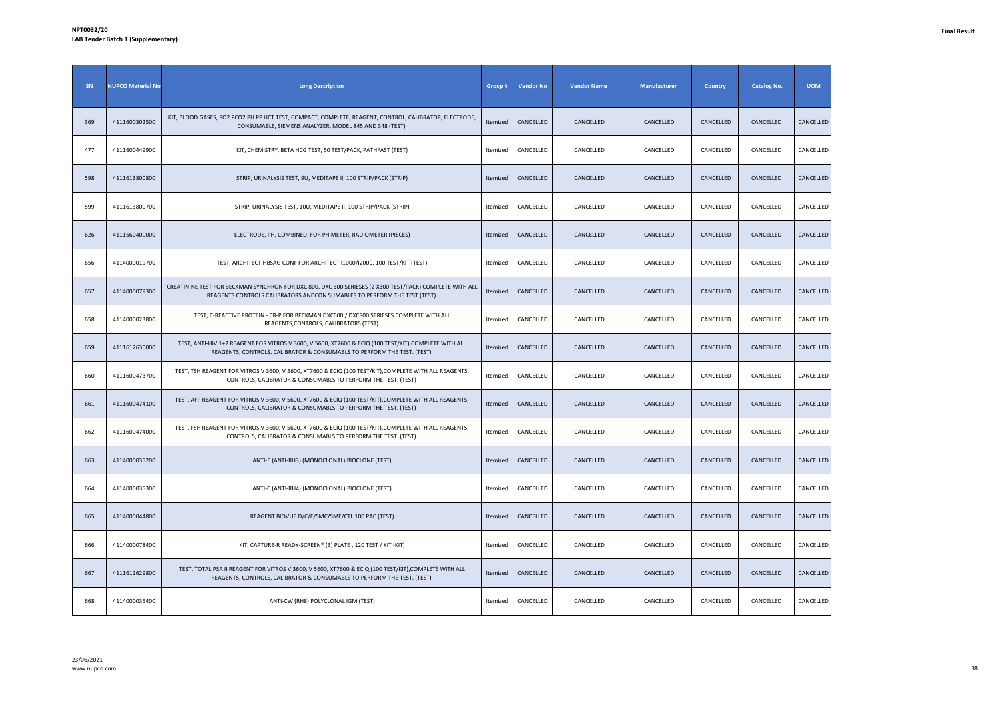| SN  | <b>NUPCO Material No</b> | <b>Long Description</b>                                                                                                                                                             | Group #  | <b>Vendor No</b> | <b>Vendor Name</b> | <b>Manufacturer</b> | <b>Country</b> | <b>Catalog No.</b> | <b>UOM</b> |
|-----|--------------------------|-------------------------------------------------------------------------------------------------------------------------------------------------------------------------------------|----------|------------------|--------------------|---------------------|----------------|--------------------|------------|
| 369 | 4111600302500            | KIT, BLOOD GASES, PO2 PCO2 PH PP HCT TEST, COMPACT, COMPLETE, REAGENT, CONTROL, CALIBRATOR, ELECTRODE,<br>CONSUMABLE, SIEMENS ANALYZER, MODEL 845 AND 348 (TEST)                    | Itemized | CANCELLED        | CANCELLED          | CANCELLED           | CANCELLED      | CANCELLED          | CANCELLED  |
| 477 | 4111600449900            | KIT, CHEMISTRY, BETA HCG TEST, 50 TEST/PACK, PATHFAST (TEST)                                                                                                                        | Itemized | CANCELLED        | CANCELLED          | CANCELLED           | CANCELLED      | CANCELLED          | CANCELLED  |
| 598 | 4111613800800            | STRIP, URINALYSIS TEST, 9U, MEDITAPE II, 100 STRIP/PACK (STRIP)                                                                                                                     | Itemized | CANCELLED        | CANCELLED          | CANCELLED           | CANCELLED      | CANCELLED          | CANCELLED  |
| 599 | 4111613800700            | STRIP, URINALYSIS TEST, 10U, MEDITAPE II, 100 STRIP/PACK (STRIP)                                                                                                                    | Itemized | CANCELLED        | CANCELLED          | CANCELLED           | CANCELLED      | CANCELLED          | CANCELLED  |
| 626 | 4111560400000            | ELECTRODE, PH, COMBINED, FOR PH METER, RADIOMETER (PIECES)                                                                                                                          | Itemized | CANCELLED        | CANCELLED          | CANCELLED           | CANCELLED      | CANCELLED          | CANCELLED  |
| 656 | 4114000019700            | TEST, ARCHITECT HBSAG CONF FOR ARCHITECT I1000/I2000, 100 TEST/KIT (TEST)                                                                                                           | Itemized | CANCELLED        | CANCELLED          | CANCELLED           | CANCELLED      | CANCELLED          | CANCELLED  |
| 657 | 4114000079300            | CREATININE TEST FOR BECKMAN SYNCHRON FOR DXC 800. DXC 600 SERIESES (2 X300 TEST/PACK) COMPLETE WITH ALL<br>REAGENTS CONTROLS CALIBRATORS ANDCON SUMABLES TO PERFORM THE TEST (TEST) | Itemized | CANCELLED        | CANCELLED          | CANCELLED           | CANCELLED      | CANCELLED          | CANCELLED  |
| 658 | 4114000023800            | TEST, C-REACTIVE PROTEIN - CR-P FOR BECKMAN DXC600 / DXC800 SERIESES COMPLETE WITH ALL<br>REAGENTS, CONTROLS, CALIBRATORS (TEST)                                                    | Itemized | CANCELLED        | CANCELLED          | CANCELLED           | CANCELLED      | CANCELLED          | CANCELLED  |
| 659 | 4111612630000            | TEST, ANTI-HIV 1+2 REAGENT FOR VITROS V 3600, V 5600, XT7600 & ECIQ (100 TEST/KIT), COMPLETE WITH ALL<br>REAGENTS, CONTROLS, CALIBRATOR & CONSUMABLS TO PERFORM THE TEST. (TEST)    | Itemized | CANCELLED        | CANCELLED          | CANCELLED           | CANCELLED      | CANCELLED          | CANCELLED  |
| 660 | 4111600473700            | TEST, TSH REAGENT FOR VITROS V 3600, V 5600, XT7600 & ECIQ (100 TEST/KIT), COMPLETE WITH ALL REAGENTS,<br>CONTROLS, CALIBRATOR & CONSUMABLS TO PERFORM THE TEST. (TEST)             | Itemized | CANCELLED        | CANCELLED          | CANCELLED           | CANCELLED      | CANCELLED          | CANCELLED  |
| 661 | 4111600474100            | TEST, AFP REAGENT FOR VITROS V 3600, V 5600, XT7600 & ECIQ (100 TEST/KIT), COMPLETE WITH ALL REAGENTS,<br>CONTROLS, CALIBRATOR & CONSUMABLS TO PERFORM THE TEST. (TEST)             | Itemized | CANCELLED        | CANCELLED          | CANCELLED           | CANCELLED      | CANCELLED          | CANCELLED  |
| 662 | 4111600474000            | TEST, FSH REAGENT FOR VITROS V 3600, V 5600, XT7600 & ECIQ (100 TEST/KIT), COMPLETE WITH ALL REAGENTS,<br>CONTROLS, CALIBRATOR & CONSUMABLS TO PERFORM THE TEST. (TEST)             | Itemized | CANCELLED        | CANCELLED          | CANCELLED           | CANCELLED      | CANCELLED          | CANCELLED  |
| 663 | 4114000035200            | ANTI-E (ANTI-RH3) (MONOCLONAL) BIOCLONE (TEST)                                                                                                                                      | Itemized | CANCELLED        | CANCELLED          | CANCELLED           | CANCELLED      | CANCELLED          | CANCELLED  |
| 664 | 4114000035300            | ANTI-C (ANTI-RH4) (MONOCLONAL) BIOCLONE (TEST)                                                                                                                                      | Itemized | CANCELLED        | CANCELLED          | CANCELLED           | CANCELLED      | CANCELLED          | CANCELLED  |
| 665 | 4114000044800            | REAGENT BIOVUE D/C/E/SMC/SME/CTL 100 PAC (TEST)                                                                                                                                     | Itemized | CANCELLED        | CANCELLED          | CANCELLED           | CANCELLED      | CANCELLED          | CANCELLED  |
| 666 | 4114000078400            | KIT, CAPTURE-R READY-SCREEN® (3) PLATE, 120 TEST / KIT (KIT)                                                                                                                        | Itemized | CANCELLED        | CANCELLED          | CANCELLED           | CANCELLED      | CANCELLED          | CANCELLED  |
| 667 | 4111612629800            | TEST, TOTAL PSA II REAGENT FOR VITROS V 3600, V 5600, XT7600 & ECIQ (100 TEST/KIT), COMPLETE WITH ALL<br>REAGENTS, CONTROLS, CALIBRATOR & CONSUMABLS TO PERFORM THE TEST. (TEST)    | Itemized | CANCELLED        | CANCELLED          | CANCELLED           | CANCELLED      | CANCELLED          | CANCELLED  |
| 668 | 4114000035400            | ANTI-CW (RH8) POLYCLONAL IGM (TEST)                                                                                                                                                 | Itemized | CANCELLED        | CANCELLED          | CANCELLED           | CANCELLED      | CANCELLED          | CANCELLED  |